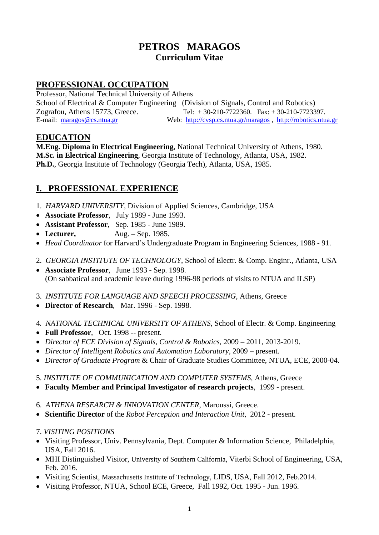# **PETROS MARAGOS Curriculum Vitae**

# **PROFESSIONAL OCCUPATION**

Professor, National Technical University of Athens School of Electrical & Computer Engineering (Division of Signals, Control and Robotics) Zografou, Athens 15773, Greece. Tel: + 30-210-7722360. Fax: + 30-210-7723397. E-mail: [maragos@cs.ntua.gr](mailto:maragos@cs.ntua.gr) Web: <http://cvsp.cs.ntua.gr/maragos>, [http://robotics.ntua.gr](http://robotics.ntua.gr/)

## **EDUCATION**

**M.Eng. Diploma in Electrical Engineering**, National Technical University of Athens, 1980. **M.Sc. in Electrical Engineering**, Georgia Institute of Technology, Atlanta, USA, 1982. **Ph.D.**, Georgia Institute of Technology (Georgia Tech), Atlanta, USA, 1985.

# **I. PROFESSIONAL EXPERIENCE**

- 1. *HARVARD UNIVERSITY*, Division of Applied Sciences, Cambridge, USA
- **Associate Professor**, July 1989 June 1993.
- **Assistant Professor**, Sep. 1985 June 1989.
- Lecturer, Aug. Sep. 1985.
- *Head Coordinator* for Harvard's Undergraduate Program in Engineering Sciences, 1988 91.
- 2. *GEORGIA INSTITUTE OF TECHNOLOGY*, School of Electr. & Comp. Enginr., Atlanta, USA
- **Associate Professor**, June 1993 Sep. 1998. (On sabbatical and academic leave during 1996-98 periods of visits to NTUA and ILSP)
- 3. *INSTITUTE FOR LANGUAGE AND SPEECH PROCESSING,* Athens, Greece
- **Director of Research**, Mar. 1996 Sep. 1998.
- 4*. NATIONAL TECHNICAL UNIVERSITY OF ATHENS,* School of Electr. & Comp. Engineering
- **Full Professor**, Oct. 1998 -- present.
- *Director of ECE Division of Signals, Control & Robotics*, 2009 2011, 2013-2019.
- *Director of Intelligent Robotics and Automation Laboratory*, 2009 present.
- *Director of Graduate Program* & Chair of Graduate Studies Committee, NTUA, ECE, 2000-04.
- 5. *INSTITUTE OF COMMUNICATION AND COMPUTER SYSTEMS,* Athens, Greece
- **Faculty Member and Principal Investigator of research projects**, 1999 present.
- 6. *ATHENA RESEARCH & INNOVATION CENTER*, Maroussi, Greece.
- **Scientific Director** of the *Robot Perception and Interaction Unit*, 2012 present.
- 7. *VISITING POSITIONS*
- Visiting Professor, Univ. Pennsylvania, Dept. Computer & Information Science, Philadelphia, USA, Fall 2016.
- MHI Distinguished Visitor, University of Southern California, Viterbi School of Engineering, USA, Feb. 2016.
- Visiting Scientist, Massachusetts Institute of Technology, LIDS, USA, Fall 2012, Feb. 2014.
- Visiting Professor, NTUA, School ECE, Greece, Fall 1992, Oct. 1995 Jun. 1996.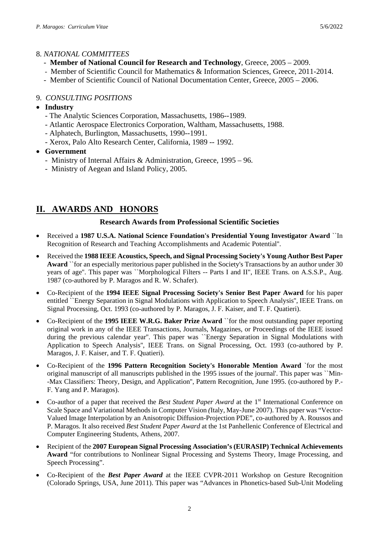### 8. *NATIONAL COMMITTEES*

- **Member of National Council for Research and Technology**, Greece, 2005 2009.
- Member of Scientific Council for Mathematics & Information Sciences, Greece, 2011-2014.
- Member of Scientific Council of National Documentation Center, Greece, 2005 2006.

## 9. *CONSULTING POSITIONS*

- **Industry**
	- The Analytic Sciences Corporation, Massachusetts, 1986--1989.
	- Atlantic Aerospace Electronics Corporation, Waltham, Massachusetts, 1988.
	- Alphatech, Burlington, Massachusetts, 1990--1991.
	- Xerox, Palo Alto Research Center, California, 1989 -- 1992.
- **Government**
	- Ministry of Internal Affairs & Administration, Greece, 1995 96.
	- Ministry of Aegean and Island Policy, 2005.

# **ΙΙ. AWARDS AND HONORS**

### **Research Awards from Professional Scientific Societies**

- Received a **1987 U.S.A. National Science Foundation's Presidential Young Investigator Award** ``In Recognition of Research and Teaching Accomplishments and Academic Potential''.
- Received the **1988 IEEE Acoustics, Speech, and Signal Processing Society's Young Author Best Paper Award** ``for an especially meritorious paper published in the Society's Transactions by an author under 30 years of age''. This paper was ``Morphological Filters -- Parts I and II", IEEE Trans. on A.S.S.P., Aug. 1987 (co-authored by P. Maragos and R. W. Schafer).
- Co-Recipient of the **1994 IEEE Signal Processing Society's Senior Best Paper Award** for his paper entitled ``Energy Separation in Signal Modulations with Application to Speech Analysis'', IEEE Trans. on Signal Processing, Oct. 1993 (co-authored by P. Maragos, J. F. Kaiser, and T. F. Quatieri).
- Co-Recipient of the **1995 IEEE W.R.G. Baker Prize Award** ``for the most outstanding paper reporting original work in any of the IEEE Transactions, Journals, Magazines, or Proceedings of the IEEE issued during the previous calendar year''. This paper was ``Energy Separation in Signal Modulations with Application to Speech Analysis'', IEEE Trans. on Signal Processing, Oct. 1993 (co-authored by P. Maragos, J. F. Kaiser, and T. F. Quatieri).
- Co-Recipient of the **1996 Pattern Recognition Society's Honorable Mention Award** `for the most original manuscript of all manuscripts published in the 1995 issues of the journal'. This paper was ``Min- -Max Classifiers: Theory, Design, and Application'', Pattern Recognition, June 1995. (co-authored by P.- F. Yang and P. Maragos).
- Co-author of a paper that received the *Best Student Paper Award* at the 1<sup>st</sup> International Conference on Scale Space and Variational Methods in Computer Vision *(*Italy, May-June 2007). This paper was "Vector-Valued Image Interpolation by an Anisotropic Diffusion-Projection PDE", co-authored by A. Roussos and P. Maragos. It also received *Best Student Paper Award* at the 1st Panhellenic Conference of Electrical and Computer Engineering Students, Athens, 2007.
- Recipient of the **2007 European Signal Processing Association's (EURASIP) Technical Achievements Award** "for contributions to Nonlinear Signal Processing and Systems Theory, Image Processing, and Speech Processing".
- Co-Recipient of the *Best Paper Award* at the IEEE CVPR-2011 Workshop on Gesture Recognition (Colorado Springs, USA, June 2011). This paper was "Advances in Phonetics-based Sub-Unit Modeling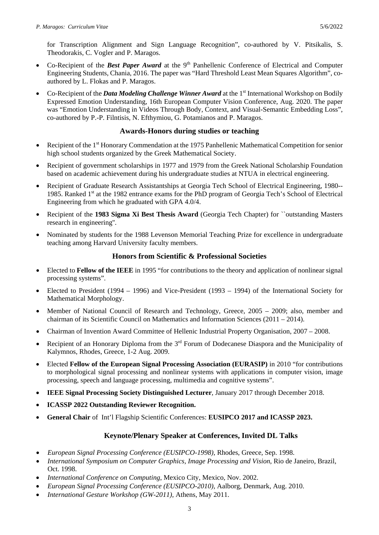for Transcription Alignment and Sign Language Recognition", co-authored by V. Pitsikalis, S. Theodorakis, C. Vogler and P. Maragos.

- Co-Recipient of the *Best Paper Award* at the 9<sup>th</sup> Panhellenic Conference of Electrical and Computer Engineering Students, Chania, 2016. The paper was "Hard Threshold Least Mean Squares Algorithm", coauthored by L. Flokas and P. Maragos.
- Co-Recipient of the *Data Modeling Challenge Winner Award* at the 1<sup>st</sup> International Workshop on Bodily Expressed Emotion Understanding, 16th European Computer Vision Conference, Aug. 2020. The paper was "Emotion Understanding in Videos Through Body, Context, and Visual-Semantic Embedding Loss", co-authored by P.-P. Filntisis, N. Efthymiou, G. Potamianos and P. Maragos.

### **Awards-Honors during studies or teaching**

- Recipient of the 1<sup>st</sup> Honorary Commendation at the 1975 Panhellenic Mathematical Competition for senior high school students organized by the Greek Mathematical Society.
- Recipient of government scholarships in 1977 and 1979 from the Greek National Scholarship Foundation based on academic achievement during his undergraduate studies at NTUA in electrical engineering.
- Recipient of Graduate Research Assistantships at Georgia Tech School of Electrical Engineering, 1980-- 1985. Ranked 1st at the 1982 entrance exams for the PhD program of Georgia Tech's School of Electrical Engineering from which he graduated with GPA 4.0/4.
- Recipient of the **1983 Sigma Xi Best Thesis Award** (Georgia Tech Chapter) for ``outstanding Masters research in engineering''.
- Nominated by students for the 1988 Levenson Memorial Teaching Prize for excellence in undergraduate teaching among Harvard University faculty members.

### **Honors from Scientific & Professional Societies**

- Elected to **Fellow of the IEEE** in 1995 "for contributions to the theory and application of nonlinear signal processing systems".
- Elected to President (1994 1996) and Vice-President (1993 1994) of the International Society for Mathematical Morphology.
- Member of National Council of Research and Technology, Greece, 2005 2009; also, member and chairman of its Scientific Council on Mathematics and Information Sciences (2011 – 2014).
- Chairman of Invention Award Committee of Hellenic Industrial Property Organisation, 2007 2008.
- Recipient of an Honorary Diploma from the  $3<sup>rd</sup>$  Forum of Dodecanese Diaspora and the Municipality of Kalymnos, Rhodes, Greece, 1-2 Aug. 2009.
- Elected **Fellow of the European Signal Processing Association (EURASIP)** in 2010 "for contributions to morphological signal processing and nonlinear systems with applications in computer vision, image processing, speech and language processing, multimedia and cognitive systems".
- **IEEE Signal Processing Society Distinguished Lecturer**, January 2017 through December 2018.
- **ICASSP 2022 Outstanding Reviewer Recognition.**
- **General Chair** of Int'l Flagship Scientific Conferences: **EUSIPCO 2017 and ICASSP 2023.**

## **Keynote/Plenary Speaker at Conferences, Invited DL Talks**

- *European Signal Processing Conference (EUSIPCO-1998)*, Rhodes, Greece, Sep. 1998.
- *International Symposium on Computer Graphics, Image Processing and Vision*, Rio de Janeiro, Brazil, Oct. 1998.
- *International Conference on Computing*, Mexico City, Mexico, Nov. 2002.
- *European Signal Processing Conference (EUSIPCO-2010)*, Aalborg, Denmark, Aug. 2010.
- *International Gesture Workshop (GW-2011),* Athens, May 2011.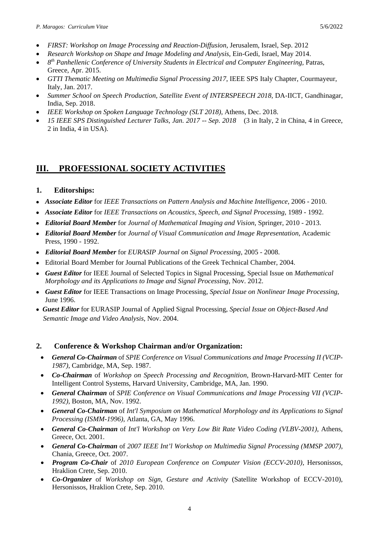- *FIRST: Workshop on Image Processing and Reaction-Diffusion*, Jerusalem, Israel, Sep. 2012
- *Research Workshop on Shape and Image Modeling and Analysis*, Ein-Gedi, Israel, May 2014.
- *8th Panhellenic Conference of University Students in Electrical and Computer Engineering,* Patras, Greece, Apr. 2015.
- *GTTI Thematic Meeting on Multimedia Signal Processing 2017*, IEEE SPS Italy Chapter, Courmayeur, Italy, Jan. 2017.
- *Summer School on Speech Production, Satellite Event of INTERSPEECH 2018, DA-IICT, Gandhinagar,* India, Sep. 2018.
- *IEEE Workshop on Spoken Language Technology (SLT 2018)*, Athens, Dec. 2018.
- *15 IEEE SPS Distinguished Lecturer Talks, Jan. 2017 -- Sep. 2018* (3 in Italy, 2 in China, 4 in Greece, 2 in India, 4 in USA).

# **ΙΙΙ. PROFESSIONAL SOCIETY ACTIVITIES**

## **1. Editorships:**

- *Associate Editor* for *IEEE Transactions on Pattern Analysis and Machine Intelligence*, 2006 2010.
- *Associate Editor* for *IEEE Transactions on Acoustics, Speech, and Signal Processing*, 1989 1992.
- *Editorial Board Member* for *Journal of Mathematical Imaging and Vision*, Springer, 2010 2013.
- *Editorial Board Member* for *Journal of Visual Communication and Image Representation*, Academic Press, 1990 - 1992.
- *Editorial Board Member* for *EURASIP Journal on Signal Processing*, 2005 2008.
- Editorial Board Member for Journal Publications of the Greek Technical Chamber, 2004.
- *Guest Editor* for IEEE Journal of Selected Topics in Signal Processing, Special Issue on *Mathematical Morphology and its Applications to Image and Signal Processing*, Nov. 2012.
- *Guest Editor* for IEEE Transactions on Image Processing, *Special Issue on Nonlinear Image Processing*, June 1996.
- *Guest Editor* for EURASIP Journal of Applied Signal Processing, *Special Issue on Object-Based And Semantic Image and Video Analysis*, Nov. 2004.

## **2. Conference & Workshop Chairman and/or Organization:**

- *General Co-Chairman* of *SPIE Conference on Visual Communications and Image Processing II (VCIP-1987)*, Cambridge, MA, Sep. 1987.
- *Co-Chairman* of *Workshop on Speech Processing and Recognition*, Brown-Harvard-MIT Center for Intelligent Control Systems, Harvard University, Cambridge, MA, Jan. 1990.
- *General Chairman* of *SPIE Conference on Visual Communications and Image Processing VII (VCIP-1992)*, Boston, MA, Nov. 1992.
- *General Co-Chairman* of *Int'l Symposium on Mathematical Morphology and its Applications to Signal Processing (ISMM-1996)*, Atlanta, GA, May 1996.
- *General Co-Chairman* of *Int'l Workshop on Very Low Bit Rate Video Coding (VLBV-2001)*, Athens, Greece, Oct. 2001.
- *General Co-Chairman* of *2007 IEEE Int'l Workshop on Multimedia Signal Processing (MMSP 2007)*, Chania, Greece, Oct. 2007.
- *Program Co-Chair* of *2010 European Conference on Computer Vision (ECCV-2010)*, Hersonissos, Hraklion Crete, Sep. 2010.
- *Co-Organizer* of *Workshop on Sign, Gesture and Activity* (Satellite Workshop of ECCV-2010), Hersonissos, Hraklion Crete, Sep. 2010.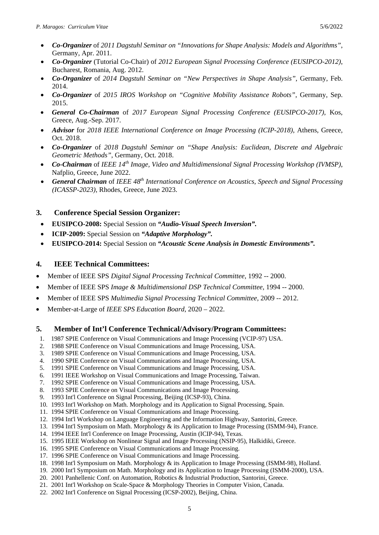- *Co-Organizer* of *2011 Dagstuhl Seminar on "Innovations for Shape Analysis: Models and Algorithms"*, Germany, Apr. 2011.
- *Co-Organizer* (Tutorial Co-Chair) of *2012 European Signal Processing Conference (EUSIPCO-2012)*, Bucharest, Romania, Aug. 2012.
- *Co-Organizer* of *2014 Dagstuhl Seminar on "New Perspectives in Shape Analysis"*, Germany, Feb. 2014.
- *Co-Organizer* of *2015 IROS Workshop on "Cognitive Mobility Assistance Robots"*, Germany, Sep. 2015.
- *General Co-Chairman* of *2017 European Signal Processing Conference (EUSIPCO-2017)*, Kos, Greece, Aug.-Sep. 2017.
- *Advisor* for *2018 IEEE International Conference on Image Processing (ICIP-2018)*, Athens, Greece, Oct. 2018.
- *Co-Organizer* of *2018 Dagstuhl Seminar on "Shape Analysis: Euclidean, Discrete and Algebraic Geometric Methods"*, Germany, Oct. 2018.
- *Co-Chairman* of *IEEE 14th Image, Video and Multidimensional Signal Processing Workshop (IVMSP)*, Nafplio, Greece, June 2022.
- *General Chairman* of *IEEE 48th International Conference on Acoustics, Speech and Signal Processing (ICASSP-2023)*, Rhodes, Greece, June 2023.

## **3. Conference Special Session Organizer:**

- **EUSIPCO-2008:** Special Session on *"Audio-Visual Speech Inversion".*
- **ICIP-2009:** Special Session on *"Adaptive Morphology".*
- **EUSIPCO-2014:** Special Session on *"Acoustic Scene Analysis in Domestic Environments".*

### **4. IEEE Technical Committees:**

- Member of IEEE SPS *Digital Signal Processing Technical Committee*, 1992 -- 2000.
- Member of IEEE SPS *Image & Multidimensional DSP Technical Committee*, 1994 -- 2000.
- Member of IEEE SPS *Multimedia Signal Processing Technical Committee*, 2009 -- 2012.
- Member-at-Large of *IEEE SPS Education Board*, 2020 2022.

### **5. Member of Int'l Conference Technical/Advisory/Program Committees:**

- 1. 1987 SPIE Conference on Visual Communications and Image Processing (VCIP-97) USA.
- 2. 1988 SPIE Conference on Visual Communications and Image Processing, USA.
- 3. 1989 SPIE Conference on Visual Communications and Image Processing, USA.
- 4. 1990 SPIE Conference on Visual Communications and Image Processing, USA.
- 5. 1991 SPIE Conference on Visual Communications and Image Processing, USA.
- 6. 1991 IEEE Workshop on Visual Communications and Image Processing, Taiwan.
- 7. 1992 SPIE Conference on Visual Communications and Image Processing, USA.
- 8. 1993 SPIE Conference on Visual Communications and Image Processing.
- 9. 1993 Int'l Conference on Signal Processing, Beijing (ICSP-93), China.
- 10. 1993 Int'l Workshop on Math. Morphology and its Application to Signal Processing, Spain.
- 11. 1994 SPIE Conference on Visual Communications and Image Processing.
- 12. 1994 Int'l Workshop on Language Engineering and the Information Highway, Santorini, Greece.
- 13. 1994 Int'l Symposium on Math. Morphology & its Application to Image Processing (ISMM-94), France.
- 14. 1994 IEEE Int'l Conference on Image Processing, Austin (ICIP-94), Texas.
- 15. 1995 IEEE Workshop on Nonlinear Signal and Image Processing (NSIP-95), Halkidiki, Greece.
- 16. 1995 SPIE Conference on Visual Communications and Image Processing.
- 17. 1996 SPIE Conference on Visual Communications and Image Processing.
- 18. 1998 Int'l Symposium on Math. Morphology & its Application to Image Processing (ISMM-98), Holland.
- 19. 2000 Int'l Symposium on Math. Morphology and its Application to Image Processing (ISMM-2000), USA.
- 20. 2001 Panhellenic Conf. on Automation, Robotics & Industrial Production, Santorini, Greece.
- 21. 2001 Int'l Workshop on Scale-Space & Morphology Theories in Computer Vision, Canada.
- 22. 2002 Int'l Conference on Signal Processing (ICSP-2002), Beijing, China.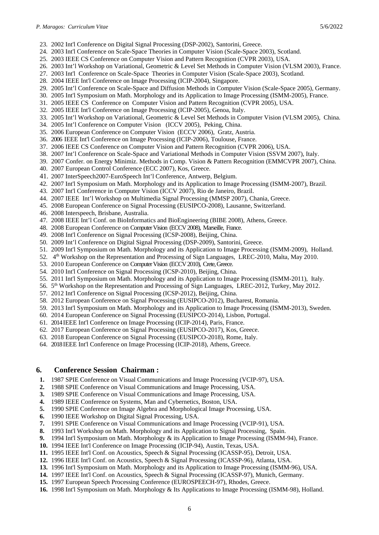- 23. 2002 Int'l Conference on Digital Signal Processing (DSP-2002), Santorini, Greece.
- 24. 2003 Int'l Conference on Scale-Space Theories in Computer Vision (Scale-Space 2003), Scotland.
- 25. 2003 IEEE CS Conference on Computer Vision and Pattern Recognition (CVPR 2003), USA.
- 26. 2003 Int'l Workshop on Variational, Geometric & Level Set Methods in Computer Vision (VLSM 2003), France.
- 27. 2003 Int'l Conference on Scale-Space Theories in Computer Vision (Scale-Space 2003), Scotland.
- 28. 2004 IEEE Int'l Conference on Image Processing (ICIP-2004), Singapore.
- 29. 2005 Int'l Conference on Scale-Space and Diffusion Methods in Computer Vision (Scale-Space 2005), Germany.
- 30. 2005 Int'l Symposium on Math. Morphology and its Application to Image Processing (ISMM-2005), France.
- 31. 2005 IEEE CS Conference on Computer Vision and Pattern Recognition (CVPR 2005), USA.
- 32. 2005 IEEE Int'l Conference on Image Processing (ICIP-2005), Genoa, Italy.
- 33. 2005 Int'l Workshop on Variational, Geometric & Level Set Methods in Computer Vision (VLSM 2005), China.
- 34. 2005 Int'l Conference on Computer Vision (ICCV 2005), Peking, China.
- 35. 2006 European Conference on Computer Vision (ECCV 2006), Gratz, Austria.
- 36. 2006 IEEE Int'l Conference on Image Processing (ICIP-2006), Toulouse, France.
- 37. 2006 IEEE CS Conference on Computer Vision and Pattern Recognition (CVPR 2006), USA.
- 38. 2007 Int'l Conference on Scale-Space and Variational Methods in Computer Vision (SSVM 2007), Italy.
- 39. 2007 Confer. on Energy Minimiz. Methods in Comp. Vision & Pattern Recognition (EMMCVPR 2007), China.
- 40. 2007 European Control Conference (ECC 2007), Kos, Greece.
- 41. 2007 InterSpeech2007-EuroSpeech Int'l Conference, Antwerp, Belgium.
- 42. 2007 Int'l Symposium on Math. Morphology and its Application to Image Processing (ISMM-2007), Brazil.
- 43. 2007 Int'l Conference in Computer Vision (ICCV 2007), Rio de Janeiro, Brazil.
- 44. 2007 IEEE Int'l Workshop on Multimedia Signal Processing (MMSP 2007), Chania, Greece.
- 45. 2008 European Conference on Signal Processing (EUSIPCO-2008), Lausanne, Switzerland.
- 46. 2008 Interspeech, Brisbane, Australia.
- 47. 2008 IEEE Int'l Conf. on BioInformatics and BioEngineering (BIBE 2008), Athens, Greece.
- 48. 2008 European Conference on Computer Vision (ECCV 2008), Marseille, France.
- 49. 2008 Int'l Conference on Signal Processing (ICSP-2008), Beijing, China.
- 50. 2009 Int'l Conference on Digital Signal Processing (DSP-2009), Santorini, Greece.
- 51. 2009 Int'l Symposium on Math. Morphology and its Application to Image Processing (ISMM-2009), Holland.
- 52. 4th Workshop on the Representation and Processing of Sign Languages, LREC-2010, Malta, May 2010.
- 53. 2010 European Conference on Computer Vision (ECCV 2010), Crete, Greece.
- 54. 2010 Int'l Conference on Signal Processing (ICSP-2010), Beijing, China.
- 55. 2011 Int'l Symposium on Math. Morphology and its Application to Image Processing (ISMM-2011), Italy.
- 56. 5th Workshop on the Representation and Processing of Sign Languages, LREC-2012, Turkey, May 2012.
- 57. 2012 Int'l Conference on Signal Processing (ICSP-2012), Beijing, China.
- 58. 2012 European Conference on Signal Processing (EUSIPCO-2012), Bucharest, Romania.
- 59. 2013 Int'l Symposium on Math. Morphology and its Application to Image Processing (ISMM-2013), Sweden.
- 60. 2014 European Conference on Signal Processing (EUSIPCO-2014), Lisbon, Portugal.
- 61. 2014IEEE Int'l Conference on Image Processing (ICIP-2014), Paris, France.
- 62. 2017 European Conference on Signal Processing (EUSIPCO-2017), Kos, Greece.
- 63. 2018 European Conference on Signal Processing (EUSIPCO-2018), Rome, Italy.
- 64. 2018 IEEE Int'l Conference on Image Processing (ICIP-2018), Athens, Greece.

#### **6. Conference Session Chairman :**

- **1.** 1987 SPIE Conference on Visual Communications and Image Processing (VCIP-97), USA.
- **2.** 1988 SPIE Conference on Visual Communications and Image Processing, USA.
- **3.** 1989 SPIE Conference on Visual Communications and Image Processing, USA.
- **4.** 1989 IEEE Conference on Systems, Man and Cybernetics, Boston, USA.
- **5.** 1990 SPIE Conference on Image Algebra and Morphological Image Processing, USA.
- **6.** 1990 IEEE Workshop on Digital Signal Processing, USA.
- **7.** 1991 SPIE Conference on Visual Communications and Image Processing (VCIP-91), USA.
- **8.** 1993 Int'l Workshop on Math. Morphology and its Application to Signal Processing, Spain.
- **9.** 1994 Int'l Symposium on Math. Morphology & its Application to Image Processing (ISMM-94), France.
- **10.** 1994 IEEE Int'l Conference on Image Processing (ICIP-94), Austin, Texas, USA.
- **11.** 1995 IEEE Int'l Conf. on Acoustics, Speech & Signal Processing (ICASSP-95), Detroit, USA.
- **12.** 1996 IEEE Int'l Conf. on Acoustics, Speech & Signal Processing (ICASSP-96), Atlanta, USA.
- **13.** 1996 Int'l Symposium on Math. Morphology and its Application to Image Processing (ISMM-96), USA.
- **14.** 1997 IEEE Int'l Conf. on Acoustics, Speech & Signal Processing (ICASSP-97), Munich, Germany.
- **15.** 1997 European Speech Processing Conference (EUROSPEECH-97), Rhodes, Greece.
- **16.** 1998 Int'l Symposium on Math. Morphology & Its Applications to Image Processing (ISMM-98), Holland.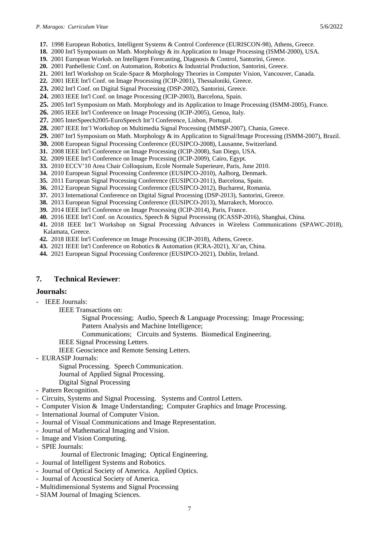- **17.** 1998 European Robotics, Intelligent Systems & Control Conference (EURISCON-98), Athens, Greece.
- **18.** 2000 Int'l Symposium on Math. Morphology & its Application to Image Processing (ISMM-2000), USA.
- **19.** 2001 European Worksh. on Intelligent Forecasting, Diagnosis & Control, Santorini, Greece.
- **20.** 2001 Panhellenic Conf. on Automation, Robotics & Industrial Production, Santorini, Greece.
- **21.** 2001 Int'l Workshop on Scale-Space & Morphology Theories in Computer Vision, Vancouver, Canada.
- **22.** 2001 IEEE Int'l Conf. on Image Processing (ICIP-2001), Thessaloniki, Greece.
- **23.** 2002 Int'l Conf. on Digital Signal Processing (DSP-2002), Santorini, Greece.
- **24.** 2003 IEEE Int'l Conf. on Image Processing (ICIP-2003), Barcelona, Spain.
- **25.** 2005 Int'l Symposium on Math. Morphology and its Application to Image Processing (ISMM-2005), France.
- **26.** 2005 IEEE Int'l Conference on Image Processing (ICIP-2005), Genoa, Italy.
- **27.** 2005 InterSpeech2005-EuroSpeech Int'l Conference, Lisbon, Portugal.
- **28.** 2007 IEEE Int'l Workshop on Multimedia Signal Processing (MMSP-2007), Chania, Greece.
- **29.** 2007 Int'l Symposium on Math. Morphology & its Application to Signal/Image Processing (ISMM-2007), Brazil.
- **30.** 2008 European Signal Processing Conference (EUSIPCO-2008), Lausanne, Switzerland.
- **31.** 2008 IEEE Int'l Conference on Image Processing (ICIP-2008), San Diego, USA.
- **32.** 2009 IEEE Int'l Conference on Image Processing (ICIP-2009), Cairo, Egypt.
- **33.** 2010 ECCV'10 Area Chair Colloquium, Ecole Normale Superieure, Paris, June 2010.
- **34.** 2010 European Signal Processing Conference (EUSIPCO-2010), Aalborg, Denmark.
- **35.** 2011 European Signal Processing Conference (EUSIPCO-2011), Barcelona, Spain.
- **36.** 2012 European Signal Processing Conference (EUSIPCO-2012), Bucharest, Romania.
- **37.** 2013 International Conference on Digital Signal Processing (DSP-2013), Santorini, Greece.
- **38.** 2013 European Signal Processing Conference (EUSIPCO-2013), Marrakech, Morocco.
- **39.** 2014 IEEE Int'l Conference on Image Processing (ICIP-2014), Paris, France.
- **40.** 2016 IEEE Int'l Conf. on Acoustics, Speech & Signal Processing (ICASSP-2016), Shanghai, China.
- **41.** 2018 IEEE Int'l Workshop on Signal Processing Advances in Wireless Communications (SPAWC-2018), Kalamata, Greece.
- **42.** 2018 IEEE Int'l Conference on Image Processing (ICIP-2018), Athens, Greece.
- **43.** 2021 ΙΕΕΕ Int'l Conference on Robotics & Automation (ICRΑ-2021), Xi'an, China.
- **44.** 2021 European Signal Processing Conference (EUSIPCO-2021), Dublin, Ireland.

### **7. Technical Reviewer**:

#### **Journals:**

- IEEE Journals:
	- IEEE Transactions on:
		- Signal Processing; Audio, Speech & Language Processing; Image Processing; Pattern Analysis and Machine Intelligence;
		- Communications; Circuits and Systems. Biomedical Engineering.
		- IEEE Signal Processing Letters.
		- IEEE Geoscience and Remote Sensing Letters.
- EURASIP Journals:
	- Signal Processing. Speech Communication.
	- Journal of Applied Signal Processing.
	- Digital Signal Processing
- Pattern Recognition.
- Circuits, Systems and Signal Processing. Systems and Control Letters.
- Computer Vision & Image Understanding; Computer Graphics and Image Processing.
- International Journal of Computer Vision.
- Journal of Visual Communications and Image Representation.
- Journal of Mathematical Imaging and Vision.
- Image and Vision Computing.
- SPIE Journals:
	- Journal of Electronic Imaging; Optical Engineering.
- Journal of Intelligent Systems and Robotics.
- Journal of Optical Society of America. Applied Optics.
- Journal of Acoustical Society of America.
- Multidimensional Systems and Signal Processing
- SIAM Journal of Imaging Sciences.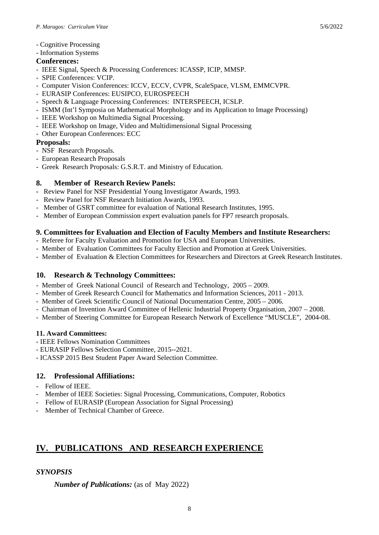- Cognitive Processing
- Information Systems

## **Conferences:**

- IEEE Signal, Speech & Processing Conferences: ICASSP, ICIP, MMSP.
- SPIE Conferences: VCIP.
- Computer Vision Conferences: ICCV, ECCV, CVPR, ScaleSpace, VLSM, EMMCVPR.
- EURASIP Conferences: EUSIPCO, EUROSPEECH
- Speech & Language Processing Conferences: INTERSPEECH, ICSLP.
- ISMM (Int'l Symposia on Mathematical Morphology and its Application to Image Processing)
- IEEE Workshop on Multimedia Signal Processing.
- IEEE Workshop on Image, Video and Multidimensional Signal Processing
- Other European Conferences: ECC

## **Proposals:**

- NSF Research Proposals.
- European Research Proposals
- Greek Research Proposals: G.S.R.T. and Ministry of Education.

## **8. Member of Research Review Panels:**

- Review Panel for NSF Presidential Young Investigator Awards, 1993.
- Review Panel for NSF Research Initiation Awards, 1993.
- Member of GSRT committee for evaluation of National Research Institutes, 1995.
- Member of European Commission expert evaluation panels for FP7 research proposals.

## **9. Committees for Evaluation and Election of Faculty Members and Institute Researchers:**

- Referee for Faculty Evaluation and Promotion for USA and European Universities.
- Member of Evaluation Committees for Faculty Election and Promotion at Greek Universities.
- Member of Evaluation & Election Committees for Researchers and Directors at Greek Research Institutes.

## **10. Research & Technology Committees:**

- Member of Greek National Council of Research and Technology, 2005 2009.
- Member of Greek Research Council for Mathematics and Information Sciences, 2011 2013.
- Member of Greek Scientific Council of National Documentation Centre, 2005 2006.
- Chairman of Invention Award Committee of Hellenic Industrial Property Organisation, 2007 2008.
- Member of Steering Committee for European Research Network of Excellence "MUSCLE", 2004-08.

## **11. Award Committees:**

- IEEE Fellows Nomination Committees
- EURASIP Fellows Selection Committee, 2015--2021.
- ICASSP 2015 Best Student Paper Award Selection Committee.

## **12. Professional Affiliations:**

- Fellow of IEEE.
- Member of IEEE Societies: Signal Processing, Communications, Computer, Robotics
- Fellow of EURASIP (European Association for Signal Processing)
- Member of Technical Chamber of Greece.

# **IV. PUBLICATIONS AND RESEARCH EXPERIENCE**

## *SYNOPSIS*

*Number of Publications:* (as of May 2022)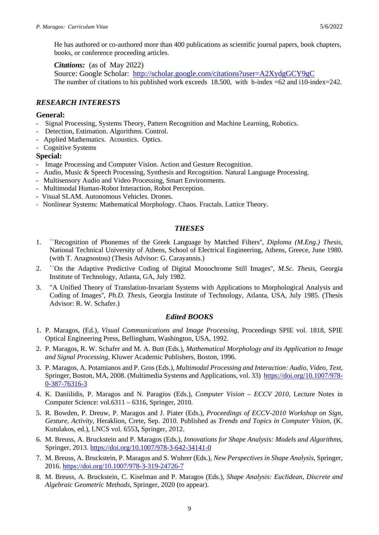He has authored or co-authored more than 400 publications as scientific journal papers, book chapters, books, or conference proceeding articles.

*Citations:* (as of May 2022)

Source: Google Scholar: <http://scholar.google.com/citations?user=A2XydgGCY9gC> The number of citations to his published work exceeds 18.500, with h-index  $=62$  and i10-index $=242$ .

### *RESEARCH INTERESTS*

#### **General:**

- Signal Processing, Systems Theory, Pattern Recognition and Machine Learning, Robotics.
- Detection, Estimation. Algorithms. Control.
- Applied Mathematics. Acoustics. Optics.
- Cognitive Systems

#### **Special:**

- Image Processing and Computer Vision. Action and Gesture Recognition.
- Audio, Music & Speech Processing, Synthesis and Recognition. Natural Language Processing.
- Multisensory Audio and Video Processing, Smart Environments.
- Multimodal Human-Robot Interaction, Robot Perception.
- Visual SLAM. Autonomous Vehicles. Drones.
- Nonlinear Systems: Mathematical Morphology. Chaos. Fractals. Lattice Theory.

#### *THESES*

- 1. ``Recognition of Phonemes of the Greek Language by Matched Filters'', *Diploma (M.Eng.) Thesis*, National Technical University of Athens, School of Electrical Engineering, Athens, Greece, June 1980. (with T. Anagnostou) (Thesis Advisor: G. Carayannis.)
- 2. ``On the Adaptive Predictive Coding of Digital Monochrome Still Images'', *M.Sc. Thesis*, Georgia Institute of Technology, Atlanta, GA, July 1982.
- 3. "A Unified Theory of Translation-Invariant Systems with Applications to Morphological Analysis and Coding of Images'', *Ph.D. Thesis*, Georgia Institute of Technology, Atlanta, USA, July 1985. (Thesis Advisor: R. W. Schafer.)

#### *Edited BOOKS*

- 1. P. Maragos, (Ed.), *Visual Communications and Image Processing*, Proceedings SPIE vol. 1818, SPIE Optical Engineering Press, Bellingham, Washington, USA, 1992.
- 2. P. Maragos, R. W. Schafer and M. A. Butt (Eds.), *Mathematical Morphology and its Application to Image and Signal Processing*, Kluwer Academic Publishers, Boston, 1996.
- 3. P. Maragos, A. Potamianos and P. Gros (Eds.), *Multimodal Processing and Interaction: Audio, Video, Text*, Springer, Boston, MA, 2008. (Multimedia Systems and Applications, vol. 33) [https://doi.org/10.1007/978-](https://doi.org/10.1007/978-0-387-76316-3) [0-387-76316-3](https://doi.org/10.1007/978-0-387-76316-3)
- 4. K. Daniilidis, P. Maragos and N. Paragios (Eds.), *Computer Vision – ECCV 2010,* Lecture Notes in Computer Science: vol.6311 – 6316, Springer, 2010.
- 5. R. Bowden, P. Dreuw, P. Maragos and J. Piater (Eds.), *Proceedings of ECCV-2010 Workshop on Sign, Gesture, Activity,* Heraklion, Crete, Sep. 2010. Published as *Trends and Topics in Computer Vision*, (K. Kutulakos, ed.), LNCS vol. 6553**,** Springer, 2012.
- 6. M. Breuss, A. Bruckstein and P. Maragos (Eds.), *Innovations for Shape Analysis: Models and Algorithms*, Springer, 2013. <https://doi.org/10.1007/978-3-642-34141-0>
- 7. M. Breuss, A. Bruckstein, P. Maragos and S. Wuhrer (Eds.), *New Perspectives in Shape Analysis*, Springer, 2016. <https://doi.org/10.1007/978-3-319-24726-7>
- 8. M. Breuss, A. Bruckstein, C. Kiselman and P. Maragos (Eds.), *Shape Analysis: Euclidean, Discrete and Algebraic Geometric Methods*, Springer, 2020 (to appear).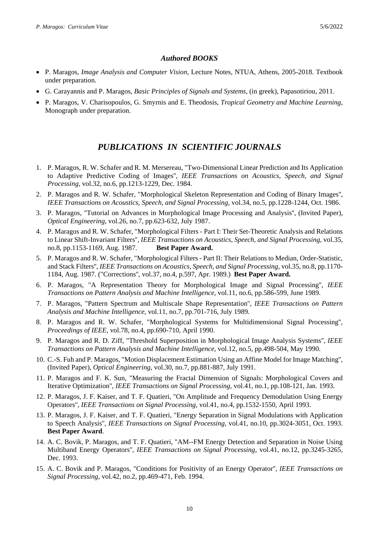### *Authored BOOKS*

- P. Maragos, *Image Analysis and Computer Vision*, Lecture Notes, NTUA, Athens, 2005-2018. Textbook under preparation.
- G. Carayannis and P. Maragos, *Basic Principles of Signals and Systems*, (in greek), Papasotiriou, 2011.
- P. Maragos, V. Charisopoulos, G. Smyrnis and E. Theodosis, *Tropical Geometry and Machine Learning*, Monograph under preparation.

# *PUBLICATIONS IN SCIENTIFIC JOURNALS*

- 1. P. Maragos, R. W. Schafer and R. M. Mersereau, "Two-Dimensional Linear Prediction and Its Application to Adaptive Predictive Coding of Images''*, IEEE Transactions on Acoustics, Speech, and Signal Processing*, vol.32, no.6, pp.1213-1229, Dec. 1984.
- 2. P. Maragos and R. W. Schafer, "Morphological Skeleton Representation and Coding of Binary Images'', *IEEE Transactions on Acoustics, Speech, and Signal Processing*, vol.34, no.5, pp.1228-1244, Oct. 1986.
- 3. P. Maragos, "Tutorial on Advances in Morphological Image Processing and Analysis'', (Invited Paper), *Optical Engineering*, vol.26, no.7, pp.623-632, July 1987.
- 4. P. Maragos and R. W. Schafer, "Morphological Filters Part I: Their Set-Theoretic Analysis and Relations to Linear Shift-Invariant Filters''*, IEEE Transactions on Acoustics, Speech, and Signal Processing*, vol.35, no.8, pp.1153-1169, Aug. 1987. **Best Paper Award.**
- 5. P. Maragos and R. W. Schafer, "Morphological Filters Part II: Their Relations to Median, Order-Statistic, and Stack Filters''*, IEEE Transactions on Acoustics, Speech, and Signal Processing*, vol.35, no.8, pp.1170- 1184, Aug. 1987. ("Corrections'', vol.37, no.4, p.597, Apr. 1989.) **Best Paper Award.**
- 6. P. Maragos, "A Representation Theory for Morphological Image and Signal Processing'', *IEEE Transactions on Pattern Analysis and Machine Intelligence*, vol.11, no.6, pp.586-599, June 1989.
- 7. P. Maragos, "Pattern Spectrum and Multiscale Shape Representation''*, IEEE Transactions on Pattern Analysis and Machine Intelligence*, vol.11, no.7, pp.701-716, July 1989.
- 8. P. Maragos and R. W. Schafer, "Morphological Systems for Multidimensional Signal Processing'', *Proceedings of IEEE*, vol.78, no.4, pp.690-710, April 1990.
- 9. P. Maragos and R. D. Ziff, "Threshold Superposition in Morphological Image Analysis Systems'', *IEEE Transactions on Pattern Analysis and Machine Intelligence*, vol.12, no.5, pp.498-504, May 1990.
- 10. C.-S. Fuh and P. Maragos, "Motion Displacement Estimation Using an Affine Model for Image Matching'', (Invited Paper), *Optical Engineering*, vol.30, no.7, pp.881-887, July 1991.
- 11. P. Maragos and F. K. Sun, "Measuring the Fractal Dimension of Signals: Morphological Covers and Iterative Optimization'', *IEEE Transactions on Signal Processing*, vol.41, no.1, pp.108-121, Jan. 1993.
- 12. P. Maragos, J. F. Kaiser, and T. F. Quatieri, "On Amplitude and Frequency Demodulation Using Energy Operators'', *IEEE Transactions on Signal Processing*, vol.41, no.4, pp.1532-1550, April 1993.
- 13. P. Maragos, J. F. Kaiser, and T. F. Quatieri, "Energy Separation in Signal Modulations with Application to Speech Analysis'', *IEEE Transactions on Signal Processing*, vol.41, no.10, pp.3024-3051, Oct. 1993. **Best Paper Award**.
- 14. A. C. Bovik, P. Maragos, and T. F. Quatieri, "AM--FM Energy Detection and Separation in Noise Using Multiband Energy Operators'', *IEEE Transactions on Signal Processing*, vol.41, no.12, pp.3245-3265, Dec. 1993.
- 15. A. C. Bovik and P. Maragos, "Conditions for Positivity of an Energy Operator'', *IEEE Transactions on Signal Processing*, vol.42, no.2, pp.469-471, Feb. 1994.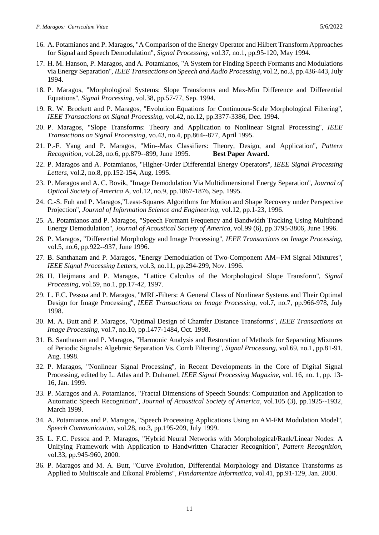- 16. A. Potamianos and P. Maragos, "A Comparison of the Energy Operator and Hilbert Transform Approaches for Signal and Speech Demodulation'', *Signal Processing*, vol.37, no.1, pp.95-120, May 1994.
- 17. H. M. Hanson, P. Maragos, and A. Potamianos, "A System for Finding Speech Formants and Modulations via Energy Separation'', *IEEE Transactions on Speech and Audio Processing*, vol.2, no.3, pp.436-443, July 1994.
- 18. P. Maragos, "Morphological Systems: Slope Transforms and Max-Min Difference and Differential Equations'', *Signal Processing*, vol.38, pp.57-77, Sep. 1994.
- 19. R. W. Brockett and P. Maragos, "Evolution Equations for Continuous-Scale Morphological Filtering'', *IEEE Transactions on Signal Processing*, vol.42, no.12, pp.3377-3386, Dec. 1994.
- 20. P. Maragos, "Slope Transforms: Theory and Application to Nonlinear Signal Processing'', *IEEE Transactions on Signal Processing*, vo.43, no.4, pp.864--877, April 1995.
- 21. P.-F. Yang and P. Maragos, "Min--Max Classifiers: Theory, Design, and Application'', *Pattern Recognition*, vol.28, no.6, pp.879--899, June 1995. **Best Paper Award**.
- 22. P. Maragos and A. Potamianos, "Higher-Order Differential Energy Operators'', *IEEE Signal Processing Letters*, vol.2, no.8, pp.152-154, Aug. 1995.
- 23. P. Maragos and A. C. Bovik, "Image Demodulation Via Multidimensional Energy Separation'', *Journal of Optical Society of America A*, vol.12, no.9, pp.1867-1876, Sep. 1995.
- 24. C.-S. Fuh and P. Maragos,"Least-Squares Algorithms for Motion and Shape Recovery under Perspective Projection'', *Journal of Information Science and Engineering*, vol.12, pp.1-23, 1996.
- 25. A. Potamianos and P. Maragos, "Speech Formant Frequency and Bandwidth Tracking Using Multiband Energy Demodulation'', *Journal of Acoustical Society of America*, vol.99 (6), pp.3795-3806, June 1996.
- 26. P. Maragos, "Differential Morphology and Image Processing'', *IEEE Transactions on Image Processing*, vol.5, no.6, pp.922--937, June 1996.
- 27. B. Santhanam and P. Maragos, "Energy Demodulation of Two-Component AM--FM Signal Mixtures'', *IEEE Signal Processing Letters*, vol.3, no.11, pp.294-299, Νov. 1996.
- 28. H. Heijmans and P. Maragos, "Lattice Calculus of the Morphological Slope Transform'', *Signal Processing,* vol.59, no.1, pp.17-42, 1997.
- 29. L. F.C. Pessoa and P. Maragos, "MRL-Filters: A General Class of Nonlinear Systems and Their Optimal Design for Image Processing'', *IEEE Transactions on Image Processing,* vol.7, no.7, pp.966-978, July 1998.
- 30. M. A. Butt and P. Maragos, "Optimal Design of Chamfer Distance Transforms'', *IEEE Transactions on Image Processing,* vol.7, no.10, pp.1477-1484, Oct. 1998.
- 31. B. Santhanam and P. Maragos, "Harmonic Analysis and Restoration of Methods for Separating Mixtures of Periodic Signals: Algebraic Separation Vs. Comb Filtering'', *Signal Processing,* vol.69, no.1, pp.81-91, Aug. 1998.
- 32. P. Maragos, "Nonlinear Signal Processing'', in Recent Developments in the Core of Digital Signal Processing, edited by L. Atlas and P. Duhamel, *IEEE Signal Processing Magazine*, vol. 16, no. 1, pp. 13- 16, Jan. 1999.
- 33. P. Maragos and A. Potamianos, "Fractal Dimensions of Speech Sounds: Computation and Application to Automatic Speech Recognition'', *Journal of Acoustical Society of America,* vol.105 (3), pp.1925--1932, March 1999.
- 34. A. Potamianos and P. Maragos, "Speech Processing Applications Using an AM-FM Modulation Model'', *Speech Communication*, vol.28, no.3, pp.195-209, July 1999.
- 35. L. F.C. Pessoa and P. Maragos, "Hybrid Neural Networks with Morphological/Rank/Linear Nodes: A Unifying Framework with Application to Handwritten Character Recognition'', *Pattern Recognition*, vol.33, pp.945-960, 2000.
- 36. P. Maragos and M. A. Butt, "Curve Evolution, Differential Morphology and Distance Transforms as Applied to Multiscale and Eikonal Problems", *Fundamentae Informatica*, vol.41, pp.91-129, Jan. 2000.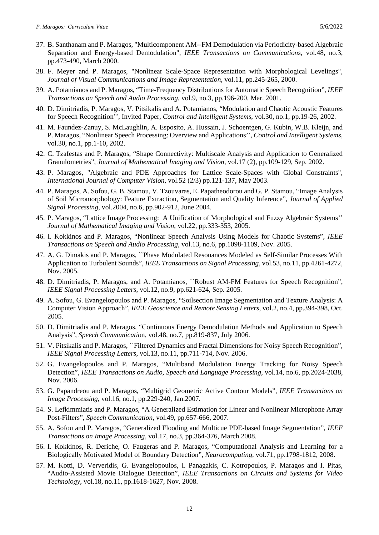- 37. B. Santhanam and P. Maragos, "Multicomponent AM--FM Demodulation via Periodicity-based Algebraic Separation and Energy-based Demodulation", *IEEE Transactions on Communications,* vol.48, no.3, pp.473-490, March 2000.
- 38. F. Meyer and P. Maragos, "Nonlinear Scale-Space Representation with Morphological Levelings", *Journal of Visual Communications and Image Representation*, vol.11, pp.245-265, 2000.
- 39. A. Potamianos and P. Maragos, "Time-Frequency Distributions for Automatic Speech Recognition", *IEEE Transactions on Speech and Audio Processing*, vol.9, no.3, pp.196-200, Mar. 2001.
- 40. D. Dimitriadis, P. Maragos, V. Pitsikalis and A. Potamianos, "Modulation and Chaotic Acoustic Features for Speech Recognition'', Invited Paper, *Control and Intelligent Systems*, vol.30, no.1, pp.19-26, 2002.
- 41. M. Faundez-Zanuy, S. McLaughlin, A. Esposito, A. Hussain, J. Schoentgen, G. Kubin, W.B. Kleijn, and P. Maragos, "Nonlinear Speech Processing: Overview and Applications'', *Control and Intelligent Systems*, vol.30, no.1, pp.1-10, 2002.
- 42. C. Tzafestas and P. Maragos, "Shape Connectivity: Multiscale Analysis and Application to Generalized Granulometries", *Journal of Mathematical Imaging and Vision*, vol.17 (2), pp.109-129, Sep. 2002.
- 43. P. Maragos, "Algebraic and PDE Approaches for Lattice Scale-Spaces with Global Constraints", *International Journal of Computer Vision,* vol.52 (2/3) pp.121-137, May 2003.
- 44. P. Maragos, A. Sofou, G. B. Stamou, V. Tzouvaras, E. Papatheodorou and G. P. Stamou, "Image Analysis of Soil Micromorphology: Feature Extraction, Segmentation and Quality Inference", *Journal of Applied Signal Processing*, vol.2004, no.6, pp.902-912, June 2004.
- 45. P. Maragos, "Lattice Image Processing: A Unification of Morphological and Fuzzy Algebraic Systems'' *Journal of Mathematical Imaging and Vision*, vol.22, pp.333-353, 2005.
- 46. I. Kokkinos and P. Maragos, "Nonlinear Speech Analysis Using Models for Chaotic Systems", *IEEE Transactions on Speech and Audio Processing*, vol.13, no.6, pp.1098-1109, Nov. 2005.
- 47. A. G. Dimakis and P. Maragos, ``Phase Modulated Resonances Modeled as Self-Similar Processes With Application to Turbulent Sounds", *IEEE Transactions on Signal Processing*, vol.53, no.11, pp.4261-4272, Nov. 2005.
- 48. D. Dimitriadis, P. Maragos, and A. Potamianos, ``Robust AM-FM Features for Speech Recognition", *IEEE Signal Processing Letters*, vol.12, no.9, pp.621-624, Sep. 2005.
- 49. A. Sofou, G. Evangelopoulos and P. Maragos, "Soilsection Image Segmentation and Texture Analysis: A Computer Vision Approach", *IEEE Geoscience and Remote Sensing Letters*, vol.2, no.4, pp.394-398, Oct. 2005.
- 50. D. Dimitriadis and P. Maragos, "Continuous Energy Demodulation Methods and Application to Speech Analysis", *Speech Communicatio*n, vol.48, no.7, pp.819-837, July 2006.
- 51. V. Pitsikalis and P. Maragos, ``Filtered Dynamics and Fractal Dimensions for Noisy Speech Recognition", *IEEE Signal Processing Letters*, vol.13, no.11, pp.711-714, Nov. 2006.
- 52. G. Evangelopoulos and P. Maragos, "Multiband Modulation Energy Tracking for Noisy Speech Detection", *IEEE Transactions on Audio, Speech and Language Processing,* vol.14, no.6, pp.2024-2038, Nov. 2006.
- 53. G. Papandreou and P. Maragos, "Multigrid Geometric Active Contour Models", *IEEE Transactions on Image Processing,* vol.16, no.1, pp.229-240, Jan.2007*.*
- 54. S. Lefkimmiatis and P. Maragos, "A Generalized Estimation for Linear and Nonlinear Microphone Array Post-Filters", *Speech Communication*, vol.49, pp.657-666, 2007.
- 55. A. Sofou and P. Maragos, "Generalized Flooding and Multicue PDE-based Image Segmentation", *IEEE Transactions on Image Processing,* vol.17, no.3, pp.364-376, March 2008.
- 56. I. Kokkinos, R. Deriche, O. Faugeras and P. Maragos, "Computational Analysis and Learning for a Biologically Motivated Model of Boundary Detection", *Neurocomputing*, vol.71, pp.1798-1812, 2008.
- 57. M. Kotti, D. Ververidis, G. Evangelopoulos, I. Panagakis, C. Kotropoulos, P. Maragos and I. Pitas, "Audio-Assisted Movie Dialogue Detection", *IEEE Transactions on Circuits and Systems for Video Technology,* vol.18, no.11, pp.1618-1627, Nov. 2008.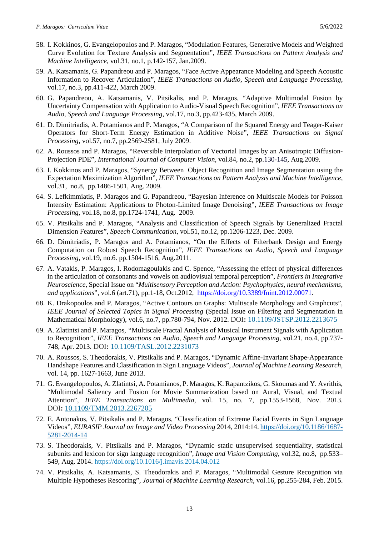- 58. I. Kokkinos, G. Evangelopoulos and P. Maragos, "Modulation Features, Generative Models and Weighted Curve Evolution for Texture Analysis and Segmentation", *IEEE Transactions on Pattern Analysis and Machine Intelligence,* vol.31, no.1, p.142-157, Jan.2009.
- 59. A. Katsamanis, G. Papandreou and P. Maragos, "Face Active Appearance Modeling and Speech Acoustic Information to Recover Articulation", *IEEE Transactions on Audio, Speech and Language Processing,*  vol.17, no.3, pp.411-422, March 2009.
- 60. G. Papandreou, A. Katsamanis, V. Pitsikalis, and P. Maragos, "Adaptive Multimodal Fusion by Uncertainty Compensation with Application to Audio-Visual Speech Recognition", *IEEE Transactions on Audio, Speech and Language Processing,* vol.17, no.3, pp.423-435, March 2009.
- 61. D. Dimitriadis, A. Potamianos and P. Maragos, "A Comparison of the Squared Energy and Teager-Kaiser Operators for Short-Term Energy Estimation in Additive Noise", *IEEE Transactions on Signal Processing*, vol.57, no.7, pp.2569-2581, July 2009.
- 62. A. Roussos and P. Maragos, "Reversible Interpolation of Vectorial Images by an Anisotropic Diffusion-Projection PDE", *International Journal of Computer Vision*, vol.84, no.2, pp.130-145, Aug.2009.
- 63. I. Kokkinos and P. Maragos, "Synergy Between Object Recognition and Image Segmentation using the Expectation Maximization Algorithm", *IEEE Transactions on Pattern Analysis and Machine Intelligence,*  vol.31, [no.8,](http://ieeexplore.ieee.org/xpl/tocresult.jsp?isnumber=5109415) pp.1486-1501, Aug. 2009.
- 64. S. Lefkimmiatis, P. Maragos and G. Papandreou, "Bayesian Inference on Multiscale Models for Poisson Intensity Estimation: Applications to Photon-Limited Image Denoising", *IEEE Transactions on Image Processing*, vol.18, no.8, pp.1724-1741, Aug. 2009.
- 65. V. Pitsikalis and P. Maragos, "Analysis and Classification of Speech Signals by Generalized Fractal Dimension Features", *Speech Communication*, vol.51, no.12, pp.1206-1223, Dec. 2009.
- 66. D. Dimitriadis, P. Maragos and A. Potamianos, "On the Effects of Filterbank Design and Energy Computation on Robust Speech Recognition", *IEEE Transactions on Audio, Speech and Language Processing,* vol.19, no.6. pp.1504-1516, Aug.2011*.*
- 67. A. Vatakis, P. Maragos, I. Rodomagoulakis and C. Spence, "Assessing the effect of physical differences in the articulation of consonants and vowels on audiovisual temporal perception", *Frontiers in Integrative Neuroscience*, Special Issue on "*Multisensory Perception and Action: Psychophysics, neural mechanisms, and applications*", vol.6 (art.71), pp.1-18, Oct.2012, [https://doi.org/10.3389/fnint.2012.00071.](https://doi.org/10.3389/fnint.2012.00071)
- 68. K. Drakopoulos and P. Maragos, "Active Contours on Graphs: Multiscale Morphology and Graphcuts", *IEEE Journal of Selected Topics in Signal Processing* (Special Issue on Filtering and Segmentation in Mathematical Morphology), vol.6, no.7, pp.780-794, Nov. 2012. DOI**:** [10.1109/JSTSP.2012.2213675](https://doi.org/10.1109/JSTSP.2012.2213675)
- 69. A. Zlatintsi and P. Maragos*, "*Multiscale Fractal Analysis of Musical Instrument Signals with Application to Recognition*"*, *IEEE Transactions on Audio, Speech and Language Processing*, vol.21, no.4, pp.737- 748, Apr. 2013. DOI**:** [10.1109/TASL.2012.2231073](https://doi.org/10.1109/TASL.2012.2231073)
- 70. A. Roussos, S. Theodorakis, V. Pitsikalis and P. Maragos, "Dynamic Affine-Invariant Shape-Appearance Handshape Features and Classification in Sign Language Videos", *Journal of Machine Learning Research*, vol. 14, pp. 1627-1663, June 2013.
- 71. G. Evangelopoulos, A. Zlatintsi, A. Potamianos, P. Maragos, K. Rapantzikos, G. Skoumas and Y. Avrithis, "Multimodal Saliency and Fusion for Movie Summarization based on Aural, Visual, and Textual Attention", *IEEE Transactions on Multimedia*, vol. 15, no. 7, pp.1553-1568, Nov. 2013. DOI**:** [10.1109/TMM.2013.2267205](https://doi.org/10.1109/TMM.2013.2267205)
- 72. E. Antonakos, V. Pitsikalis and P. Maragos, "Classification of Extreme Facial Events in Sign Language Videos", *EURASIP Journal on Image and Video Processing* 2014, 2014:14. [https://doi.org/10.1186/1687-](https://doi.org/10.1186/1687-5281-2014-14) [5281-2014-14](https://doi.org/10.1186/1687-5281-2014-14)
- 73. S. Theodorakis, V. Pitsikalis and P. Maragos, "Dynamic–static unsupervised sequentiality, statistical subunits and lexicon for sign language recognition", *Image and Vision Computing,* vol.32, no.8, pp.533– 549, Aug. 2014.<https://doi.org/10.1016/j.imavis.2014.04.012>
- 74. V. Pitsikalis, A. Katsamanis, S. Theodorakis and P. Maragos, "Multimodal Gesture Recognition via Multiple Hypotheses Rescoring", *Journal of Machine Learning Research*, vol.16, pp.255-284, Feb. 2015.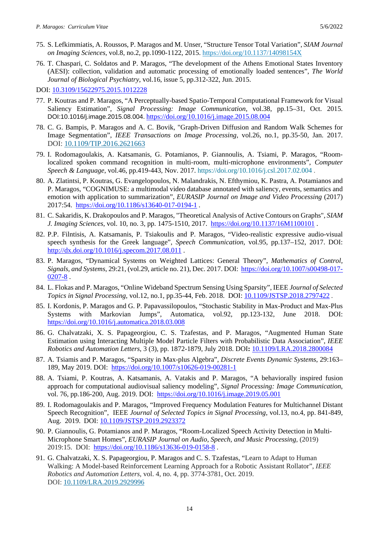- 75. S. Lefkimmiatis, A. Roussos, P. Maragos and M. Unser, "Structure Tensor Total Variation", *SIAM Journal on Imaging Sciences*, vol.8, no.2, pp.1090-1122, 2015.<https://doi.org/10.1137/14098154X>
- 76. T. Chaspari, C. Soldatos and P. Maragos, "The development of the Athens Emotional States Inventory (AESI): collection, validation and automatic processing of emotionally loaded sentences", *The World Journal of Biological Psychiatry*, vol.16, issue 5, pp.312-322, Jun. 2015.

DOI: [10.3109/15622975.2015.1012228](https://doi.org/10.3109/15622975.2015.1012228)

- 77. P. Koutras and P. Maragos, "A Perceptually-based Spatio-Temporal Computational Framework for Visual Saliency Estimation", *Signal Processing: Image Communication*, vol.38, pp.15–31, Oct. 2015. DOI:10.1016/j.image.2015.08.004. <https://doi.org/10.1016/j.image.2015.08.004>
- 78. C. G. Bampis, P. Maragos and A. C. Bovik, "Graph-Driven Diffusion and Random Walk Schemes for Image Segmentation", *IEEE Transactions on Image Processing*, vol.26, no.1, pp.35-50, Jan. 2017. DOI: [10.1109/TIP.2016.2621663](https://doi.org/10.1109/TIP.2016.2621663)
- 79. I. Rodomagoulakis, A. Katsamanis, G. Potamianos, P. Giannoulis, A. Tsiami, P. Maragos, "Roomlocalized spoken command recognition in multi-room, multi-microphone environments", *Computer Speech & Language*, vol.46, pp.419-443, Nov. 2017.<https://doi.org/10.1016/j.csl.2017.02.004> .
- 80. A. Zlatintsi, P. Koutras, G. Evangelopoulos, N. Malandrakis, N. Efthymiou, K. Pastra, A. Potamianos and P. Maragos, "COGNIMUSE: a multimodal video database annotated with saliency, events, semantics and emotion with application to summarization", *EURASIP Journal on Image and Video Processing* (2017) 2017:54. <https://doi.org/10.1186/s13640-017-0194-1> .
- 81. C. Sakaridis, K. Drakopoulos and P. Maragos, "Theoretical Analysis of Active Contours on Graphs", *SIAM J. Imaging Sciences*, vol. 10, no. 3, pp. 1475-1510, 2017. <https://doi.org/10.1137/16M1100101>.
- 82. P.P. Filntisis, A. Katsamanis, P. Tsiakoulis and P. Maragos, "Video-realistic expressive audio-visual speech synthesis for the Greek language", *Speech Communication*, vol.95, pp.137–152, 2017. DOI: <http://dx.doi.org/10.1016/j.specom.2017.08.011>.
- 83. P. Maragos, "Dynamical Systems on Weighted Lattices: General Theory", *Mathematics of Control, Signals, and Systems*, 29:21, (vol.29, article no. 21), Dec. 2017. DOI: [https://doi.org/10.1007/s00498-017-](https://doi.org/10.1007/s00498-017-0207-8) [0207-8](https://doi.org/10.1007/s00498-017-0207-8) .
- 84. L. Flokas and P. Maragos, "Online Wideband Spectrum Sensing Using Sparsity", IEEE *Journal of Selected Topics in Signal Processing*, vol.12, no.1, pp.35-44, Feb. 2018. DOI: [10.1109/JSTSP.2018.2797422](https://doi.org/10.1109/JSTSP.2018.2797422) .
- 85. I. Kordonis, P. Maragos and G. P. Papavassilopoulos, "Stochastic Stability in Max-Product and Max-Plus Systems with Markovian Jumps", Automatica, vol.92, pp.123-132, June 2018. DOI: <https://doi.org/10.1016/j.automatica.2018.03.008>
- 86. G. Chalvatzaki, X. S. Papageorgiou, C. S. Tzafestas, and P. Maragos, "Augmented Human State Estimation using Interacting Multiple Model Particle Filters with Probabilistic Data Association", *IEEE Robotics and Automation Letters*, 3 (3), pp. 1872-1879, July 2018. DOI**:** [10.1109/LRA.2018.2800084](https://doi.org/10.1109/LRA.2018.2800084)
- 87. A. Tsiamis and P. Maragos, "Sparsity in Max-plus Algebra", *Discrete Events Dynamic Systems*, 29:163– 189, May 2019. DOI: <https://doi.org/10.1007/s10626-019-00281-1>
- 88. A. Tsiami, P. Koutras, A. Katsamanis, A. Vatakis and P. Maragos, "A behaviorally inspired fusion approach for computational audiovisual saliency modeling", *Signal Processing: Image Communication*, vol. 76, pp.186-200, Aug. 2019. DOI: <https://doi.org/10.1016/j.image.2019.05.001>
- 89. I. Rodomagoulakis and P. Maragos, "Improved Frequency Modulation Features for Multichannel Distant Speech Recognition", IEEE *Journal of Selected Topics in Signal Processing*, vol.13, no.4, pp. 841-849, Aug. 2019. DOI: [10.1109/JSTSP.2019.2923372](https://doi.org/10.1109/JSTSP.2019.2923372)
- 90. P. Giannoulis, G. Potamianos and P. Maragos, "Room-Localized Speech Activity Detection in Multi-Microphone Smart Homes", *EURASIP Journal on Audio, Speech, and Music Processing*, (2019) 2019:15. DOI: <https://doi.org/10.1186/s13636-019-0158-8> .
- 91. G. Chalvatzaki, X. S. Papageorgiou, P. Maragos and C. S. Tzafestas, "Learn to Adapt to Human Walking: A Model-based Reinforcement Learning Approach for a Robotic Assistant Rollator", *IEEE Robotics and Automation Letters*, vol. 4, no. 4, pp. 3774-3781, Oct. 2019. DOI: [10.1109/LRA.2019.2929996](https://doi.org/10.1109/LRA.2019.2929996)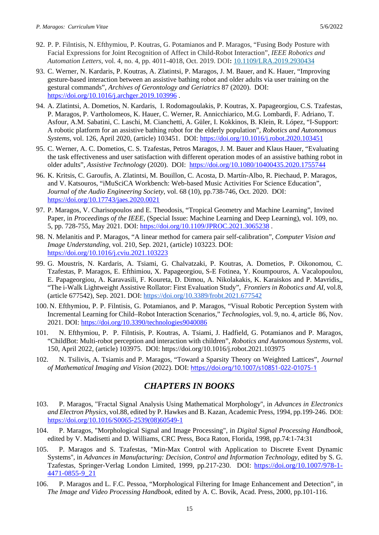- 92. P. P. Filntisis, N. Efthymiou, P. Koutras, G. Potamianos and P. Maragos, "Fusing Body Posture with Facial Expressions for Joint Recognition of Affect in Child-Robot Interaction", *IEEE Robotics and Automation Letters*, vol. 4, no. 4, pp. 4011-4018, Oct. 2019. DOI**:** [10.1109/LRA.2019.2930434](https://doi.org/10.1109/LRA.2019.2930434)
- 93. C. Werner, N. Kardaris, P. Koutras, A. Zlatintsi, P. Maragos, J. M. Bauer, and K. Hauer, "Improving gesture-based interaction between an assistive bathing robot and older adults via user training on the gestural commands", *Archives of Gerontology and Geriatrics* 87 (2020). DOI: <https://doi.org/10.1016/j.archger.2019.103996> .
- 94. A. Zlatintsi, A. Dometios, N. Kardaris, I. Rodomagoulakis, P. Koutras, X. Papageorgiou, C.S. Tzafestas, P. Maragos, P. Vartholomeos, K. Hauer, C. Werner, R. Annicchiarico, M.G. Lombardi, F. Adriano, T. Asfour, A.M. Sabatini, C. Laschi, M. Cianchetti, A. Güler, I. Kokkinos, B. Klein, R. López, "I-Support: A robotic platform for an assistive bathing robot for the elderly population", *Robotics and Autonomous Systems,* vol. 126, April 2020, (article) 103451. DOI:<https://doi.org/10.1016/j.robot.2020.103451>
- 95. C. Werner, A. C. Dometios, C. S. Tzafestas, Petros Maragos, J. M. Bauer and Klaus Hauer, "Evaluating the task effectiveness and user satisfaction with different operation modes of an assistive bathing robot in older adults", *Assistive Technology* (2020). DOI: <https://doi.org/10.1080/10400435.2020.1755744>
- 96. K. Kritsis, C. Garoufis, A. Zlatintsi, M. Bouillon, C. Acosta, D. Martín-Albo, R. Piechaud, P. Maragos, and V. Katsouros, "iMuSciCA Workbench: Web-based Music Activities For Science Education", *Journal of the Audio Engineering Society*, vol. 68 (10), pp.738-746, Oct. 2020. DOI: <https://doi.org/10.17743/jaes.2020.0021>
- 97. P. Maragos, V. Charisopoulos and E. Theodosis, "Tropical Geometry and Machine Learning", Invited Paper, in *Proceedings of the IEEE*, (Special Issue: Machine Learning and Deep Learning), vol. 109, no. 5, pp. 728-755, May 2021. DOI:<https://doi.org/10.1109/JPROC.2021.3065238> .
- 98. N. Melanitis and P. Maragos, "A linear method for camera pair self-calibration", *Computer Vision and Image Understanding*, vol. 210, Sep. 2021, (article) 103223. DOI: <https://doi.org/10.1016/j.cviu.2021.103223>
- 99. G. Moustris, N. Kardaris, A. Tsiami, G. Chalvatzaki, P. Koutras, A. Dometios, P. Oikonomou, C. Tzafestas, P. Maragos, E. Efthimiou, X. Papageorgiou, S-E Fotinea, Y. Koumpouros, A. Vacalopoulou, E. Papageorgiou, A. Karavasili, F. Koureta, D. Dimou, A. Nikolakakis, K. Karaiskos and P. Mavridis,, "The i-Walk Lightweight Assistive Rollator: First Evaluation Study", *Frontiers in Robotics and AI*, vol.8, (article 677542), Sep. 2021. DOI:<https://doi.org/10.3389/frobt.2021.677542>
- 100. N. Efthymiou, P. P. Filntisis, G. Potamianos, and P. Maragos, "Visual Robotic Perception System with Incremental Learning for Child–Robot Interaction Scenarios," *Technologies*, vol. 9, no. 4, article 86, Nov. 2021. DOI:<https://doi.org/10.3390/technologies9040086>
- 101. N. Efthymiou, P. P. Filntisis, P. Koutras, A. Tsiami, J. Hadfield, G. Potamianos and P. Maragos, "ChildBot: Multi-robot perception and interaction with children", *Robotics and Autonomous Systems*, vol. 150, April 2022, (article) 103975. DOI:<https://doi.org/10.1016/j.robot.2021.103975>
- 102. N. Tsilivis, A. Tsiamis and P. Maragos, "Toward a Sparsity Theory on Weighted Lattices", *Journal of Mathematical Imaging and Vision* (2022). DOI: <https://doi.org/10.1007/s10851-022-01075-1>

# *CHAPTERS IN BOOKS*

- 103. P. Maragos, "Fractal Signal Analysis Using Mathematical Morphology'', in *Advances in Electronics and Electron Physics*, vol.88, edited by P. Hawkes and B. Kazan, Academic Press, 1994, pp.199-246. DOI: [https://doi.org/10.1016/S0065-2539\(08\)60549-1](https://doi.org/10.1016/S0065-2539(08)60549-1)
- 104. P. Maragos, "Morphological Signal and Image Processing", in *Digital Signal Processing Handbook*, edited by V. Madisetti and D. Williams, CRC Press, Boca Raton, Florida, 1998, pp.74:1-74:31
- 105. P. Maragos and S. Tzafestas, "Min-Max Control with Application to Discrete Event Dynamic Systems'', in *Advances in Manufacturing: Decision, Control and Information Technology*, edited by S. G. Tzafestas, Springer-Verlag London Limited, 1999, pp.217-230. DOI: [https://doi.org/10.1007/978-1-](https://doi.org/10.1007/978-1-4471-0855-9_21) [4471-0855-9\\_21](https://doi.org/10.1007/978-1-4471-0855-9_21)
- 106. P. Maragos and L. F.C. Pessoa, "Morphological Filtering for Image Enhancement and Detection", in *The Image and Video Processing Handbook*, edited by A. C. Bovik, Acad. Press, 2000, pp.101-116.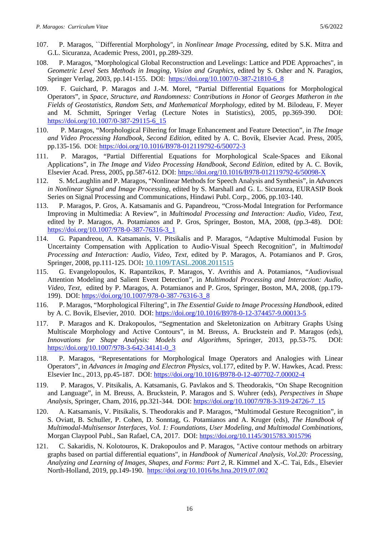- 107. P. Maragos, ``Differential Morphology'', in *Nonlinear Image Processin*g, edited by S.K. Mitra and G.L. Sicuranza, Academic Press, 2001, pp.289-329.
- 108. P. Maragos, "Morphological Global Reconstruction and Levelings: Lattice and PDE Approaches", in *Geometric Level Sets Methods in Imaging, Vision and Graphics*, edited by S. Osher and N. Paragios, Springer Verlag, 2003, pp.141-155. DOI: https://doi.org/10.1007/0-387-21810-6\_8
- 109. F. Guichard, P. Maragos and J.-M. Morel, "Partial Differential Equations for Morphological Operators", in *Space, Structure, and Randomness: Contributions in Honor* of *Georges Matheron in the Fields of Geostatistics, Random Sets, and Mathematical Morphology*, edited by M. Bilodeau, F. Meyer and M. Schmitt, Springer Verlag (Lecture Notes in Statistics), 2005, pp.369-390. DOI: https://doi.org/10.1007/0-387-29115-6\_15
- 110. P. Maragos, "Morphological Filtering for Image Enhancement and Feature Detection", in *The Image and Video Processing Handbook, Second Edition*, edited by A. C. Bovik, Elsevier Acad. Press, 2005, pp.135-156. DOI:<https://doi.org/10.1016/B978-012119792-6/50072-3>
- 111. P. Maragos, "Partial Differential Equations for Morphological Scale-Spaces and Eikonal Applications", in *The Image and Video Processing Handbook, Second Edition*, edited by A. C. Bovik, Elsevier Acad. Press, 2005, pp.587-612. DOI:<https://doi.org/10.1016/B978-012119792-6/50098-X>
- 112. S. McLaughlin and P. Maragos, "Nonlinear Methods for Speech Analysis and Synthesis", in *Advances in Nonlinear Signal and Image Processing*, edited by S. Marshall and G. L. Sicuranza, EURASIP Book Series on Signal Processing and Communications, Hindawi Publ. Corp., 2006, pp.103-140.
- 113. P. Maragos, P. Gros, A. Katsamanis and G. Papandreou, "Cross-Modal Integration for Performance Improving in Multimedia: A Review", in *Multimodal Processing and Interaction: Audio, Video, Text*, edited by P. Maragos, A. Potamianos and P. Gros, Springer, Boston, MA, 2008, (pp.3-48). DOI: [https://doi.org/10.1007/978-0-387-76316-3\\_1](https://doi.org/10.1007/978-0-387-76316-3_1)
- 114. G. Papandreou, A. Katsamanis, V. Pitsikalis and P. Maragos, "Adaptive Multimodal Fusion by Uncertainty Compensation with Application to Audio-Visual Speech Recognition", in *Multimodal Processing and Interaction: Audio, Video, Text*, edited by P. Maragos, A. Potamianos and P. Gros, Springer, 2008, pp.111-125. DOI**:** [10.1109/TASL.2008.2011515](https://doi.org/10.1109/TASL.2008.2011515)
- 115. G. Evangelopoulos, K. Rapantzikos, P. Maragos, Y. Avrithis and A. Potamianos, "Audiovisual Attention Modeling and Salient Event Detection", in *Multimodal Processing and Interaction: Audio, Video, Text*, edited by P. Maragos, A. Potamianos and P. Gros, Springer, Boston, MA, 2008, (pp.179- 199). DOI: [https://doi.org/10.1007/978-0-387-76316-3\\_8](https://doi.org/10.1007/978-0-387-76316-3_8)
- 116. P. Maragos, "Morphological Filtering", in *The Essential Guide to Image Processing Handbook,* edited by A. C. Bovik, Elsevier, 2010. DOI:<https://doi.org/10.1016/B978-0-12-374457-9.00013-5>
- 117. P. Maragos and K. Drakopoulos, "Segmentation and Skeletonization on Arbitrary Graphs Using Multiscale Morphology and Active Contours", in M. Breuss, A. Bruckstein and P. Maragos (eds), *Innovations for Shape Analysis: Models and Algorithms*, Springer, 2013, pp.53-75. DOI: https://doi.org/10.1007/978-3-642-34141-0\_3
- 118. P. Maragos, "Representations for Morphological Image Operators and Analogies with Linear Operators", in *Advances in Imaging and Electron Physics*, vol.177, edited by P. W. Hawkes, Acad. Press: Elsevier Inc., 2013, pp.45-187. DOI:<https://doi.org/10.1016/B978-0-12-407702-7.00002-4>
- 119. P. Maragos, V. Pitsikalis, A. Katsamanis, G. Pavlakos and S. Theodorakis, "On Shape Recognition and Language", in M. Breuss, A. Bruckstein, P. Maragos and S. Wuhrer (eds), *Perspectives in Shape Analysis*, Springer, Cham, 2016, pp.321-344. DOI: https://doi.org/10.1007/978-3-319-24726-7\_15
- 120. A. Katsamanis, V. Pitsikalis, S. Theodorakis and P. Maragos, "Multimodal Gesture Recognition", in S. Oviatt, B. Schuller, P. Cohen, D. Sonntag, G. Potamianos and A. Kruger (eds), *The Handbook of Multimodal-Multisensor Interfaces, Vol. 1: Foundations, User Modeling, and Multimodal Combinations*, Morgan Claypool Publ., San Rafael, CA, 2017. DOI:<https://doi.org/10.1145/3015783.3015796>
- 121. C. Sakaridis, N. Kolotouros, K. Drakopoulos and P. Maragos, "Active contour methods on arbitrary graphs based on partial differential equations", in *Handbook of Numerical Analysis, Vol.20: Processing, Analyzing and Learning of Images, Shapes, and Forms: Part 2*, R. Kimmel and X.-C. Tai, Eds., Elsevier North-Holland, 2019, pp.149-190. <https://doi.org/10.1016/bs.hna.2019.07.002>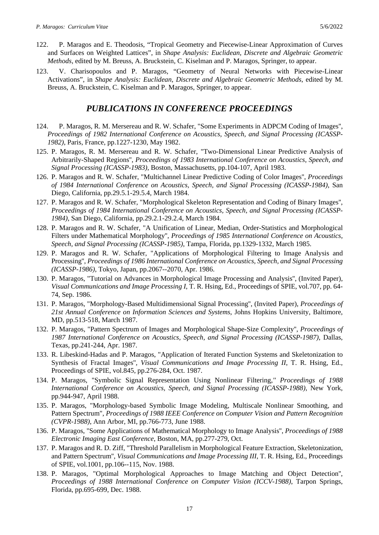- 122. P. Maragos and E. Theodosis, "Tropical Geometry and Piecewise-Linear Approximation of Curves and Surfaces on Weighted Lattices", in *Shape Analysis: Euclidean, Discrete and Algebraic Geometric Methods*, edited by M. Breuss, A. Bruckstein, C. Kiselman and P. Maragos, Springer, to appear.
- 123. V. Charisopoulos and P. Maragos, "Geometry of Neural Networks with Piecewise-Linear Activations", in *Shape Analysis: Euclidean, Discrete and Algebraic Geometric Methods*, edited by M. Breuss, A. Bruckstein, C. Kiselman and P. Maragos, Springer, to appear.

## *PUBLICATIONS IN CONFERENCE PROCEEDINGS*

- 124. P. Maragos, R. M. Mersereau and R. W. Schafer, "Some Experiments in ADPCM Coding of Images'', *Proceedings of 1982 International Conference on Acoustics, Speech, and Signal Processing (ICASSP-1982)*, Paris, France, pp.1227-1230, May 1982.
- 125. P. Maragos, R. M. Mersereau and R. W. Schafer, "Two-Dimensional Linear Predictive Analysis of Arbitrarily-Shaped Regions'', *Proceedings of 1983 International Conference on Acoustics, Speech, and Signal Processing (ICASSP-1983),* Boston, Massachusetts, pp.104-107, April 1983.
- 126. P. Maragos and R. W. Schafer, "Multichannel Linear Predictive Coding of Color Images'', *Proceedings of 1984 International Conference on Acoustics, Speech, and Signal Processing (ICASSP-1984)*, San Diego, California, pp.29.5.1-29.5.4, March 1984.
- 127. P. Maragos and R. W. Schafer, "Morphological Skeleton Representation and Coding of Binary Images'', *Proceedings of 1984 International Conference on Acoustics, Speech, and Signal Processing (ICASSP-1984)*, San Diego, California, pp.29.2.1-29.2.4, March 1984.
- 128. P. Maragos and R. W. Schafer, "A Unification of Linear, Median, Order-Statistics and Morphological Filters under Mathematical Morphology'', *Proceedings of 1985 International Conference on Acoustics, Speech, and Signal Processing (ICASSP-1985)*, Tampa, Florida, pp.1329-1332, March 1985.
- 129. P. Maragos and R. W. Schafer, "Applications of Morphological Filtering to Image Analysis and Processing'', *Proceedings of 1986 International Conference on Acoustics, Speech, and Signal Processing (ICASSP-1986)*, Tokyo, Japan, pp.2067--2070, Apr. 1986.
- 130. P. Maragos, "Tutorial on Advances in Morphological Image Processing and Analysis'', (Invited Paper), *Visual Communications and Image Processing I*, T. R. Hsing, Ed., Proceedings of SPIE, vol.707, pp. 64- 74, Sep. 1986.
- 131. P. Maragos, "Morphology-Based Multidimensional Signal Processing'', (Invited Paper), *Proceedings of 21st Annual Conference on Information Sciences and Systems*, Johns Hopkins University, Baltimore, MD, pp.513-518, March 1987.
- 132. P. Maragos, "Pattern Spectrum of Images and Morphological Shape-Size Complexity'', *Proceedings of 1987 International Conference on Acoustics, Speech, and Signal Processing (ICASSP-1987)*, Dallas, Texas, pp.241-244, Apr. 1987.
- 133. R. Libeskind-Hadas and P. Maragos, "Application of Iterated Function Systems and Skeletonization to Synthesis of Fractal Images''*, Visual Communications and Image Processing II*, T. R. Hsing, Ed., Proceedings of SPIE, vol.845, pp.276-284, Oct. 1987.
- 134. P. Maragos, "Symbolic Signal Representation Using Nonlinear Filtering,*'' Proceedings of 1988 International Conference on Acoustics, Speech, and Signal Processing (ICASSP-1988)*, New York, pp.944-947, April 1988.
- 135. P. Maragos, "Morphology-based Symbolic Image Modeling, Multiscale Nonlinear Smoothing, and Pattern Spectrum", *Proceedings of 1988 IEEE Conference on Computer Vision and Pattern Recognition (CVPR-1988)*, Ann Arbor, MI, pp.766-773, June 1988.
- 136. P. Maragos, "Some Applications of Mathematical Morphology to Image Analysis'', *Proceedings of 1988 Electronic Imaging East Conference*, Boston, MA, pp.277-279, Oct.
- 137. P. Maragos and R. D. Ziff, "Threshold Parallelism in Morphological Feature Extraction, Skeletonization, and Pattern Spectrum'', *Visual Communications and Image Processing III*, T. R. Hsing, Ed., Proceedings of SPIE, vol.1001, pp.106--115, Nov. 1988.
- 138. P. Maragos, "Optimal Morphological Approaches to Image Matching and Object Detection'', *Proceedings of 1988 International Conference on Computer Vision (ICCV-1988)*, Tarpon Springs, Florida, pp.695-699, Dec. 1988.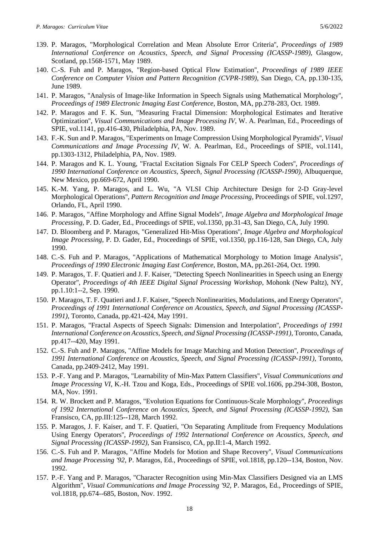- 139. P. Maragos, "Morphological Correlation and Mean Absolute Error Criteria'', *Proceedings of 1989 International Conference on Acoustics, Speech, and Signal Processing (ICASSP-1989)*, Glasgow, Scotland, pp.1568-1571, May 1989.
- 140. C.-S. Fuh and P. Maragos, "Region-based Optical Flow Estimation'', *Proceedings of 1989 IEEE Conference on Computer Vision and Pattern Recognition (CVPR-1989)*, San Diego, CA, pp.130-135, June 1989.
- 141. P. Maragos, "Analysis of Image-like Information in Speech Signals using Mathematical Morphology'', *Proceedings of 1989 Electronic Imaging East Conference*, Boston, MA, pp.278-283, Oct. 1989.
- 142. P. Maragos and F. K. Sun, "Measuring Fractal Dimension: Morphological Estimates and Iterative Optimization'', *Visual Communications and Image Processing IV*, W. A. Pearlman, Ed., Proceedings of SPIE, vol.1141, pp.416-430, Philadelphia, PA, Nov. 1989.
- 143. F.-K. Sun and P. Maragos, "Experiments on Image Compression Using Morphological Pyramids'', *Visual Communications and Image Processing IV*, W. A. Pearlman, Ed., Proceedings of SPIE, vol.1141, pp.1303-1312, Philadelphia, PA, Nov. 1989.
- 144. P. Maragos and K. L. Young, "Fractal Excitation Signals For CELP Speech Coders'', *Proceedings of 1990 International Conference on Acoustics, Speech, Signal Processing (ICASSP-1990)*, Albuquerque, New Mexico, pp.669-672, April 1990.
- 145. K.-M. Yang, P. Maragos, and L. Wu, "A VLSI Chip Architecture Design for 2-D Gray-level Morphological Operations'', *Pattern Recognition and Image Processing*, Proceedings of SPIE, vol.1297, Orlando, FL, April 1990.
- 146. P. Maragos, "Affine Morphology and Affine Signal Models'', *Image Algebra and Morphological Image Processing*, P. D. Gader, Ed., Proceedings of SPIE, vol.1350, pp.31-43, San Diego, CA, July 1990.
- 147. D. Bloomberg and P. Maragos, "Generalized Hit-Miss Operations'', *Image Algebra and Morphological Image Processing*, P. D. Gader, Ed., Proceedings of SPIE, vol.1350, pp.116-128, San Diego, CA, July 1990.
- 148. C.-S. Fuh and P. Maragos, "Applications of Mathematical Morphology to Motion Image Analysis'', *Proceedings of 1990 Electronic Imaging East Conference*, Boston, MA, pp.261-264, Oct. 1990.
- 149. P. Maragos, T. F. Quatieri and J. F. Kaiser, "Detecting Speech Nonlinearities in Speech using an Energy Operator'', *Proceedings of 4th IEEE Digital Signal Processing Workshop*, Mohonk (New Paltz), NY, pp.1.10:1--2, Sep. 1990.
- 150. P. Maragos, T. F. Quatieri and J. F. Kaiser, "Speech Nonlinearities, Modulations, and Energy Operators'', *Proceedings of 1991 International Conference on Acoustics, Speech, and Signal Processing (ICASSP-1991)*, Toronto, Canada, pp.421-424, May 1991.
- 151. P. Maragos, "Fractal Aspects of Speech Signals: Dimension and Interpolation'', *Proceedings of 1991 International Conference on Acoustics, Speech, and Signal Processing (ICASSP-1991)*, Toronto, Canada, pp.417--420, May 1991.
- 152. C.-S. Fuh and P. Maragos, "Affine Models for Image Matching and Motion Detection'', *Proceedings of 1991 International Conference on Acoustics, Speech, and Signal Processing (ICASSP-1991)*, Toronto, Canada, pp.2409-2412, May 1991.
- 153. P.-F. Yang and P. Maragos, "Learnability of Min-Max Pattern Classifiers'', *Visual Communications and Image Processing VI*, K.-H. Tzou and Koga, Eds., Proceedings of SPIE vol.1606, pp.294-308, Boston, MA, Nov. 1991.
- 154. R. W. Brockett and P. Maragos, "Evolution Equations for Continuous-Scale Morphology'', *Proceedings of 1992 International Conference on Acoustics, Speech, and Signal Processing (ICASSP-1992)*, San Fransisco, CA, pp.III:125--128, March 1992.
- 155. P. Maragos, J. F. Kaiser, and T. F. Quatieri, "On Separating Amplitude from Frequency Modulations Using Energy Operators'', *Proceedings of 1992 International Conference on Acoustics, Speech, and Signal Processing (ICASSP-1992)*, San Fransisco, CA, pp.II:1-4, March 1992.
- 156. C.-S. Fuh and P. Maragos, "Affine Models for Motion and Shape Recovery'', *Visual Communications and Image Processing '92*, P. Maragos, Ed., Proceedings of SPIE, vol.1818, pp.120--134, Boston, Nov. 1992.
- 157. P.-F. Yang and P. Maragos, "Character Recognition using Min-Max Classifiers Designed via an LMS Algorithm'', *Visual Communications and Image Processing '92*, P. Maragos, Ed., Proceedings of SPIE, vol.1818, pp.674--685, Boston, Nov. 1992.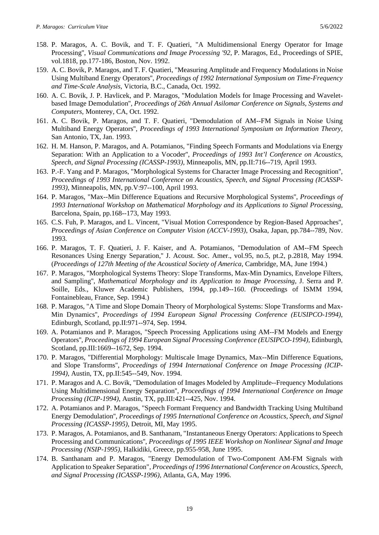- 158. P. Maragos, A. C. Bovik, and T. F. Quatieri, "A Multidimensional Energy Operator for Image Processing'', *Visual Communications and Image Processing '92*, P. Maragos, Ed., Proceedings of SPIE, vol.1818, pp.177-186, Boston, Nov. 1992.
- 159. A. C. Bovik, P. Maragos, and T. F. Quatieri, "Measuring Amplitude and Frequency Modulations in Noise Using Multiband Energy Operators'', *Proceedings of 1992 International Symposium on Time-Frequency and Time-Scale Analysis*, Victoria, B.C., Canada, Oct. 1992.
- 160. A. C. Bovik, J. P. Havlicek, and P. Maragos, "Modulation Models for Image Processing and Waveletbased Image Demodulation''*, Proceedings of 26th Annual Asilomar Conference on Signals, Systems and Computers*, Monterey, CA, Oct. 1992.
- 161. A. C. Bovik, P. Maragos, and T. F. Quatieri, "Demodulation of AM--FM Signals in Noise Using Multiband Energy Operators'', *Proceedings of 1993 International Symposium on Information Theory*, San Antonio, TX, Jan. 1993.
- 162. H. M. Hanson, P. Maragos, and A. Potamianos, "Finding Speech Formants and Modulations via Energy Separation: With an Application to a Vocoder'', *Proceedings of 1993 Int'l Conference on Acoustics, Speech, and Signal Processing (ICASSP-1993)*, Minneapolis, MN, pp.II:716--719, April 1993.
- 163. P.-F. Yang and P. Maragos, "Morphological Systems for Character Image Processing and Recognition''*, Proceedings of 1993 International Conference on Acoustics, Speech, and Signal Processing (ICASSP-1993)*, Minneapolis, MN, pp.V:97--100, April 1993.
- 164. P. Maragos, "Max--Min Difference Equations and Recursive Morphological Systems'', *Proceedings of 1993 International Workshop on Mathematical Morphology and its Applications to Signal Processing*, Barcelona, Spain, pp.168--173, May 1993.
- 165. C.S. Fuh, P. Maragos, and L. Vincent, "Visual Motion Correspondence by Region-Based Approaches'', *Proceedings of Asian Conference on Computer Vision (ACCV-1993)*, Osaka, Japan, pp.784--789, Nov. 1993.
- 166. P. Maragos, T. F. Quatieri, J. F. Kaiser, and A. Potamianos, "Demodulation of AM--FM Speech Resonances Using Energy Separation,'' J. Acoust. Soc. Amer., vol.95, no.5, pt.2, p.2818, May 1994. (*Proceedings of 127th Meeting of the Acoustical Society of America*, Cambridge, MA, June 1994.)
- 167. P. Maragos, "Morphological Systems Theory: Slope Transforms, Max-Min Dynamics, Envelope Filters, and Sampling'', *Mathematical Morphology and its Application to Image Processing*, J. Serra and P. Soille, Eds., Kluwer Academic Publishers, 1994, pp.149--160. (Proceedings of ISMM 1994, Fontainebleau, France, Sep. 1994.)
- 168. P. Maragos, "A Time and Slope Domain Theory of Morphological Systems: Slope Transforms and Max-Min Dynamics'', *Proceedings of 1994 European Signal Processing Conference (EUSIPCO-1994)*, Edinburgh, Scotland, pp.II:971--974, Sep. 1994.
- 169. A. Potamianos and P. Maragos, "Speech Processing Applications using AM--FM Models and Energy Operators'', *Proceedings of 1994 European Signal Processing Conference (EUSIPCO-1994)*, Edinburgh, Scotland, pp.III:1669--1672, Sep. 1994.
- 170. P. Maragos, "Differential Morphology: Multiscale Image Dynamics, Max--Min Difference Equations, and Slope Transforms'', *Proceedings of 1994 International Conference on Image Processing (ICIP-1994)*, Austin, TX, pp.II:545--549, Nov. 1994.
- 171. P. Maragos and A. C. Bovik, "Demodulation of Images Modeled by Amplitude--Frequency Modulations Using Multidimensional Energy Separation'', *Proceedings of 1994 International Conference on Image Processing (ICIP-1994)*, Austin, TX, pp.III:421--425, Nov. 1994.
- 172. A. Potamianos and P. Maragos, "Speech Formant Frequency and Bandwidth Tracking Using Multiband Energy Demodulation'', *Proceedings of 1995 International Conference on Acoustics, Speech, and Signal Processing (ICASSP-1995)*, Detroit, MI, May 1995.
- 173. P. Maragos, A. Potamianos, and B. Santhanam, "Instantaneous Energy Operators: Applications to Speech Processing and Communications'', *Proceedings of 1995 IEEE Workshop on Nonlinear Signal and Image Processing (NSIP-1995)*, Halkidiki, Greece, pp.955-958, June 1995.
- 174. B. Santhanam and P. Maragos, "Energy Demodulation of Two-Component AM-FM Signals with Application to Speaker Separation", *Proceedings of 1996 International Conference on Acoustics, Speech, and Signal Processing (ICASSP-1996)*, Atlanta, GA, May 1996.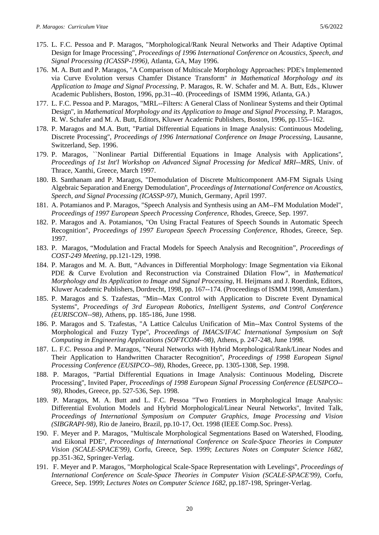- 175. L. F.C. Pessoa and P. Maragos, "Morphological/Rank Neural Networks and Their Adaptive Optimal Design for Image Processing", *Proceedings of 1996 International Conference on Acoustics, Speech, and Signal Processing (ICASSP-1996)*, Atlanta, GA, May 1996.
- 176. M. A. Butt and P. Maragos, "A Comparison of Multiscale Morphology Approaches: PDE's Implemented via Curve Evolution versus Chamfer Distance Transform'' *in Mathematical Morphology and its Application to Image and Signal Processing*, P. Maragos, R. W. Schafer and M. A. Butt, Eds., Kluwer Academic Publishers, Boston, 1996, pp.31--40. (Proceedings of ISMM 1996, Atlanta, GA.)
- 177. L. F.C. Pessoa and P. Maragos, "MRL--Filters: A General Class of Nonlinear Systems and their Optimal Design'', in *Mathematical Morphology and its Application to Image and Signal Processing*, P. Maragos, R. W. Schafer and M. A. Butt, Editors, Kluwer Academic Publishers, Boston, 1996, pp.155--162.
- 178. P. Maragos and M.A. Butt, "Partial Differential Equations in Image Analysis: Continuous Modeling, Discrete Processing'', *Proceedings of 1996 International Conference on Image Processing*, Lausanne, Switzerland, Sep. 1996.
- 179. P. Maragos, ``Nonlinear Partial Differential Equations in Image Analysis with Applications'', *Proceedings of 1st Int'l Workshop on Advanced Signal Processing for Medical MRI--MRS*, Univ. of Thrace, Xanthi, Greece, March 1997.
- 180. B. Santhanam and P. Maragos, "Demodulation of Discrete Multicomponent AM-FM Signals Using Algebraic Separation and Energy Demodulation'', *Proceedings of International Conference on Acoustics, Speech, and Signal Processing (ICASSP-97)*, Munich, Germany, April 1997.
- 181. A. Potamianos and P. Maragos, "Speech Analysis and Synthesis using an AM--FM Modulation Model", *Proceedings of 1997 European Speech Processing Conference*, Rhodes, Greece, Sep. 1997.
- 182. P. Maragos and A. Potamianos, "On Using Fractal Features of Speech Sounds in Automatic Speech Recognition", *Proceedings of 1997 European Speech Processing Conference*, Rhodes, Greece, Sep. 1997.
- 183. P. Maragos, "Modulation and Fractal Models for Speech Analysis and Recognition", *Proceedings of COST-249 Meeting*, pp.121-129, 1998.
- 184. P. Maragos and M. A. Butt, "Advances in Differential Morphology: Image Segmentation via Eikonal PDE & Curve Evolution and Reconstruction via Constrained Dilation Flow", in *Mathematical Morphology and Its Application to Image and Signal Processing*, H. Heijmans and J. Roerdink, Editors, Kluwer Academic Publishers, Dordrecht, 1998, pp. 167--174. (Proceedings of ISMM 1998, Amsterdam.)
- 185. P. Maragos and S. Tzafestas, "Min--Max Control with Application to Discrete Event Dynamical Systems'', *Proceedings of 3rd European Robotics, Intelligent Systems, and Control Conference (EURISCON--98)*, Athens, pp. 185-186, June 1998.
- 186. P. Maragos and S. Tzafestas, "A Lattice Calculus Unification of Min--Max Control Systems of the Morphological and Fuzzy Type'', *Proceedings of IMACS/IFAC International Symposium on Soft Computing in Engineering Applications (SOFTCOM--98)*, Athens, p. 247-248, June 1998.
- 187. L. F.C. Pessoa and P. Maragos, "Neural Networks with Hybrid Morphological/Rank/Linear Nodes and Their Application to Handwritten Character Recognition'', *Proceedings of 1998 European Signal Processing Conference (EUSIPCO--98)*, Rhodes, Greece, pp. 1305-1308, Sep. 1998.
- 188. P. Maragos, "Partial Differential Equations in Image Analysis: Continuous Modeling, Discrete Processing'', Invited Paper, *Proceedings of 1998 European Signal Processing Conference (EUSIPCO-- 98)*, Rhodes, Greece, pp. 527-536, Sep. 1998.
- 189. P. Maragos, M. A. Butt and L. F.C. Pessoa "Two Frontiers in Morphological Image Analysis: Differential Evolution Models and Hybrid Morphological/Linear Neural Networks'', Invited Talk, *Proceedings of International Symposium on Computer Graphics, Image Processing and Vision (SIBGRAPI-98)*, Rio de Janeiro, Brazil, pp.10-17, Oct. 1998 (IEEE Comp.Soc. Press).
- 190. F. Meyer and P. Maragos, "Multiscale Morphological Segmentations Based on Watershed, Flooding, and Eikonal PDE'', *Proceedings of International Conference on Scale-Space Theories in Computer Vision (SCALE-SPACE'99)*, Corfu, Greece, Sep. 1999; *Lectures Notes on Computer Science 1682*, pp.351-362, Springer-Verlag.
- 191. F. Meyer and P. Maragos, "Morphological Scale-Space Representation with Levelings'', *Proceedings of International Conference on Scale-Space Theories in Computer Vision (SCALE-SPACE'99)*, Corfu, Greece, Sep. 1999; *Lectures Notes on Computer Science 1682*, pp.187-198, Springer-Verlag.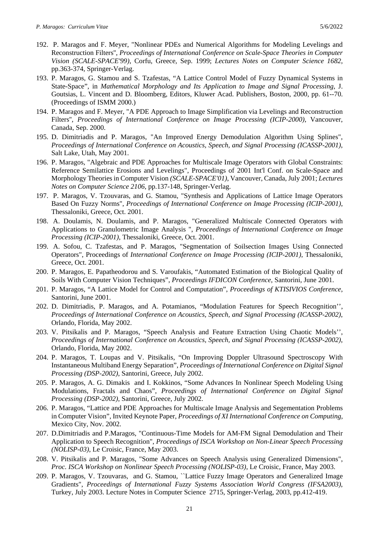- 192. P. Maragos and F. Meyer, "Nonlinear PDEs and Numerical Algorithms for Modeling Levelings and Reconstruction Filters'', *Proceedings of International Conference on Scale-Space Theories in Computer Vision (SCALE-SPACE'99)*, Corfu, Greece, Sep. 1999; *Lectures Notes on Computer Science 1682*, pp.363-374, Springer-Verlag.
- 193. P. Maragos, G. Stamou and S. Tzafestas, "A Lattice Control Model of Fuzzy Dynamical Systems in State-Space", in *Mathematical Morphology and Its Application to Image and Signal Processing*, J. Goutsias, L. Vincent and D. Bloomberg, Editors, Kluwer Acad. Publishers, Boston, 2000, pp. 61--70. (Proceedings of ISMM 2000.)
- 194. P. Maragos and F. Meyer, "A PDE Approach to Image Simplification via Levelings and Reconstruction Filters'', *Proceedings of International Conference on Image Processing (ICIP-2000)*, Vancouver, Canada, Sep. 2000.
- 195. D. Dimitriadis and P. Maragos, "An Improved Energy Demodulation Algorithm Using Splines", *Proceedings of International Conference on Acoustics, Speech, and Signal Processing (ICASSP-2001)*, Salt Lake, Utah, May 2001.
- 196. P. Maragos, "Algebraic and PDE Approaches for Multiscale Image Operators with Global Constraints: Reference Semilattice Erosions and Levelings", Proceedings of 2001 Int'l Conf. on Scale-Space and Morphology Theories in Computer Vision *(SCALE-SPACE'01)*, Vancouver, Canada, July 2001; *Lectures Notes on Computer Science 2106*, pp.137-148, Springer-Verlag.
- 197. P. Maragos, V. Tzouvaras, and G. Stamou, "Synthesis and Applications of Lattice Image Operators Based On Fuzzy Norms", *Proceedings of International Conference on Image Processing (ICIP-2001)*, Thessaloniki, Greece, Oct. 2001.
- 198. A. Doulamis, N. Doulamis, and P. Maragos, "Generalized Multiscale Connected Operators with Applications to Granulometric Image Analysis ", *Proceedings of International Conference on Image Processing (ICIP-2001)*, Thessaloniki, Greece, Oct. 2001.
- 199. A. Sofou, C. Tzafestas, and P. Maragos, "Segmentation of Soilsection Images Using Connected Operators", Proceedings of *International Conference on Image Processing (ICIP-2001)*, Thessaloniki, Greece, Oct. 2001.
- 200. P. Maragos, E. Papatheodorou and S. Varoufakis, "Automated Estimation of the Biological Quality of Soils With Computer Vision Techniques", *Proceedings IFDICON Conference*, Santorini, June 2001.
- 201. P. Maragos, "A Lattice Model for Control and Computation", *Proceedings of KTISIVIOS Conference*, Santorini, June 2001.
- 202. D. Dimitriadis, P. Maragos, and A. Potamianos, "Modulation Features for Speech Recognition'', *Proceedings of International Conference on Acoustics, Speech, and Signal Processing (ICASSP-2002)*, Orlando, Florida, May 2002.
- 203. V. Pitsikalis and P. Maragos, "Speech Analysis and Feature Extraction Using Chaotic Models'', *Proceedings of International Conference on Acoustics, Speech, and Signal Processing (ICASSP-2002)*, Orlando, Florida, May 2002.
- 204. P. Maragos, T. Loupas and V. Pitsikalis, "On Improving Doppler Ultrasound Spectroscopy With Instantaneous Multiband Energy Separation", *Proceedings of International Conference on Digital Signal Processing (DSP-2002)*, Santorini, Greece, July 2002.
- 205. P. Maragos, A. G. Dimakis and I. Kokkinos, "Some Advances In Nonlinear Speech Modeling Using Modulations, Fractals and Chaos", *Proceedings of International Conference on Digital Signal Processing (DSP-2002)*, Santorini, Greece, July 2002.
- 206. P. Maragos, "Lattice and PDE Approaches for Multiscale Image Analysis and Segementation Problems in Computer Vision", Invited Keynote Paper, *Proceedings of XI International Conference on Computing,*  Mexico City, Nov. 2002*.*
- 207. D.Dimitriadis and P.Maragos, "Continuous-Time Models for AM-FM Signal Demodulation and Their Application to Speech Recognition", *Proceedings of ISCA Workshop on Non-Linear Speech Processing (NOLISP-03)*, Le Croisic, France, May 2003.
- 208. V. Pitsikalis and P. Maragos, "Some Advances on Speech Analysis using Generalized Dimensions", *Proc. ISCA Workshop on Nonlinear Speech Processing (NOLISP-03)*, Le Croisic, France, May 2003.
- 209. P. Maragos, V. Tzouvaras, and G. Stamou, ``Lattice Fuzzy Image Operators and Generalized Image Gradients", *Proceedings of International Fuzzy Systems Association World Congress (IFSA2003)*, Turkey, July 2003. Lecture Notes in Computer Science 2715, Springer-Verlag, 2003, pp.412-419.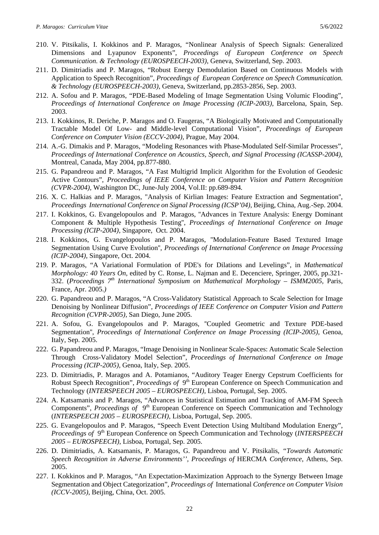- 210. V. Pitsikalis, I. Kokkinos and P. Maragos, "Nonlinear Analysis of Speech Signals: Generalized Dimensions and Lyapunov Exponents", *Proceedings of European Conference on Speech Communication. & Technology (EUROSPEECH-2003)*, Geneva, Switzerland, Sep. 2003.
- 211. D. Dimitriadis and P. Maragos, "Robust Energy Demodulation Based on Continuous Models with Application to Speech Recognition", *Proceedings of European Conference on Speech Communication. & Technology (EUROSPEECH-2003)*, Geneva, Switzerland, pp.2853-2856, Sep. 2003.
- 212. A. Sofou and P. Maragos, "PDE-Based Modeling of Image Segmentation Using Volumic Flooding", *Proceedings of International Conference on Image Processing (ICIP-2003)*, Barcelona, Spain, Sep. 2003.
- 213. I. Kokkinos, R. Deriche, P. Maragos and O. Faugeras, "A Biologically Motivated and Computationally Tractable Model Of Low- and Middle-level Computational Vision", *Proceedings of European Conference on Computer Vision (ECCV-2004),* Prague, May 2004.
- 214. A.-G. Dimakis and P. Maragos, "Modeling Resonances with Phase-Modulated Self-Similar Processes", *Proceedings of International Conference on Acoustics, Speech, and Signal Processing (ICASSP-2004)*, Montreal, Canada, May 2004, pp.877-880.
- 215. G. Papandreou and P. Maragos, "A Fast Multigrid Implicit Algorithm for the Evolution of Geodesic Active Contours", *Proceedings of IEEE Conference on Computer Vision and Pattern Recognition (CVPR-2004),* Washington DC, June-July 2004, Vol.II: pp.689-894*.*
- 216. X. C. Halkias and P. Maragos, "Analysis of Kirlian Images: Feature Extraction and Segmentation'', *Proceedings International Conference on Signal Processing (ICSP'04)*, Beijing, China, Aug.-Sep. 2004.
- 217. I. Kokkinos, G. Evangelopoulos and P. Maragos, ''Advances in Texture Analysis: Energy Dominant Component & Multiple Hypothesis Testing'', *Proceedings of International Conference on Image Processing (ICIP-2004),* Singapore, Oct. 2004.
- 218. I. Kokkinos, G. Evangelopoulos and P. Maragos, ''Modulation-Feature Based Textured Image Segmentation Using Curve Evolution'', *Proceedings of International Conference on Image Processing (ICIP-2004),* Singapore, Oct. 2004.
- 219. P. Maragos, "A Variational Formulation of PDE's for Dilations and Levelings", in *Mathematical Morphology: 40 Years On*, edited by C. Ronse, L. Najman and E. Decenciere, Springer, 2005, pp.321- 332. (*Proceedings 7th International Symposium on Mathematical Morphology – ISMM2005,* Paris, France, Apr. 2005.*)*
- 220. G. Papandreou and P. Maragos, "A Cross-Validatory Statistical Approach to Scale Selection for Image Denoising by Nonlinear Diffusion", *Proceedings of IEEE Conference on Computer Vision and Pattern Recognition (CVPR-2005),* San Diego, June 2005*.*
- 221. A. Sofou, G. Evangelopoulos and P. Maragos, ''Coupled Geometric and Texture PDE-based Segmentation'', *Proceedings of International Conference on Image Processing (ICIP-2005),* Genoa, Italy, Sep. 2005.
- 222. G. Papandreou and P. Maragos, "Image Denoising in Nonlinear Scale-Spaces: Automatic Scale Selection Through Cross-Validatory Model Selection", *Proceedings of International Conference on Image Processing (ICIP-2005),* Genoa, Italy, Sep. 2005.
- 223. D. Dimitriadis, P. Maragos and A. Potamianos, "Auditory Teager Energy Cepstrum Coefficients for Robust Speech Recognition", *Proceedings of* 9<sup>th</sup> European Conference on Speech Communication and Technology (*INTERSPEECH 2005 – EUROSPEECH)*, Lisboa, Portugal, Sep. 2005.
- 224. A. Katsamanis and P. Maragos, "Advances in Statistical Estimation and Tracking of AM-FM Speech Components", *Proceedings of*  $9<sup>th</sup>$  European Conference on Speech Communication and Technology (*INTERSPEECH 2005 – EUROSPEECH)*, Lisboa, Portugal, Sep. 2005.
- 225. G. Evangelopoulos and P. Maragos, "Speech Event Detection Using Multiband Modulation Energy", *Proceedings of* 9<sup>th</sup> European Conference on Speech Communication and Technology (*INTERSPEECH 2005 – EUROSPEECH)*, Lisboa, Portugal, Sep. 2005.
- 226. D. Dimitriadis, A. Katsamanis, P. Maragos, G. Papandreou and V. Pitsikalis, *"Towards Automatic Speech Recognition in Adverse Environments'', Proceedings of* HERCMA *Conference*, Athens, Sep. 2005.
- 227. I. Kokkinos and P. Maragos, "An Expectation-Maximization Approach to the Synergy Between Image Segmentation and Object Categorization", *Proceedings of* International *Conference on Computer Vision (ICCV-2005)*, Beijing, China, Oct. 2005.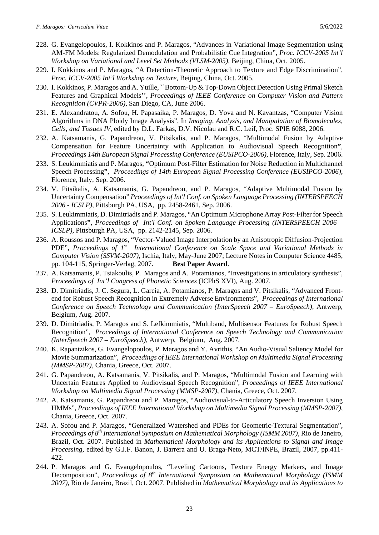- 228. G. Evangelopoulos, I. Kokkinos and P. Maragos, "Advances in Variational Image Segmentation using AM-FM Models: Regularized Demodulation and Probabilistic Cue Integration", *Proc. ICCV-2005 Int'l Workshop on Variational and Level Set Methods (VLSM-2005)*, Beijing, China, Oct. 2005.
- 229. I. Kokkinos and P. Maragos, "A Detection-Theoretic Approach to Texture and Edge Discrimination", *Proc. ICCV-2005 Int'l Workshop on Texture,* Beijing, China, Oct. 2005.
- 230. I. Kokkinos, P. Maragos and A. Yuille, ``Bottom-Up & Top-Down Object Detection Using Primal Sketch Features and Graphical Models'', *Proceedings of IEEE Conference on Computer Vision and Pattern Recognition (CVPR-2006),* San Diego, CA, June 2006.
- 231. E. Alexandratou, A. Sofou, H. Papasaika, P. Maragos, D. Yova and N. Kavantzas, "Computer Vision Algorithms in DNA Ploidy Image Analysis", In *Imaging, Analysis, and Manipulation of Biomolecules, Cells, and Tissues IV*, edited by D.L. Farkas, D.V. Nicolau and R.C. Leif, Proc. SPIE 6088, 2006.
- 232. A. Katsamanis, G. Papandreou, V. Pitsikalis, and P. Maragos, "Multimodal Fusion by Adaptive Compensation for Feature Uncertainty with Application to Audiovisual Speech Recognition**"**, *Proceedings 14th European Signal Processing Conference (EUSIPCO-2006)*, Florence, Italy, Sep. 2006.
- 233. S. Leukimmiatis and P. Maragos, **"**Optimum Post-Filter Estimation for Noise Reduction in Multichannel Speech Processing**"**, *Proceedings of 14th European Signal Processing Conference (EUSIPCO-2006)*, Florence, Italy, Sep. 2006.
- 234. V. Pitsikalis, A. Katsamanis, G. Papandreou, and P. Maragos, "Adaptive Multimodal Fusion by Uncertainty Compensation" *Proceedings of Int'l Conf. on Spoken Language Processing (INTERSPEECH 2006 - ICSLP)*, Pittsburgh PA, USA, pp. 2458-2461, Sep. 2006.
- 235. S. Leukimmiatis, D. Dimitriadis and P. Maragos, "An Optimum Microphone Array Post-Filter for Speech Applications**"**, *Proceedings of Int'l Conf. on Spoken Language Processing (INTERSPEECH 2006 – ICSLP)*, Pittsburgh PA, USA, pp. 2142-2145, Sep. 2006.
- 236. A. Roussos and P. Maragos, "Vector-Valued Image Interpolation by an Anisotropic Diffusion-Projection PDE", Proceedings of 1<sup>st</sup> International Conference on Scale Space and Variational Methods in *Computer Vision (SSVM-2007)*, Ischia, Italy, May-June 2007; Lecture Notes in Computer Science 4485, pp. 104-115, Springer-Verlag, 2007. **Best Paper Award**.
- 237. A. Katsamanis, P. Tsiakoulis, P. Maragos and A. Potamianos, "Investigations in articulatory synthesis", *Proceedings of Int'l Congress of Phonetic Sciences* (ICPhS XVI), Aug. 2007.
- 238. D. Dimitriadis, J. C. Segura, L. Garcia, A. Potamianos, P. Maragos and V. Pitsikalis, "Advanced Frontend for Robust Speech Recognition in Extremely Adverse Environments", *Proceedings of International Conference on Speech Technology and Communication (InterSpeech 2007 – EuroSpeech),* Antwerp, Belgium, Aug. 2007*.*
- 239. D. Dimitriadis, P. Maragos and S. Lefkimmiatis, "Multiband, Multisensor Features for Robust Speech Recognition", *Proceedings of International Conference on Speech Technology and Communication (InterSpeech 2007 – EuroSpeech),* Antwerp, Belgium, Aug. 2007*.*
- 240. K. Rapantzikos, G. Evangelopoulos, P. Maragos and Y. Avrithis, "An Audio-Visual Saliency Model for Movie Summarization", *Proceedings of IEEE International Workshop on Multimedia Signal Processing (MMSP-2007)*, Chania, Greece, Oct. 2007.
- 241. G. Papandreou, A. Katsamanis, V. Pitsikalis, and P. Maragos, "Multimodal Fusion and Learning with Uncertain Features Applied to Audiovisual Speech Recognition", *Proceedings of IEEE International Workshop on Multimedia Signal Processing (MMSP-2007)*, Chania, Greece, Oct. 2007.
- 242. A. Katsamanis, G. Papandreou and P. Maragos, "Audiovisual-to-Articulatory Speech Inversion Using HMMs", *Proceedings of IEEE International Workshop on Multimedia Signal Processing (MMSP-2007)*, Chania, Greece, Oct. 2007.
- 243. A. Sofou and P. Maragos, "Generalized Watershed and PDEs for Geometric-Textural Segmentation", *Proceedings of 8th International Symposium on Mathematical Morphology (ISMM 2007)*, Rio de Janeiro, Brazil, Oct. 2007. Published in *Mathematical Morphology and its Applications to Signal and Image Processing*, edited by G.J.F. Banon, J. Barrera and U. Braga-Neto, MCT/INPE, Brazil, 2007, pp.411- 422.
- 244. P. Maragos and G. Evangelopoulos, "Leveling Cartoons, Texture Energy Markers, and Image Decomposition", *Proceedings of 8th International Symposium on Mathematical Morphology (ISMM 2007)*, Rio de Janeiro, Brazil, Oct. 2007. Published in *Mathematical Morphology and its Applications to*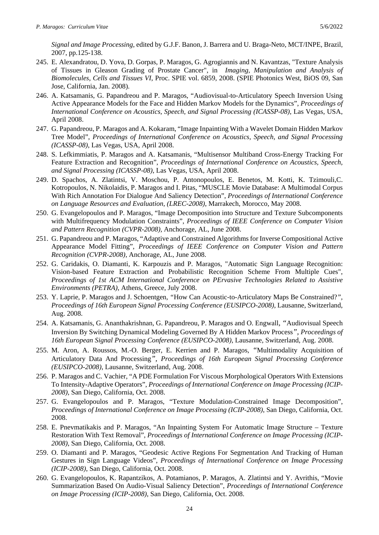*Signal and Image Processing*, edited by G.J.F. Banon, J. Barrera and U. Braga-Neto, MCT/INPE, Brazil, 2007, pp.125-138.

- 245. E. Alexandratou, D. Yova, D. Gorpas, P. Maragos, G. Agrogiannis and N. Kavantzas, "Texture Analysis of Tissues in Gleason Grading of Prostate Cancer", in *Imaging, Manipulation and Analysis of Biomolecules, Cells and Tissues VI*, Proc. SPIE vol. 6859, 2008. (SPIE Photonics West, BiOS 09, San Jose, California, Jan. 2008).
- 246. A. Katsamanis, G. Papandreou and P. Maragos, "Audiovisual-to-Articulatory Speech Inversion Using Active Appearance Models for the Face and Hidden Markov Models for the Dynamics", *Proceedings of International Conference on Acoustics, Speech, and Signal Processing (ICASSP-08)*, Las Vegas, USA, April 2008.
- 247. G. Papandreou, P. Maragos and A. Kokaram, "Image Inpainting With a Wavelet Domain Hidden Markov Tree Model", *Proceedings of International Conference on Acoustics, Speech, and Signal Processing (ICASSP-08)*, Las Vegas, USA, April 2008.
- 248. S. Lefkimmiatis, P. Maragos and A. Katsamanis, "Multisensor Multiband Cross-Energy Tracking For Feature Extraction and Recognition", *Proceedings of International Conference on Acoustics, Speech, and Signal Processing (ICASSP-08)*, Las Vegas, USA, April 2008.
- 249. D. Spachos, A. Zlatintsi, V. Moschou, P. Antonopoulos, E. Benetos, M. Kotti, K. Tzimouli,C. Kotropoulos, N. Nikolaidis, P. Maragos and I. Pitas, "MUSCLE Movie Database: A Multimodal Corpus With Rich Annotation For Dialogue And Saliency Detection", *Proceedings of International Conference on Language Resources and Evaluation, (LREC-2008)*, Marrakech, Morocco, May 2008.
- 250. G. Evangelopoulos and P. Maragos, "Image Decomposition into Structure and Texture Subcomponents with Multifrequency Modulation Constraints", *Proceedings of IEEE Conference on Computer Vision and Pattern Recognition (CVPR-2008),* Anchorage, AL, June 2008.
- 251. G. Papandreou and P. Maragos, "Adaptive and Constrained Algorithms for Inverse Compositional Active Appearance Model Fitting", *Proceedings of IEEE Conference on Computer Vision and Pattern Recognition (CVPR-2008),* Anchorage, AL, June 2008.
- 252. G. Caridakis, O. Diamanti, K. Karpouzis and P. Maragos, "Automatic Sign Language Recognition: Vision-based Feature Extraction and Probabilistic Recognition Scheme From Multiple Cues", *Proceedings of 1st ACM International Conference on PErvasive Technologies Related to Assistive Environments (PETRA)*, Athens, Greece, July 2008.
- 253. Y. Laprie, P. Maragos and J. Schoentgen*, "*How Can Acoustic-to-Articulatory Maps Be Constrained?*", Proceedings of 16th European Signal Processing Conference (EUSIPCO-2008)*, Lausanne, Switzerland, Aug. 2008.
- 254. A. Katsamanis, G. Ananthakrishnan, G. Papandreou, P. Maragos and O. Engwall*, "*Audiovisual Speech Inversion By Switching Dynamical Modeling Governed By A Hidden Markov Process*", Proceedings of 16th European Signal Processing Conference (EUSIPCO-2008)*, Lausanne, Switzerland, Aug. 2008.
- 255. M. Aron, A. Roussos, M.-O. Berger, E. Kerrien and P. Maragos, *"*Multimodality Acquisition of Articulatory Data And Processing*", Proceedings of 16th European Signal Processing Conference (EUSIPCO-2008)*, Lausanne, Switzerland, Aug. 2008.
- 256. P. Maragos and C. Vachier, "A PDE Formulation For Viscous Morphological Operators With Extensions To Intensity-Adaptive Operators", *Proceedings of International Conference on Image Processing (ICIP-2008)*, San Diego, California, Oct. 2008.
- 257. G. Evangelopoulos and P. Maragos, "Texture Modulation-Constrained Image Decomposition", *Proceedings of International Conference on Image Processing (ICIP-2008)*, San Diego, California, Oct. 2008.
- 258. E. Pnevmatikakis and P. Maragos, "An Inpainting System For Automatic Image Structure Texture Restoration With Text Removal", *Proceedings of International Conference on Image Processing (ICIP-2008)*, San Diego, California, Oct. 2008.
- 259. O. Diamanti and P. Maragos, "Geodesic Active Regions For Segmentation And Tracking of Human Gestures in Sign Language Videos", *Proceedings of International Conference on Image Processing (ICIP-2008)*, San Diego, California, Oct. 2008.
- 260. G. Evangelopoulos, K. Rapantzikos, A. Potamianos, P. Maragos, A. Zlatintsi and Y. Avrithis, "Movie Summarization Based On Audio-Visual Saliency Detection", *Proceedings of International Conference on Image Processing (ICIP-2008)*, San Diego, California, Oct. 2008.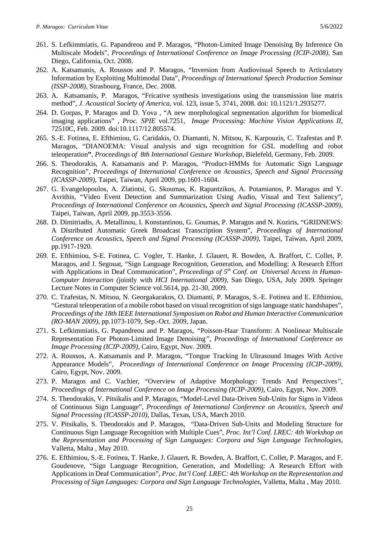- 261. S. Lefkimmiatis, G. Papandreou and P. Maragos, "Photon-Limited Image Denoising By Inference On Multiscale Models", *Proceedings of International Conference on Image Processing (ICIP-2008)*, San Diego, California, Oct. 2008.
- 262. A. Katsamanis, A. Roussos and P. Maragos, "Inversion from Audiovisual Speech to Articulatory Information by Exploiting Multimodal Data", *Proceedings of International Speech Production Seminar (ISSP-2008)*, Strasbourg, France, Dec. 2008.
- 263. A. Katsamanis, P. Maragos, "Fricative synthesis investigations using the transmission line matrix method", *J. Acoustical Society of America,* vol. 123, issue 5, 3741, 2008. doi: 10.1121/1.2935277.
- 264. D. Gorpas, P. Maragos and D. Yova , "A new morphological segmentation algorithm for biomedical imaging applications" , *Proc. SPIE* vol.7251, *Image Processing: Machine Vision Applications II*, 72510C, Feb. 2009. doi:10.1117/12.805574.
- 265. S.-E. Fotinea, E. Efthimiou, G. Caridakis, O. Diamanti, N. Mitsou, K. Karpouzis, C. Tzafestas and P. Maragos, "DIANOEMA: Visual analysis and sign recognition for GSL modelling and robot teleoperation**"**, *Proceedings of 8th International Gesture Workshop*, Bielefeld, Germany, Feb. 2009.
- 266. S. Theodorakis, A. Katsamanis and P. Maragos, "Product-HMMs for Automatic Sign Language Recognition", *Proceedings of International Conference on Acoustics, Speech and Signal Processing (ICASSP-2009)*, Taipei, Taiwan, April 2009, pp.1601-1604.
- 267. G. Evangelopoulos, A. Zlatintsi, G. Skoumas, K. Rapantzikos, A. Potamianos, P. Maragos and Y. Avrithis, "Video Event Detection and Summarization Using Audio, Visual and Text Saliency", *Proceedings of International Conference on Acoustics, Speech and Signal Processing (ICASSP-2009),*  Taipei, Taiwan, April 2009, pp.3553-3556.
- 268. D. Dimitriadis, A. Metallinou, I. Konstantinou, G. Goumas, P. Maragos and N. Koziris, "GRIDNEWS: A Distributed Automatic Greek Broadcast Transcription System", *Proceedings of International Conference on Acoustics, Speech and Signal Processing (ICASSP-2009),* Taipei, Taiwan, April 2009, pp.1917-1920*.*
- 269. E. Efthimiou, S-E. Fotinea, C. Vogler, T. Hanke, J. Glauert, R. Bowden, A. Braffort, C. Collet, P. Maragos, and J. Segouat, "Sign Language Recognition, Generation, and Modelling: A Research Effort with Applications in Deaf Communication", *Proceedings of 5th Conf. on Universal Access in Human-Computer Interaction (*jointly with *HCI International 2009)*, San Diego, USA, July 2009. Springer Lecture Notes in Computer Science vol.5614, pp. 21-30, 2009.
- 270. C. Tzafestas, N. Mitsou, N. Georgakarakos, O. Diamanti, P. Maragos, S.-E. Fotinea and E. Efthimiou, "Gestural teleoperation of a mobile robot based on visual recognition of sign language static handshapes", *Proceedings of the 18th IEEE International Symposium on Robot and Human Interactive Communication (RO-MAN 2009),* pp.1073-1079, Sep.-Oct. 2009, Japan.
- 271. S. Lefkimmiatis, G. Papandreou and P. Maragos, *"*Poisson-Haar Transform: A Nonlinear Multiscale Representation For Photon-Limited Image Denoising*", Proceedings of International Conference on Image Processing (ICIP-2009),* Cairo, Egypt, Nov. 2009.
- 272. A. Roussos, A. Katsamanis and P. Maragos, "Tongue Tracking In Ultrasound Images With Active Appearance Models", *Proceedings of International Conference on Image Processing (ICIP-2009),*  Cairo, Egypt, Nov. 2009.
- 273. P. Maragos and C. Vachier, *"*Overview of Adaptive Morphology: Trends And Perspectives*", Proceedings of International Conference on Image Processing (ICIP-2009),* Cairo, Egypt, Nov. 2009.
- 274. S. Theodorakis, V. Pitsikalis and P. Maragos, "Model-Level Data-Driven Sub-Units for Signs in Videos of Continuous Sign Language", *Proceedings of International Conference on Acoustics, Speech and Signal Processing (ICASSP-2010)*, Dallas, Texas, USA, March 2010.
- 275. V. Pitsikalis, S. Theodorakis and P. Maragos, ["Data-Driven Sub-Units and Modeling Structure for](http://cvsp.cs.ntua.gr/publications/confr/PitsikalisTheodorakisMaragos_lrec2010_fancy.pdf)  [Continuous Sign Language Recognition with Multiple Cues"](http://cvsp.cs.ntua.gr/publications/confr/PitsikalisTheodorakisMaragos_lrec2010_fancy.pdf), *Proc. Int'l Conf. LREC: 4th Workshop on the Representation and Processing of Sign Languages: Corpora and Sign Language Technologies*, Valletta, Malta , May 2010.
- 276. E. Efthimiou, S.-E. Fotinea, T. Hanke, J. Glauert, R. Bowden, A. Braffort, C. Collet, P. Maragos, and F. Goudenove, "Sign Language Recognition, Generation, and Modelling: A Research Effort with Applications in Deaf Communication", *Proc. Int'l Conf. LREC: 4th Workshop on the Representation and Processing of Sign Languages: Corpora and Sign Language Technologies*, Valletta, Malta , May 2010.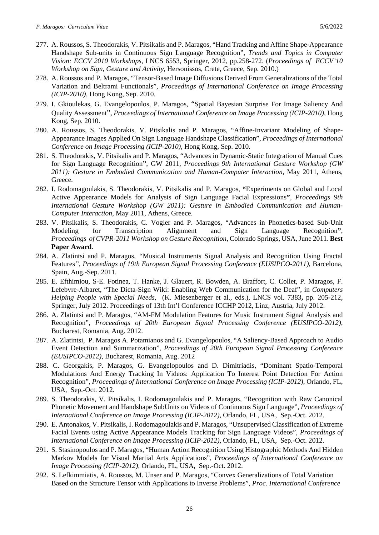- 277. A. Roussos, S. Theodorakis, V. Pitsikalis and P. Maragos, "Hand Tracking and Affine Shape-Appearance Handshape Sub-units in Continuous Sign Language Recognition", *Trends and Topics in Computer Vision: ECCV 2010 Workshops*, LNCS 6553, Springer, 2012, pp.258-272. (*Proceedings of ECCV'10 [Workshop on Sign, Gesture and Activity](http://personal.ee.surrey.ac.uk/Personal/R.Bowden/SGA2010/)*, Hersonissos, Crete, Greece, Sep. 2010.)
- 278. A. Roussos and P. Maragos, "Tensor-Based Image Diffusions Derived From Generalizations of the Total Variation and Beltrami Functionals", *Proceedings of International Conference on Image Processing (ICIP-2010),* Hong Kong, Sep. 2010.
- 279. I. Gkioulekas, G. Evangelopoulos, P. Maragos, "Spatial Bayesian Surprise For Image Saliency And Quality Assessment", *Proceedings of International Conference on Image Processing (ICIP-2010),* Hong Kong, Sep. 2010.
- 280. A. Roussos, S. Theodorakis, V. Pitsikalis and P. Maragos, "Affine-Invariant Modeling of Shape-Appearance Images Applied On Sign Language Handshape Classification", *Proceedings of International Conference on Image Processing (ICIP-2010),* Hong Kong, Sep. 2010.
- 281. S. Theodorakis, V. Pitsikalis and P. Maragos, "Advances in Dynamic-Static Integration of Manual Cues for Sign Language Recognition**"**, GW 2011, *Proceedings 9th International Gesture Workshop (GW 2011): Gesture in Embodied Communication and Human-Computer Interaction*, May 2011, Athens, Greece.
- 282. I. Rodomagoulakis, S. Theodorakis, V. Pitsikalis and P. Maragos, **"**Experiments on Global and Local Active Appearance Models for Analysis of Sign Language Facial Expressions**"**, *Proceedings 9th International Gesture Workshop (GW 2011): Gesture in Embodied Communication and Human-Computer Interaction*, May 2011, Athens, Greece.
- 283. V. Pitsikalis, S. Theodorakis, C. Vogler and P. Maragos, "Advances in Phonetics-based Sub-Unit Modeling for Transcription Alignment and Sign Language Recognition**"**, *Proceedings of CVPR-2011 Workshop on Gesture Recognition*, Colorado Springs, USA, June 2011. **Best Paper Award**.
- 284. A. Zlatintsi and P. Maragos*, "*Musical Instruments Signal Analysis and Recognition Using Fractal Features*", Proceedings of 19th European Signal Processing Conference (EUSIPCO-2011)*, Barcelona, Spain, Aug.-Sep. 2011.
- 285. E. Efthimiou, S-E. Fotinea, T. Hanke, J. Glauert, R. Bowden, A. Braffort, C. Collet, P. Maragos, F. Lefebvre-Albaret, "The Dicta-Sign Wiki: Enabling Web Communication for the Deaf", in *Computers Helping People with Special Needs*, (K. Miesenberger et al., eds.), LNCS vol. 7383**,** pp. 205-212, Springer, July 2012. Proceedings of 13th Int'l Conference ICCHP 2012, Linz, Austria, July 2012.
- 286. A. Zlatintsi and P. Maragos, "AM-FM Modulation Features for Music Instrument Signal Analysis and Recognition", *Proceedings of 20th European Signal Processing Conference (EUSIPCO-2012)*, Bucharest, Romania, Aug. 2012.
- 287. A. Zlatintsi, P. Maragos A. Potamianos and G. Evangelopoulos, "A Saliency-Based Approach to Audio Event Detection and Summarization", *Proceedings of 20th European Signal Processing Conference (EUSIPCO-2012)*, Bucharest, Romania, Aug. 2012
- 288. C. Georgakis, P. Maragos, G. Evangelopoulos and D. Dimitriadis, "Dominant Spatio-Temporal Modulations And Energy Tracking In Videos: Application To Interest Point Detection For Action Recognition", *Proceedings of International Conference on Image Processing (ICIP-2012)*, Orlando, FL, USA, Sep.-Oct. 2012.
- 289. S. Theodorakis, V. Pitsikalis, I. Rodomagoulakis and P. Maragos, "Recognition with Raw Canonical Phonetic Movement and Handshape SubUnits on Videos of Continuous Sign Language", *Proceedings of International Conference on Image Processing (ICIP-2012)*, Orlando, FL, USA, Sep.-Oct. 2012.
- 290. E. Antonakos, V. Pitsikalis, I. Rodomagoulakis and P. Maragos, "Unsupervised Classification of Extreme Facial Events using Active Appearance Models Tracking for Sign Language Videos", *Proceedings of International Conference on Image Processing (ICIP-2012)*, Orlando, FL, USA, Sep.-Oct. 2012.
- 291. S. Stasinopoulos and P. Maragos, "Human Action Recognition Using Histographic Methods And Hidden Markov Models for Visual Martial Arts Applications", *Proceedings of International Conference on Image Processing (ICIP-2012)*, Orlando, FL, USA, Sep.-Oct. 2012.
- 292. S. Lefkimmiatis, A. Roussos, M. Unser and P. Maragos, "Convex Generalizations of Total Variation Based on the Structure Tensor with Applications to Inverse Problems", *Proc. International Conference*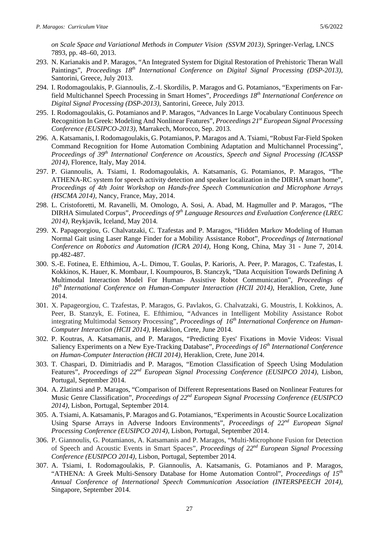- 293. N. Karianakis and P. Maragos, "An Integrated System for Digital Restoration of Prehistoric Theran Wall Paintings", *Proceedings 18th International Conference on Digital Signal Processing (DSP-2013)*, Santorini, Greece, July 2013.
- 294. I. Rodomagoulakis, P. Giannoulis, Z.-I. Skordilis, P. Maragos and G. Potamianos, "Experiments on Farfield Multichannel Speech Processing in Smart Homes", *Proceedings 18th International Conference on Digital Signal Processing (DSP-2013)*, Santorini, Greece, July 2013.
- 295. I. Rodomagoulakis, G. Potamianos and P. Maragos, "Advances In Large Vocabulary Continuous Speech Recognition In Greek: Modeling And Nonlinear Features", *Proceedings 21st European Signal Processing Conference (EUSIPCO-2013)*, Marrakech, Morocco, Sep. 2013.
- 296. A. Katsamanis, I. Rodomagoulakis, G. Potamianos, P. Maragos and A. Tsiami, "Robust Far-Field Spoken Command Recognition for Home Automation Combining Adaptation and Multichannel Processing", *Proceedings of 39th International Conference on Acoustics, Speech and Signal Processing (ICASSP 2014)*, Florence, Italy, May 2014.
- 297. P. Giannoulis, A. Tsiami, I. Rodomagoulakis, A. Katsamanis, G. Potamianos, P. Maragos, "The ATHENA-RC system for speech activity detection and speaker localization in the DIRHA smart home", *Proceedings of 4th Joint Workshop on Hands-free Speech Communication and Microphone Arrays (HSCMA 2014),* Nancy, France, May, 2014.
- 298. L. Cristoforetti, M. Ravanelli, M. Omologo, A. Sosi, A. Abad, M. Hagmuller and P. Maragos, "The DIRHA Simulated Corpus", *Proceedings of 9th Language Resources and Evaluation Conference (LREC 2014),* Reykjavik, Iceland, May 2014*.*
- 299. X. Papageorgiou, G. Chalvatzaki, C. Tzafestas and P. Maragos, "Hidden Markov Modeling of Human Normal Gait using Laser Range Finder for a Mobility Assistance Robot", *Proceedings of International Conference on Robotics and Automation (ICRA 2014)*, Hong Kong, China, May 31 - June 7, 2014. pp.482-487.
- 300. S.-E. Fotinea, E. Efthimiou, A.-L. Dimou, T. Goulas, P. Karioris, A. Peer, P. Maragos, C. Tzafestas, I. Kokkinos, K. Hauer, K. Mombaur, I. Koumpouros, B. Stanczyk, "Data Acquisition Towards Defining A Multimodal Interaction Model For Human- Assistive Robot Communication", *Proceedings of 16th International Conference on Human-Computer Interaction (HCII 2014)*, Heraklion, Crete, June 2014.
- 301. X. Papageorgiou, C. Tzafestas, P. Maragos, G. Pavlakos, G. Chalvatzaki, G. Moustris, I. Kokkinos, A. Peer, B. Stanzyk, E. Fotinea, E. Efthimiou, "Advances in Intelligent Mobility Assistance Robot integrating Multimodal Sensory Processing", Proceedings of 16<sup>th</sup> International Conference on Human-*Computer Interaction (HCII 2014)*, Heraklion, Crete, June 2014.
- 302. P. Koutras, A. Katsamanis, and P. Maragos, "Predicting Eyes' Fixations in Movie Videos: Visual Saliency Experiments on a New Eye-Tracking Database", *Proceedings of 16th International Conference on Human-Computer Interaction (HCII 2014)*, Heraklion, Crete, June 2014.
- 303. T. Chaspari, D. Dimitriadis and P. Maragos, "Emotion Classification of Speech Using Modulation Features", *Proceedings of 22nd European Signal Processing Conference (EUSIPCO 2014)*, Lisbon, Portugal, September 2014.
- 304. A. Zlatintsi and P. Maragos, "Comparison of Different Representations Based on Nonlinear Features for Music Genre Classification", *Proceedings of 22nd European Signal Processing Conference (EUSIPCO 2014)*, Lisbon, Portugal, September 2014.
- 305. A. Tsiami, A. Katsamanis, P. Maragos and G. Potamianos, "Experiments in Acoustic Source Localization Using Sparse Arrays in Adverse Indoors Environments", *Proceedings of 22nd European Signal Processing Conference (EUSIPCO 2014)*, Lisbon, Portugal, September 2014.
- 306. P. Giannoulis, G. Potamianos, A. Katsamanis and P. Maragos, "Multi-Microphone Fusion for Detection of Speech and Acoustic Events in Smart Spaces", *Proceedings of 22nd European Signal Processing Conference (EUSIPCO 2014)*, Lisbon, Portugal, September 2014.
- 307. A. Tsiami, I. Rodomagoulakis, P. Giannoulis, A. Katsamanis, G. Potamianos and P. Maragos, "ATHENA: A Greek Multi-Sensory Database for Home Automation Control", *Proceedings of 15th Annual Conference of International Speech Communication Association (INTERSPEECH 2014),* Singapore, September 2014.

27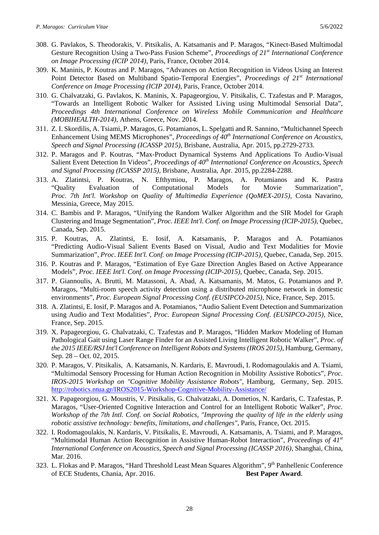- 308. G. Pavlakos, S. Theodorakis, V. Pitsikalis, A. Katsamanis and P. Maragos, "Kinect-Based Multimodal Gesture Recognition Using a Two-Pass Fusion Scheme", *Proceedings of 21st International Conference on Image Processing (ICIP 2014),* Paris, France, October 2014.
- 309. K. Maninis, P. Koutras and P. Maragos, "Advances on Action Recognition in Videos Using an Interest Point Detector Based on Multiband Spatio-Temporal Energies", *Proceedings of 21st International Conference on Image Processing (ICIP 2014),* Paris, France, October 2014.
- 310. G. Chalvatzaki, G. Pavlakos, K. Maninis, X. Papageorgiou, V. Pitsikalis, C. Tzafestas and P. Maragos, "Towards an Intelligent Robotic Walker for Assisted Living using Multimodal Sensorial Data", *Proceedings 4th International Conference on Wireless Mobile Communication and Healthcare (MOBIHEALTH-2014)*, Athens, Greece, Nov. 2014.
- 311. Z. I. Skordilis, A. Tsiami, P. Maragos, G. Potamianos, L. Spelgatti and R. Sannino, "Multichannel Speech Enhancement Using MEMS Microphones", *Proceedings of 40th International Conference on Acoustics, Speech and Signal Processing (ICASSP 2015),* Brisbane, Australia, Apr. 2015, pp.2729-2733.
- 312. P. Maragos and P. Koutras, "Max-Product Dynamical Systems And Applications To Audio-Visual Salient Event Detection In Videos", *Proceedings of 40th International Conference on Acoustics, Speech and Signal Processing (ICASSP 2015),* Brisbane, Australia, Apr. 2015, pp.2284-2288.
- 313. A. Zlatintsi, P. Koutras, N. Efthymiou, P. Maragos, A. Potamianos and K. Pastra "Quality Evaluation of Computational Models for Movie Summarization", *Proc. 7th Int'l. Workshop on Quality of Multimedia Experience (QoMEX-2015)*, Costa Navarino, Messinia, Greece, May 2015.
- 314. C. Bambis and P. Maragos, "Unifying the Random Walker Algorithm and the SIR Model for Graph Clustering and Image Segmentation", *Proc. IEEE Int'l. Conf. on Image Processing (ICIP-2015)*, Quebec, Canada, Sep. 2015.
- 315. P. Koutras, A. Zlatintsi, E. Iosif, A. Katsamanis, P. Maragos and A. Potamianos "Predicting Audio-Visual Salient Events Based on Visual, Audio and Text Modalities for Movie Summarization", *Proc. IEEE Int'l. Conf. on Image Processing (ICIP-2015)*, Quebec, Canada, Sep. 2015.
- 316. P. Koutras and P. Maragos, "Estimation of Eye Gaze Direction Angles Based on Active Appearance Models", *Proc. IEEE Int'l. Conf. on Image Processing (ICIP-2015)*, Quebec, Canada, Sep. 2015.
- 317. P. Giannoulis, A. Brutti, M. Matassoni, A. Abad, A. Katsamanis, M. Matos, G. Potamianos and P. Maragos, "Multi-room speech activity detection using a distributed microphone network in domestic environments", *Proc. European Signal Processing Conf. (EUSIPCO-2015)*, Nice, France, Sep. 2015.
- 318. A. Zlatintsi, E. Iosif, P. Maragos and A. Potamianos, "Audio Salient Event Detection and Summarization using Audio and Text Modalities", *Proc. European Signal Processing Conf. (EUSIPCO-2015)*, Nice, France, Sep. 2015.
- 319. X. Papageorgiou, G. Chalvatzaki, C. Tzafestas and P. Maragos, "Hidden Markov Modeling of Human Pathological Gait using Laser Range Finder for an Assisted Living Intelligent Robotic Walker", *Proc. of the 2015 IEEE/RSJ Int'l Conference on Intelligent Robots and Systems (IROS 2015)*, Hamburg, Germany, Sep. 28 – Oct. 02, 2015.
- 320. P. Maragos, V. Pitsikalis, A. Katsamanis, N. Kardaris, E. Mavroudi, I. Rodomagoulakis and A. Tsiami, "Multimodal Sensory Processing for Human Action Recognition in Mobility Assistive Robotics", *Proc. IROS-2015 Workshop on "Cognitive Mobility Assistance Robots"*, Hamburg, Germany, Sep. 2015. <http://robotics.ntua.gr/IROS2015-Workshop-Cognitive-Mobility-Assistance/>
- 321. X. Papageorgiou, G. Moustris, V. Pitsikalis, G. Chalvatzaki, A. Dometios, N. Kardaris, C. Tzafestas, P. Maragos, "User-Oriented Cognitive Interaction and Control for an Intelligent Robotic Walker", *Proc. Workshop of the 7th Intl. Conf. on Social Robotics, "Improving the quality of life in the elderly using robotic assistive technology: benefits, limitations, and challenges"*, Paris, France, Oct. 2015.
- 322. I. Rodomagoulakis, N. Kardaris, V. Pitsikalis, E. Mavroudi, A. Katsamanis, A. Tsiami, and P. Maragos, "Multimodal Human Action Recognition in Assistive Human-Robot Interaction", *Proceedings of 41st International Conference on Acoustics, Speech and Signal Processing (ICASSP 2016), Shanghai, China,* Mar. 2016.
- 323. L. Flokas and P. Maragos, "Hard Threshold Least Mean Squares Algorithm", 9<sup>th</sup> Panhellenic Conference of ECE Students, Chania, Apr. 2016. **Best Paper Award**.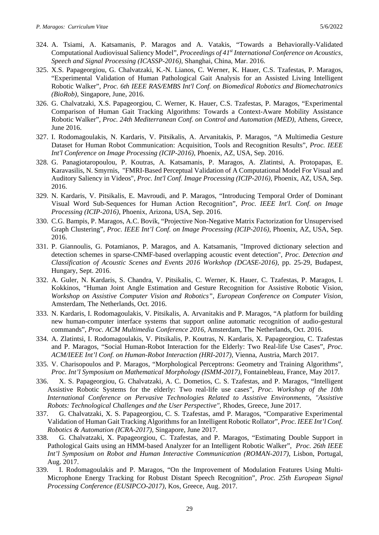- 324. A. Tsiami, A. Katsamanis, P. Maragos and A. Vatakis, "Towards a Behaviorally-Validated Computational Audiovisual Saliency Model", *Proceedings of 41st International Conference on Acoustics, Speech and Signal Processing (ICASSP-2016),* Shanghai, China, Mar. 2016.
- 325. X.S. Papageorgiou, G. Chalvatzaki, K.-N. Lianos, C. Werner, K. Hauer, C.S. Tzafestas, P. Maragos, "Experimental Validation of Human Pathological Gait Analysis for an Assisted Living Intelligent Robotic Walker", *Proc. 6th IEEE RAS/EMBS Int'l Conf. on Biomedical Robotics and Biomechatronics (BioRob)*, Singapore, June, 2016.
- 326. G. Chalvatzaki, X.S. Papageorgiou, C. Werner, K. Hauer, C.S. Tzafestas, P. Maragos, "Experimental Comparison of Human Gait Tracking Algorithms: Towards a Context-Aware Mobility Assistance Robotic Walker", *Proc. 24th Mediterranean Conf. on Control and Automation (MED)*, Athens, Greece, June 2016.
- 327. I. Rodomagoulakis, N. Kardaris, V. Pitsikalis, A. Arvanitakis, P. Maragos, "A Multimedia Gesture Dataset for Human Robot Communication: Acquisition, Tools and Recognition Results", *Proc. IEEE Int'l Conference on Image Processing (ICIP-2016)*, Phoenix, AZ, USA, Sep. 2016.
- 328. G. Panagiotaropoulou, P. Koutras, A. Katsamanis, P. Maragos, A. Zlatintsi, A. Protopapas, E. Karavasilis, N. Smyrnis, "FMRI-Based Perceptual Validation of A Computational Model For Visual and Auditory Saliency in Videos", *Proc. Int'l Conf. Image Processing (ICIP-2016)*, Phoenix, AZ, USA, Sep. 2016.
- 329. N. Kardaris, V. Pitsikalis, E. Mavroudi, and P. Maragos, "Introducing Temporal Order of Dominant Visual Word Sub-Sequences for Human Action Recognition", *Proc. IEEE Int'l. Conf. on Image Processing (ICIP-2016)*, Phoenix, Arizona, USA, Sep. 2016.
- 330. C.G. Bampis, P. Maragos, A.C. Bovik, "Projective Non-Negative Matrix Factorization for Unsupervised Graph Clustering", *Proc. IEEE Int'l Conf. on Image Processing (ICIP-2016)*, Phoenix, AZ, USA, Sep. 2016.
- 331. P. Giannoulis, G. Potamianos, P. Maragos, and A. Katsamanis, "Improved dictionary selection and detection schemes in sparse-CNMF-based overlapping acoustic event detection", *Proc. Detection and Classification of Acoustic Scenes and Events 2016 Workshop (DCASE-2016)*, pp. 25-29, Budapest, Hungary, Sept. 2016.
- 332. A. Guler, N. Kardaris, S. Chandra, V. Pitsikalis, C. Werner, K. Hauer, C. Tzafestas, P. Maragos, I. Kokkinos, "Human Joint Angle Estimation and Gesture Recognition for Assistive Robotic Vision, *Workshop on Assistive Computer Vision and Robotics"*, *European Conference on Computer Vision*, Amsterdam, The Netherlands, Oct. 2016.
- 333. N. Kardaris, I. Rodomagoulakis, V. Pitsikalis, A. Arvanitakis and P. Maragos, "A platform for building new human-computer interface systems that support online automatic recognition of audio-gestural commands", *Proc. ACM Multimedia Conference 2016*, Amsterdam, The Netherlands, Oct. 2016.
- 334. A. Zlatintsi, I. Rodomagoulakis, V. Pitsikalis, P. Koutras, N. Kardaris, X. Papageorgiou, C. Tzafestas and P. Maragos, "Social Human-Robot Interaction for the Elderly: Two Real-life Use Cases", *Proc. ACM/IEEE Int'l Conf. on Human-Robot Interaction (HRI-2017)*, Vienna, Austria, March 2017.
- 335. V. Charisopoulos and P. Maragos, "Morphological Perceptrons: Geometry and Training Algorithms", *Proc. Int'l Symposium on Mathematical Morphology (ISMM-2017)*, Fontainebleau, France, May 2017.
- 336. X. S. Papageorgiou, G. Chalvatzaki, A. C. Dometios, C. S. Tzafestas, and P. Maragos, "Intelligent Assistive Robotic Systems for the elderly: Two real-life use cases", *Proc. Workshop of the 10th International Conference on Pervasive Technologies Related to Assistive Environments, "Assistive Robots: Technological Challenges and the User Perspective",* Rhodes, Greece, June 2017.
- 337. G. Chalvatzaki, X. S. Papageorgiou, C. S. Tzafestas, amd P. Maragos, "Comparative Experimental Validation of Human Gait Tracking Algorithms for an Intelligent Robotic Rollator", *Proc. IEEE Int'l Conf. Robotics & Automation (ICRA-2017)*, Singapore, June 2017.
- 338. G. Chalvatzaki, X. Papageorgiou, C. Tzafestas, and P. Maragos, ["Estimating Double Support in](http://robotics.ntua.gr/publications/estimating-double-support-pathological-gaits-using-hmm-based-analyzer-intelligent)  [Pathological Gaits using an HMM-based Analyzer for an Intelligent Robotic Walker"](http://robotics.ntua.gr/publications/estimating-double-support-pathological-gaits-using-hmm-based-analyzer-intelligent), *Proc. 26th IEEE Int'l Symposium on Robot and Human Interactive Communication (ROMAN-2017)*, Lisbon, Portugal, Aug. 2017.
- 339. I. Rodomagoulakis and P. Maragos, "On the Improvement of Modulation Features Using Multi-Microphone Energy Tracking for Robust Distant Speech Recognition", *Proc. 25th European Signal Processing Conference (EUSIPCO-2017)*, Kos, Greece, Aug. 2017.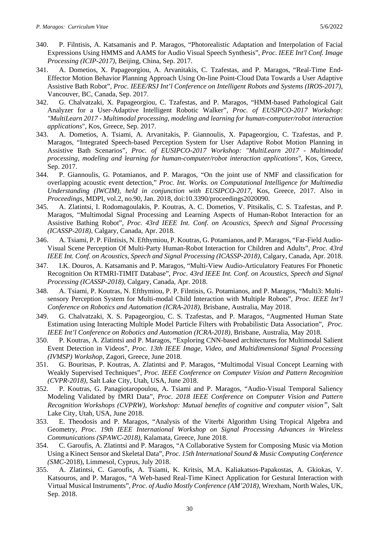- 340. P. Filntisis, A. Katsamanis and P. Maragos, "Photorealistic Adaptation and Interpolation of Facial Expressions Using HMMS and AAMS for Audio Visual Speech Synthesis", *Proc. IEEE Int'l Conf. Image Processing (ICIP-2017)*, Beijing, China, Sep. 2017.
- 341. A. Dometios, X. Papageorgiou, A. Arvanitakis, C. Tzafestas, and P. Maragos, "Real-Time End-Effector Motion Behavior Planning Approach Using On-line Point-Cloud Data Towards a User Adaptive Assistive Bath Robot", *Proc. IEEE/RSJ Int'l Conference on Intelligent Robots and Systems (IROS-2017)*, Vancouver, BC, Canada, Sep. 2017.
- 342. G. Chalvatzaki, X. Papageorgiou, C. Tzafestas, and P. Maragos, "HMM-based Pathological Gait Analyzer for a User-Adaptive Intelligent Robotic Walker", *Proc. of EUSIPCO-2017 Workshop: "MultiLearn 2017 - Multimodal processing, modeling and learning for human-computer/robot interaction applications*", Kos, Greece, Sep. 2017.
- 343. A. Dometios, A. Tsiami, A. Arvanitakis, P. Giannoulis, X. Papageorgiou, C. Tzafestas, and P. Maragos, "Integrated Speech-based Perception System for User Adaptive Robot Motion Planning in Assistive Bath Scenarios", *Proc. of EUSIPCO-2017 Workshop: "MultiLearn 2017 - Multimodal processing, modeling and learning for human-computer/robot interaction applications"*, Kos, Greece, Sep. 2017.
- 344. P. Giannoulis, G. Potamianos, and P. Maragos, "On the joint use of NMF and classification for overlapping acoustic event detection," *Proc. Int. Works. on Computational Intelligence for Multimedia Understanding (IWCIM), held in conjunction with EUSIPCO-2017,* Kos, Greece, 2017. Also in *Proceedings*, MDPI, vol.2, no.90, Jan. 2018, doi:10.3390/proceedings2020090.
- 345. A. Zlatintsi, I. Rodomagoulakis, P. Koutras, A. C. Dometios, V. Pitsikalis, C. S. Tzafestas, and P. Maragos, "Multimodal Signal Processing and Learning Aspects of Human-Robot Interaction for an Assistive Bathing Robot", *Proc. 43rd IEEE Int. Conf. on Acoustics, Speech and Signal Processing (ICASSP-2018),* Calgary, Canada, Apr. 2018.
- 346. A. Tsiami, P. P. Filntisis, N. Efthymiou, P. Koutras, G. Potamianos, and P. Maragos, "Far-Field Audio-Visual Scene Perception Of Multi-Party Human-Robot Interaction for Children and Adults", *Proc. 43rd IEEE Int. Conf. on Acoustics, Speech and Signal Processing (ICASSP-2018)*, Calgary, Canada, Apr. 2018.
- 347. I.K. Douros, A. Katsamanis and P. Maragos, "Multi-View Audio-Articulatory Features For Phonetic Recognition On RTMRI-TIMIT Database", *Proc. 43rd IEEE Int. Conf. on Acoustics, Speech and Signal Processing (ICASSP-2018)*, Calgary, Canada, Apr. 2018.
- 348. A. Tsiami, P. Koutras, N. Efthymiou, P. P. Filntisis, G. Potamianos, and P. Maragos, "Multi3: Multisensory Perception System for Multi-modal Child Interaction with Multiple Robots", *Proc. IEEE Int'l Conference on Robotics and Automation (ICRA-2018)*, Brisbane, Australia, May 2018.
- 349. G. Chalvatzaki, X. S. Papageorgiou, C. S. Tzafestas, and P. Maragos, "Augmented Human State Estimation using Interacting Multiple Model Particle Filters with Probabilistic Data Association", *Proc. IEEE Int'l Conference on Robotics and Automation (ICRA-2018)*, Brisbane, Australia, May 2018.
- 350. P. Koutras, A. Zlatintsi and P. Maragos, "Exploring CNN-based architectures for Multimodal Salient Event Detection in Videos", *Proc. 13th IEEE Image, Video, and Multidimensional Signal Processing (IVMSP) Workshop*, Zagori, Greece, June 2018.
- 351. G. Bouritsas, P. Koutras, A. Zlatintsi and P. Maragos, "Multimodal Visual Concept Learning with Weakly Supervised Techniques", *Proc. IEEE Conference on Computer Vision and Pattern Recognition (CVPR-2018)*, Salt Lake City, Utah, USA, June 2018.
- 352. P. Koutras, G. Panagiotaropoulou, A. Tsiami and P. Maragos, "Audio-Visual Temporal Saliency Modeling Validated by fMRI Data", *Proc. 2018 IEEE Conference on Computer Vision and Pattern Recognition Workshops (CVPRW), Workshop: Mutual benefits of cognitive and computer vision",* Salt Lake City, Utah, USA, June 2018.
- 353. E. Theodosis and P. Maragos, "Analysis of the Viterbi Algorithm Using Tropical Algebra and Geometry, *Proc. 19th IEEE International Workshop on Signal Processing Advances in Wireless Communications (SPAWC-2018),* Kalamata, Greece, June 2018.
- 354. C. Garoufis, A. Zlatintsi and P. Maragos, "A Collaborative System for Composing Music via Motion Using a Kinect Sensor and Skeletal Data", *Proc. 15th International Sound & Music Computing Conference (SMC*-2018), Limmesol, Cyprus, July 2018.
- 355. A. Zlatintsi, C. Garoufis, A. Tsiami, K. Kritsis, M.A. Kaliakatsos-Papakostas, A. Gkiokas, V. Katsouros, and P. Maragos, "A Web-based Real-Time Kinect Application for Gestural Interaction with Virtual Musical Instruments"*, Proc. of Audio Mostly Conference (AM'2018)*, Wrexham, North Wales, UK, Sep. 2018.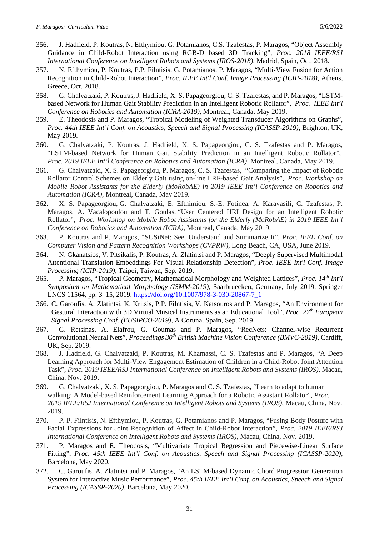- 356. J. Hadfield, P. Koutras, N. Efthymiou, G. Potamianos, C.S. Tzafestas, P. Maragos, "Object Assembly Guidance in Child-Robot Interaction using RGB-D based 3D Tracking", *Proc. 2018 IEEE/RSJ International Conference on Intelligent Robots and Systems (IROS-2018)*, Madrid, Spain, Oct. 2018.
- 357. N. Efthymiou, P. Koutras, P.P. Filntisis, G. Potamianos, P. Maragos, "Multi-View Fusion for Action Recognition in Child-Robot Interaction", *Proc. IEEE Int'l Conf. Image Processing (ICIP-2018)*, Athens, Greece, Oct. 2018.
- 358. G. Chalvatzaki, P. Koutras, J. Hadfield, X. S. Papageorgiou, C. S. Tzafestas, and P. Maragos, "LSTMbased Network for Human Gait Stability Prediction in an Intelligent Robotic Rollator", *Proc. IEEE Int'l Conference on Robotics and Automation (ICRA-2019)*, Montreal, Canada, May 2019.
- 359. E. Theodosis and P. Maragos, "Tropical Modeling of Weighted Transducer Algorithms on Graphs", *Proc. 44th IEEE Int'l Conf. on Acoustics, Speech and Signal Processing (ICASSP-2019),* Brighton, UK, May 2019.
- 360. G. Chalvatzaki, P. Koutras, J. Hadfield, X. S. Papageorgiou, C. S. Tzafestas and P. Maragos, "LSTM-based Network for Human Gait Stability Prediction in an Intelligent Robotic Rollator", *Proc. 2019 IEEE Int'l Conference on Robotics and Automation (ICRA)*, Montreal, Canada, May 2019.
- 361. G. Chalvatzaki, X. S. Papageorgiou, P. Maragos, C. S. Tzafestas, "Comparing the Impact of Robotic Rollator Control Schemes on Elderly Gait using on-line LRF-based Gait Analysis", *Proc. Workshop on Mobile Robot Assistants for the Elderly (MoRobAE) in 2019 IEEE Int'l Conference on Robotics and Automation (ICRA)*, Montreal, Canada, May 2019.
- 362. X. S. Papageorgiou, G. Chalvatzaki, E. Efthimiou, S.-E. Fotinea, A. Karavasili, C. Tzafestas, P. Maragos, A. Vacalopoulou and T. Goulas, "User Centered HRI Design for an Intelligent Robotic Rollator", *Proc. Workshop on Mobile Robot Assistants for the Elderly (MoRobAE) in 2019 IEEE Int'l Conference on Robotics and Automation (ICRA)*, Montreal, Canada, May 2019.
- 363. P. Koutras and P. Maragos, "SUSiNet: See, Understand and Summarize It", *Proc. IEEE Conf. on Computer Vision and Pattern Recognition Workshops (CVPRW)*, Long Beach, CA, USA, June 2019.
- 364. N. Gkanatsios, V. Pitsikalis, P. Koutras, A. Zlatintsi and P. Maragos, "Deeply Supervised Multimodal Attentional Translation Embeddings For Visual Relationship Detection", *Proc. IEEE Int'l Conf. Image Processing (ICIP-2019)*, Taipei, Taiwan, Sep. 2019.
- 365. P. Maragos, "Tropical Geometry, Mathematical Morphology and Weighted Lattices", *Proc. 14th Int'l Symposium on Mathematical Morphology (ISMM-2019)*, Saarbruecken, Germany, July 2019. Springer LNCS 11564, pp. 3–15, 2019. [https://doi.org/10.1007/978-3-030-20867-7\\_1](https://doi.org/10.1007/978-3-030-20867-7_1)
- 366. C. Garoufis, A. Zlatintsi, K. Kritsis, P.P. Filntisis, V. Katsouros and P. Maragos, "An Environment for Gestural Interaction with 3D Virtual Musical Instruments as an Educational Tool", *Proc. 27th European Signal Processing Conf. (EUSIPCO-2019)*, A Coruna, Spain, Sep. 2019.
- 367. G. Retsinas, A. Elafrou, G. Goumas and P. Maragos, "RecNets: Channel-wise Recurrent Convolutional Neural Nets", *Proceedings 30th British Machine Vision Conference (BMVC-2019)*, Cardiff, UK, Sep. 2019.
- 368. J. Hadfield, G. Chalvatzaki, P. Koutras, M. Khamassi, C. S. Tzafestas and P. Maragos, "A Deep Learning Approach for Multi-View Engagement Estimation of Children in a Child-Robot Joint Attention Task", *Proc. 2019 IEEE/RSJ International Conference on Intelligent Robots and Systems (IROS)*, Macau, China, Nov. 2019.
- 369. G. Chalvatzaki, X. S. Papageorgiou, P. Maragos and C. S. Tzafestas, "Learn to adapt to human walking: A Model-based Reinforcement Learning Approach for a Robotic Assistant Rollator", *Proc. 2019 IEEE/RSJ International Conference on Intelligent Robots and Systems (IROS)*, Macau, China, Nov. 2019.
- 370. P. P. Filntisis, N. Efthymiou, P. Koutras, G. Potamianos and P. Maragos, "Fusing Body Posture with Facial Expressions for Joint Recognition of Affect in Child-Robot Interaction", *Proc. 2019 IEEE/RSJ International Conference on Intelligent Robots and Systems (IROS)*, Macau, China, Nov. 2019.
- 371. P. Maragos and E. Theodosis, "Multivariate Tropical Regression and Piecewise-Linear Surface Fitting", *Proc. 45th IEEE Int'l Conf. on Acoustics, Speech and Signal Processing (ICASSP-2020),* Barcelona, May 2020.
- 372. C. Garoufis, A. Zlatintsi and P. Maragos, "An LSTM-based Dynamic Chord Progression Generation System for Interactive Music Performance", *Proc. 45th IEEE Int'l Conf. on Acoustics, Speech and Signal Processing (ICASSP-2020),* Barcelona, May 2020.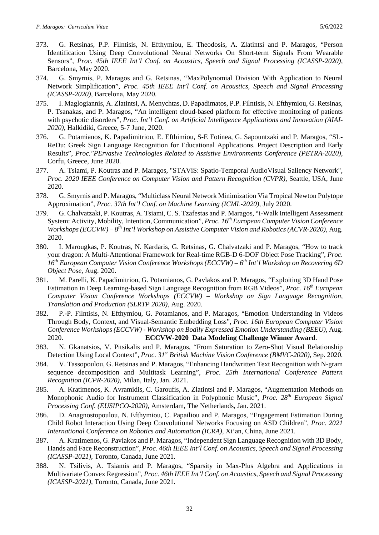- 373. G. Retsinas, P.P. Filntisis, N. Efthymiou, E. Theodosis, A. Zlatintsi and P. Maragos, "Person Identification Using Deep Convolutional Neural Networks On Short-term Signals From Wearable Sensors", *Proc. 45th IEEE Int'l Conf. on Acoustics, Speech and Signal Processing (ICASSP-2020),* Barcelona, May 2020.
- 374. G. Smyrnis, P. Maragos and G. Retsinas, "MaxPolynomial Division With Application to Neural Network Simplification", *Proc. 45th IEEE Int'l Conf. on Acoustics, Speech and Signal Processing (ICASSP-2020),* Barcelona, May 2020.
- 375. I. Maglogiannis, A. Zlatintsi, A. Menychtas, D. Papadimatos, P.P. Filntisis, N. Efthymiou, G. Retsinas, P. Tsanakas, and P. Maragos, "An intelligent cloud-based platform for effective monitoring of patients with psychotic disorders", *Proc. Int'l Conf. on Artificial Intelligence Applications and Innovation (AIAI-2020)*, Halkidiki, Greece, 5-7 June, 2020.
- 376. G. Potamianos, K. Papadimitriou, E. Efthimiou, S-E Fotinea, G. Sapountzaki and P. Maragos, "SL-ReDu: Greek Sign Language Recognition for Educational Applications. Project Description and Early Results", *Proc."PErvasive Technologies Related to Assistive Environments Conference (PETRA-2020)*, Corfu, Greece, June 2020.
- 377. A. Tsiami, P. Koutras and P. Maragos, "STAViS: Spatio-Temporal AudioVisual Saliency Network", *Proc. 2020 IEEE Conference on Computer Vision and Pattern Recognition (CVPR)*, Seattle, USA, June 2020.
- 378. G. Smyrnis and P. Maragos, "Multiclass Neural Network Minimization Via Tropical Newton Polytope Approximation", *Proc. 37th Int'l Conf. on Machine Learning (ICML-2020),* July 2020.
- 379. G. Chalvatzaki, P. Koutras, A. Tsiami, C. S. Tzafestas and P. Maragos, "i-Walk Intelligent Assessment System: Activity, Mobility, Intention, Communication", *Proc. 16th European Computer Vision Conference Workshops (ECCVW) – 8th Int'l Workshop on Assistive Computer Vision and Robotics (ACVR-2020)*, Aug. 2020.
- 380. I. Marougkas, P. Koutras, N. Kardaris, G. Retsinas, G. Chalvatzaki and P. Maragos, "How to track your dragon: A Multi-Attentional Framework for Real-time RGB-D 6-DOF Object Pose Tracking", *Proc. 16th European Computer Vision Conference Workshops (ECCVW) – 6th Int'l Workshop on Recovering 6D Object Pose*, Aug. 2020.
- 381. M. Parelli, K. Papadimitriou, G. Potamianos, G. Pavlakos and P. Maragos, "Exploiting 3D Hand Pose Estimation in Deep Learning-based Sign Language Recognition from RGB Videos", *Proc. 16th European Computer Vision Conference Workshops (ECCVW) – Workshop on Sign Language Recognition, Translation and Production (SLRTP 2020),* Aug. 2020.
- 382. P.-P. Filntisis, N. Efthymiou, G. Potamianos, and P. Maragos, "Emotion Understanding in Videos Through Body, Context, and Visual-Semantic Embedding Loss", *Proc. 16th European Computer Vision Conference Workshops (ECCVW) - Workshop on Bodily Expressed Emotion Understanding (BEEU)*, Aug. 2020. **ECCVW-2020 Data Modeling Challenge Winner Award**.
- 383. N. Gkanatsios, V. Pitsikalis and P. Maragos, "From Saturation to Zero-Shot Visual Relationship Detection Using Local Context", *Proc. 31st British Machine Vision Conference (BMVC-2020)*, Sep. 2020.
- 384. V. Tassopoulou, G. Retsinas and P. Maragos, "Enhancing Handwritten Text Recognition with N-gram sequence decomposition and Multitask Learning", *Proc. 25th International Conference Pattern Recognition (ICPR-2020)*, Milan, Italy, Jan. 2021.
- 385. A. Kratimenos, K. Avramidis, C. Garoufis, A. Zlatintsi and P. Maragos, "Augmentation Methods on Monophonic Audio for Instrument Classification in Polyphonic Music", *Proc. 28th European Signal Processing Conf. (EUSIPCO-2020)*, Amsterdam, The Netherlands, Jan. 2021.
- 386. D. Anagnostopoulou, N. Efthymiou, C. Papailiou and P. Maragos, "Engagement Estimation During Child Robot Interaction Using Deep Convolutional Networks Focusing on ASD Children", *Proc. 2021 International Conference on Robotics and Automation (ICRA)*, Xi'an, China, June 2021.
- 387. A. Kratimenos, G. Pavlakos and P. Maragos, "Independent Sign Language Recognition with 3D Body, Hands and Face Reconstruction", *Proc. 46th IEEE Int'l Conf. on Acoustics, Speech and Signal Processing (ICASSP-2021),* Toronto, Canada, June 2021.
- 388. N. Tsilivis, A. Tsiamis and P. Maragos, "Sparsity in Max-Plus Algebra and Applications in Multivariate Convex Regression", *Proc. 46th IEEE Int'l Conf. on Acoustics, Speech and Signal Processing (ICASSP-2021),* Toronto, Canada, June 2021.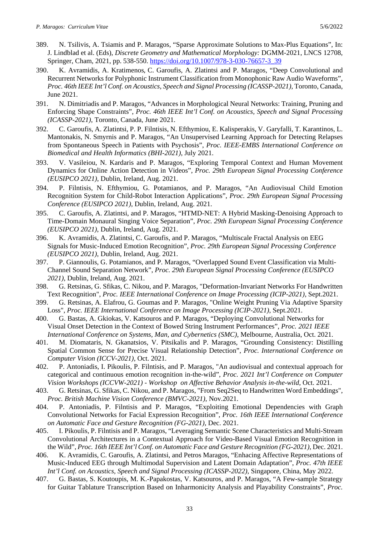- 389. N. Tsilivis, A. Tsiamis and P. Maragos, "Sparse Approximate Solutions to Max-Plus Equations", In: J. Lindblad et al. (Eds), *Discrete Geometry and Mathematical Morphology:* DGMM-2021, LNCS 12708, Springer, Cham, 2021, pp. 538-550. [https://doi.org/10.1007/978-3-030-76657-3\\_39](https://doi.org/10.1007/978-3-030-76657-3_39)
- 390. K. Avramidis, A. Kratimenos, C. Garoufis, A. Zlatintsi and P. Maragos, "Deep Convolutional and Recurrent Networks for Polyphonic Instrument Classification from Monophonic Raw Audio Waveforms", *Proc. 46th IEEE Int'l Conf. on Acoustics, Speech and Signal Processing (ICASSP-2021),* Toronto, Canada, June 2021.
- 391. N. Dimitriadis and P. Maragos, "Advances in Morphological Neural Networks: Training, Pruning and Enforcing Shape Constraints", *Proc. 46th IEEE Int'l Conf. on Acoustics, Speech and Signal Processing (ICASSP-2021),* Toronto, Canada, June 2021.
- 392. C. Garoufis, A. Zlatintsi, P. P. Filntisis, N. Efthymiou, E. Kalisperakis, V. Garyfalli, T. Karantinos, L. Mantonakis, N. Smyrnis and P. Maragos, "An Unsupervised Learning Approach for Detecting Relapses from Spontaneous Speech in Patients with Psychosis", *Proc. IEEE-EMBS International Conference on Biomedical and Health Informatics (BHI-2021)*, July 2021.
- 393. V. Vasileiou, N. Kardaris and P. Maragos, "Exploring Temporal Context and Human Movement Dynamics for Online Action Detection in Videos", *Proc. 29th European Signal Processing Conference (EUSIPCO 2021)*, Dublin, Ireland, Aug. 2021.
- 394. P. Filntisis, N. Efthymiou, G. Potamianos, and P. Maragos, "An Audiovisual Child Emotion Recognition System for Child-Robot Interaction Applications", *Proc. 29th European Signal Processing Conference (EUSIPCO 2021)*, Dublin, Ireland, Aug. 2021.
- 395. C. Garoufis, A. Zlatintsi, and P. Maragos, "HTMD-NET: A Hybrid Masking-Denoising Approach to Time-Domain Monaural Singing Voice Separation", *Proc. 29th European Signal Processing Conference (EUSIPCO 2021)*, Dublin, Ireland, Aug. 2021.
- 396. K. Avramidis, A. Zlatintsi, C. Garoufis, and P. Maragos, "Multiscale Fractal Analysis on EEG Signals for Music-Induced Emotion Recognition", *Proc. 29th European Signal Processing Conference (EUSIPCO 2021)*, Dublin, Ireland, Aug. 2021.
- 397. P. Giannoulis, G. Potamianos, and P. Maragos, "Overlapped Sound Event Classification via Multi-Channel Sound Separation Network", *Proc. 29th European Signal Processing Conference (EUSIPCO 2021)*, Dublin, Ireland, Aug. 2021.
- 398. G. Retsinas, G. Sfikas, C. Nikou, and P. Maragos, "Deformation-Invariant Networks For Handwritten Text Recognition", *Proc. IEEE International Conference on Image Processing (ICIP-2021)*, Sept.2021.
- 399. G. Retsinas, A. Elafrou, G. Goumas and P. Maragos, "Online Weight Pruning Via Adaptive Sparsity Loss", *Proc. IEEE International Conference on Image Processing (ICIP-2021)*, Sept.2021.
- 400. G. Bastas, A. Gkiokas, V. Katsouros and P. Maragos, "Deploying Convolutional Networks for Visual Onset Detection in the Context of Bowed String Instrument Performances", *Proc. 2021 IEEE International Conference on Systems, Man, and Cybernetics (SMC)*, Melbourne, Australia, Oct. 2021.
- 401. M. Diomataris, N. Gkanatsios, V. Pitsikalis and P. Maragos, "Grounding Consistency: Distilling Spatial Common Sense for Precise Visual Relationship Detection", *Proc. International Conference on Computer Vision (ICCV-2021)*, Oct. 2021.
- 402. P. Antoniadis, I. Pikoulis, P. Filntisis, and P. Maragos, "An audiovisual and contextual approach for categorical and continuous emotion recognition in-the-wild", *Proc. 2021 Int'l Conference on Computer Vision Workshops (ICCVW-2021)* - *Workshop on Affective Behavior Analysis in-the-wild*, Oct. 2021.
- 403. G. Retsinas, G. Sfikas, C. Nikou, and P. Maragos, "From Seq2Seq to Handwritten Word Embeddings", *Proc. British Machine Vision Conference (BMVC-2021)*, Nov.2021.
- 404. P. Antoniadis, P. Filntisis and P. Maragos, "Exploiting Emotional Dependencies with Graph Convolutional Networks for Facial Expression Recognition", *Proc. 16th IEEE International Conference on Automatic Face and Gesture Recognition (FG-2021),* Dec. 2021.
- 405. I. Pikoulis, P. Filntisis and P. Maragos, "Leveraging Semantic Scene Characteristics and Multi-Stream Convolutional Architectures in a Contextual Approach for Video-Based Visual Emotion Recognition in the Wild", *Proc. 16th IEEE Int'l Conf. on Automatic Face and Gesture Recognition (FG-2021),* Dec. 2021.
- 406. K. Avramidis, C. Garoufis, A. Zlatintsi, and Petros Maragos, "Enhacing Affective Representations of Music-Induced EEG through Multimodal Supervision and Latent Domain Adaptation", *Proc. 47th IEEE Int'l Conf. on Acoustics, Speech and Signal Processing (ICASSP-2022),* Singapore, China, May 2022.
- 407. G. Bastas, S. Koutoupis, M. K.-Papakostas, V. Katsouros, and P. Maragos, "A Few-sample Strategy for Guitar Tablature Transcription Based on Inharmonicity Analysis and Playability Constraints", *Proc.*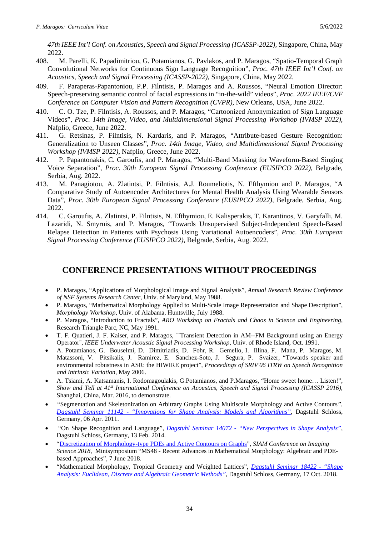*47th IEEE Int'l Conf. on Acoustics, Speech and Signal Processing (ICASSP-2022),* Singapore, China, May 2022.

- 408. M. Parelli, K. Papadimitriou, G. Potamianos, G. Pavlakos, and P. Maragos, "Spatio-Temporal Graph Convolutional Networks for Continuous Sign Language Recognition", *Proc. 47th IEEE Int'l Conf. on Acoustics, Speech and Signal Processing (ICASSP-2022),* Singapore, China, May 2022.
- 409. F. Paraperas-Papantoniou, P.P. Filntisis, P. Maragos and A. Roussos, "Neural Emotion Director: Speech-preserving semantic control of facial expressions in "in-the-wild" videos", *Proc. 2022 IEEE/CVF Conference on Computer Vision and Pattern Recognition (CVPR)*, New Orleans, USA, June 2022.
- 410. C. O. Tze, P. Filntisis, A. Roussos, and P. Maragos, "Cartoonized Anonymization of Sign Language Videos", *Proc. 14th Image, Video, and Multidimensional Signal Processing Workshop (IVMSP 2022)*, Nafplio, Greece, June 2022.
- 411. G. Retsinas, P. Filntisis, N. Kardaris, and P. Maragos, "Attribute-based Gesture Recognition: Generalization to Unseen Classes", *Proc. 14th Image, Video, and Multidimensional Signal Processing Workshop (IVMSP 2022)*, Nafplio, Greece, June 2022.
- 412. P. Papantonakis, C. Garoufis, and P. Maragos, "Multi-Band Masking for Waveform-Based Singing Voice Separation", *Proc. 30th European Signal Processing Conference (EUSIPCO 2022)*, Belgrade, Serbia, Aug. 2022.
- 413. M. Panagiotou, A. Zlatintsi, P. Filntisis, A.J. Roumeliotis, N. Efthymiou and P. Maragos, "A Comparative Study of Autoencoder Architectures for Mental Health Analysis Using Wearable Sensors Data", *Proc. 30th European Signal Processing Conference (EUSIPCO 2022)*, Belgrade, Serbia, Aug. 2022.
- 414. C. Garoufis, A. Zlatintsi, P. Filntisis, N. Efthymiou, E. Kalisperakis, T. Karantinos, V. Garyfalli, M. Lazaridi, N. Smyrnis, and P. Maragos, "Towards Unsupervised Subject-Independent Speech-Based Relapse Detection in Patients with Psychosis Using Variational Autoencoders", *Proc. 30th European Signal Processing Conference (EUSIPCO 2022)*, Belgrade, Serbia, Aug. 2022.

## **CONFERENCE PRESENTATIONS WITHOUT PROCEEDINGS**

- P. Maragos, "Applications of Morphological Image and Signal Analysis", *Annual Research Review Conference of NSF Systems Research Center*, Univ. of Maryland, May 1988.
- P. Maragos, "Mathematical Morphology Applied to Multi-Scale Image Representation and Shape Description", *Morphology Workshop*, Univ. of Alabama, Huntsville, July 1988.
- P. Maragos, "Introduction to Fractals", *ARO Workshop on Fractals and Chaos in Science and Engineering*, Research Triangle Parc, NC, May 1991.
- T. F. Quatieri, J. F. Kaiser, and P. Maragos, ``Transient Detection in AM--FM Background using an Energy Operator'', *IEEE Underwater Acoustic Signal Processing Workshop*, Univ. of Rhode Island, Oct. 1991.
- A. Potamianos, G. Bouselmi, D. Dimitriadis, D. Fohr, R. Gemello, I. Illina, F. Mana, P. Maragos, M. Matassoni, V. Pitsikalis, J. Ramirez, E. Sanchez-Soto, J. Segura, P. Svaizer, "Towards speaker and environmental robustness in ASR: the HIWIRE project", *Proceedings of SRIV'06 ITRW on Speech Recognition and Intrinsic Variation*, May 2006.
- A. Tsiami, A. Katsamanis, I. Rodomagoulakis, G.Potamianos, and P.Maragos, "Home sweet home… Listen!", *Show and Tell at 41<sup>st</sup> International Conference on Acoustics, Speech and Signal Processing (ICASSP 2016),* Shanghai, China, Mar. 2016, to demonstrate.
- *"*Segmentation and Skeletonization on Arbitrary Graphs Using Multiscale Morphology and Active Contours*", Dagstuhl Seminar 11142 - ["Innovations for Shape Analysis: Models and Algorithms"](https://www.dagstuhl.de/en/program/calendar/semhp/?semnr=11142)*, Dagstuhl Schloss, Germany, 06 Apr. 2011.
- "On Shape Recognition and Language", *Dagstuhl Seminar 14072 - ["New Perspectives in Shape Analysis"](https://www.dagstuhl.de/en/program/calendar/semhp/?semnr=14072)*, Dagstuhl Schloss, Germany, 13 Feb. 2014.
- ["Discretization of Morphology-type PDEs and Active Contours on Graphs"](https://www.siam-is18.dm.unibo.it/minisymposia/96), *SIAM Conference on Imaging Science 2018*, Minisymposium "MS48 - Recent Advances in Mathematical Morphology: Algebraic and PDEbased Approaches", 7 June 2018.
- "Mathematical Morphology, Tropical Geometry and Weighted Lattices", *[Dagstuhl Seminar 18422 -](https://www.dagstuhl.de/en/program/calendar/semhp/?semnr=18422) "Shape [Analysis: Euclidean, Discrete and Algebraic Geometric Methods"](https://www.dagstuhl.de/en/program/calendar/semhp/?semnr=18422)*, Dagstuhl Schloss, Germany, 17 Oct. 2018.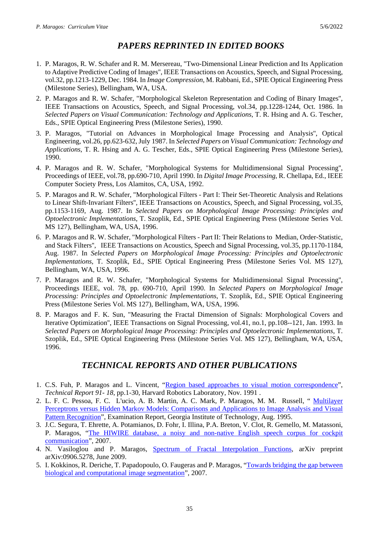## *PAPERS REPRINTED IN EDITED BOOKS*

- 1. P. Maragos, R. W. Schafer and R. M. Mersereau, "Two-Dimensional Linear Prediction and Its Application to Adaptive Predictive Coding of Images'', IEEE Transactions on Acoustics, Speech, and Signal Processing, vol.32, pp.1213-1229, Dec. 1984. In *Image Compression*, M. Rabbani, Ed., SPIE Optical Engineering Press (Milestone Series), Bellingham, WA, USA.
- 2. P. Maragos and R. W. Schafer, "Morphological Skeleton Representation and Coding of Binary Images'', IEEE Transactions on Acoustics, Speech, and Signal Processing, vol.34, pp.1228-1244, Oct. 1986. In *Selected Papers on Visual Communication: Technology and Applications*, T. R. Hsing and A. G. Tescher, Eds., SPIE Optical Engineering Press (Milestone Series), 1990.
- 3. P. Maragos, "Tutorial on Advances in Morphological Image Processing and Analysis'', Optical Engineering, vol.26, pp.623-632, July 1987. In *Selected Papers on Visual Communication: Technology and Applications*, T. R. Hsing and A. G. Tescher, Eds., SPIE Optical Engineering Press (Milestone Series), 1990.
- 4. P. Maragos and R. W. Schafer, "Morphological Systems for Multidimensional Signal Processing'', Proceedings of IEEE, vol.78, pp.690-710, April 1990. In *Digital Image Processing*, R. Chellapa, Ed., IEEE Computer Society Press, Los Alamitos, CA, USA, 1992.
- 5. P. Maragos and R. W. Schafer, "Morphological Filters Part I: Their Set-Theoretic Analysis and Relations to Linear Shift-Invariant Filters'', IEEE Transactions on Acoustics, Speech, and Signal Processing, vol.35, pp.1153-1169, Aug. 1987. In *Selected Papers on Morphological Image Processing: Principles and Optoelectronic Implementations*, T. Szoplik, Ed., SPIE Optical Engineering Press (Milestone Series Vol. MS 127), Bellingham, WA, USA, 1996.
- 6. P. Maragos and R. W. Schafer, "Morphological Filters Part II: Their Relations to Median, Order-Statistic, and Stack Filters'', IEEE Transactions on Acoustics, Speech and Signal Processing, vol.35, pp.1170-1184, Aug. 1987. In *Selected Papers on Morphological Image Processing: Principles and Optoelectronic Implementations*, T. Szoplik, Ed., SPIE Optical Engineering Press (Milestone Series Vol. MS 127), Bellingham, WA, USA, 1996.
- 7. P. Maragos and R. W. Schafer, "Morphological Systems for Multidimensional Signal Processing'', Proceedings IEEE, vol. 78, pp. 690-710, April 1990. In *Selected Papers on Morphological Image Processing: Principles and Optoelectronic Implementations*, T. Szoplik, Ed., SPIE Optical Engineering Press (Milestone Series Vol. MS 127), Bellingham, WA, USA, 1996.
- 8. P. Maragos and F. K. Sun, "Measuring the Fractal Dimension of Signals: Morphological Covers and Iterative Optimization'', IEEE Transactions on Signal Processing, vol.41, no.1, pp.108--121, Jan. 1993. In *Selected Papers on Morphological Image Processing: Principles and Optoelectronic Implementations*, T. Szoplik, Ed., SPIE Optical Engineering Press (Milestone Series Vol. MS 127), Bellingham, WA, USA, 1996.

# *TECHNICAL REPORTS AND OTHER PUBLICATIONS*

- 1. C.S. Fuh, P. Maragos and L. Vincent, ["Region based approaches to visual motion correspondence"](http://scholar.google.gr/citations?view_op=view_citation&hl=el&user=A2XydgGCY9gC&pagesize=100&citation_for_view=A2XydgGCY9gC:zA6iFVUQeVQC), *Technical Report 91- 18*, pp.1-30, Harvard Robotics Laboratory, Nov. 1991 .
- 2. L. F. C. Pessoa, F. C. L'ucio, A. B. Martin, A. C. Mark, P. Maragos, M. M. Russell, " [Multilayer](http://scholar.google.gr/citations?view_op=view_citation&hl=el&user=A2XydgGCY9gC&cstart=100&pagesize=100&citation_for_view=A2XydgGCY9gC:VOx2b1Wkg3QC)  [Perceptrons versus Hidden Markov Models: Comparisons and Applications to Image Analysis and Visual](http://scholar.google.gr/citations?view_op=view_citation&hl=el&user=A2XydgGCY9gC&cstart=100&pagesize=100&citation_for_view=A2XydgGCY9gC:VOx2b1Wkg3QC)  [Pattern Recognition"](http://scholar.google.gr/citations?view_op=view_citation&hl=el&user=A2XydgGCY9gC&cstart=100&pagesize=100&citation_for_view=A2XydgGCY9gC:VOx2b1Wkg3QC), Examination Report, Georgia Institute of Technology, Aug. 1995.
- 3. J.C. Segura, T. Ehrette, A. Potamianos, D. Fohr, I. Illina, P.A. Breton, V. Clot, R. Gemello, M. Matassoni, P. Maragos, ["The HIWIRE database, a noisy and non-native English speech corpus for cockpit](http://cvsp.cs.ntua.gr/projects/pub/HIWIRE/WebHome/HIWIRE_db_description_paper.pdf)  [communication"](http://cvsp.cs.ntua.gr/projects/pub/HIWIRE/WebHome/HIWIRE_db_description_paper.pdf), 2007.
- 4. N. Vasiloglou and P. Maragos, [Spectrum of Fractal Interpolation Functions,](http://arxiv.org/abs/0906.5278) arXiv preprint arXiv:0906.5278, June 2009.
- 5. I. Kokkinos, R. Deriche, T. Papadopoulo, O. Faugeras and P. Maragos, ["Towards bridging the gap between](http://hal.archives-ouvertes.fr/inria-00176890/)  [biological and computational image segmentation"](http://hal.archives-ouvertes.fr/inria-00176890/), 2007.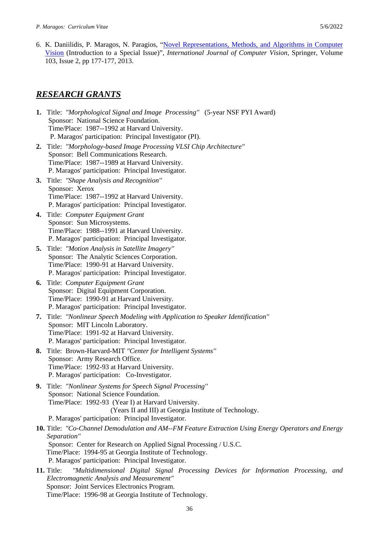6. K. Daniilidis, P. Maragos, N. Paragios, ["Novel Representations, Methods, and Algorithms in Computer](http://link.springer.com/article/10.1007/s11263-013-0628-x)  [Vision](http://link.springer.com/article/10.1007/s11263-013-0628-x) (Introduction to a Special Issue)", *International Journal of Computer Vision*, Springer, Volume 103, [Issue](http://link.springer.com/journal/11263/103/2/page/1) 2, pp 177-177, 2013.

## *RESEARCH GRANTS*

- **1.** Title: *"Morphological Signal and Image Processing''* (5-year NSF PYI Award) Sponsor: National Science Foundation. Time/Place: 1987--1992 at Harvard University. P. Maragos' participation: Principal Investigator (PI).
- **2.** Title: *"Morphology-based Image Processing VLSI Chip Architecture"* Sponsor: Bell Communications Research. Time/Place: 1987--1989 at Harvard University. P. Maragos' participation: Principal Investigator.
- **3.** Title: *"Shape Analysis and Recognition''* Sponsor: Xerox Time/Place: 1987--1992 at Harvard University. P. Maragos' participation: Principal Investigator.
- **4.** Title: *Computer Equipment Grant* Sponsor: Sun Microsystems. Time/Place: 1988--1991 at Harvard University. P. Maragos' participation: Principal Investigator.
- **5.** Title: *"Motion Analysis in Satellite Imagery''* Sponsor: The Analytic Sciences Corporation. Time/Place: 1990-91 at Harvard University. P. Maragos' participation: Principal Investigator.
- **6.** Title: *Computer Equipment Grant* Sponsor: Digital Equipment Corporation. Time/Place: 1990-91 at Harvard University. P. Maragos' participation: Principal Investigator.
- **7.** Title: *"Nonlinear Speech Modeling with Application to Speaker Identification''* Sponsor: MIT Lincoln Laboratory. Time/Place: 1991-92 at Harvard University. P. Maragos' participation: Principal Investigator.
- **8.** Title: Brown-Harvard-MIT *"Center for Intelligent Systems''* Sponsor: Army Research Office. Time/Place: 1992-93 at Harvard University. P. Maragos' participation: Co-Investigator.
- **9.** Title: *"Nonlinear Systems for Speech Signal Processing''* Sponsor: National Science Foundation. Time/Place: 1992-93 (Year I) at Harvard University. (Years II and III) at Georgia Institute of Technology. P. Maragos' participation: Principal Investigator.

**10.** Title: *"Co-Channel Demodulation and AM--FM Feature Extraction Using Energy Operators and Energy Separation''* Sponsor: Center for Research on Applied Signal Processing / U.S.C. Time/Place: 1994-95 at Georgia Institute of Technology. P. Maragos' participation: Principal Investigator.

**11.** Title: *"Multidimensional Digital Signal Processing Devices for Information Processing, and Electromagnetic Analysis and Measurement"* Sponsor: Joint Services Electronics Program. Time/Place: 1996-98 at Georgia Institute of Technology.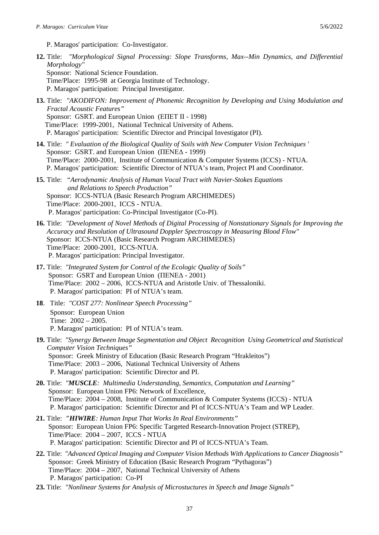P. Maragos' participation: Co-Investigator.

- **12.** Title: *"Morphological Signal Processing: Slope Transforms, Max--Min Dynamics, and Differential Morphology''*  Sponsor: National Science Foundation. Time/Place: 1995-98 at Georgia Institute of Technology. P. Maragos' participation: Principal Investigator.
- **13.** Title: *"AKODIFON: Improvement of Phonemic Recognition by Developing and Using Modulation and Fractal Acoustic Features"* Sponsor: GSRT. and European Union (ΕΠΕΤ ΙΙ - 1998) Time/Place: 1999-2001, National Technical University of Athens. P. Maragos' participation: Scientific Director and Principal Investigator (PI).
- **14.** Title: *" Evaluation of the Biological Quality of Soils with New Computer Vision Techniques '*  Sponsor: GSRT. and European Union (ΠΕΝΕΔ - 1999) Time/Place: 2000-2001, Institute of Communication & Computer Systems (ICCS) - NTUA. P. Maragos' participation: Scientific Director of NTUA's team, Project PI and Coordinator.
- **15.** Title: "*Aerodynamic Analysis of Human Vocal Tract with Navier-Stokes Equations and Relations to Speech Production"* Sponsor: ICCS-NTUA (Basic Research Program ARCHIMEDES) Time/Place: 2000-2001, ICCS - NTUA. P. Maragos' participation: Co-Principal Investigator (Co-PI).
- **16.** Title: *"Development of Novel Methods of Digital Processing of Nonstationary Signals for Improving the Accuracy and Resolution of Ultrasound Doppler Spectroscopy in Measuring Blood Flow"* Sponsor: ICCS-NTUA (Basic Research Program ARCHIMEDES) Time/Place: 2000-2001, ICCS-NTUA. P. Maragos' participation: Principal Investigator.
- **17.** Title: *"Integrated System for Control of the Ecologic Quality of Soils"*  Sponsor: GSRT and European Union (ΠΕΝΕΔ - 2001) Time/Place: 2002 – 2006, ICCS-NTUA and Aristotle Univ. of Thessaloniki. P. Maragos' participation: PI of NTUA's team.
- **18**. Title: *"COST 277: Nonlinear Speech Processing"*  Sponsor: European Union Time: 2002 – 2005. P. Maragos' participation: PI of NTUA's team.
- **19.** Title: *"Synergy Between Image Segmentation and Object Recognition Using Geometrical and Statistical Computer Vision Techniques"*  Sponsor: Greek Ministry of Education (Basic Research Program "Hrakleitos") Time/Place: 2003 – 2006, National Technical University of Athens P. Maragos' participation: Scientific Director and PI.
- **20.** Title: *"MUSCLE: Multimedia Understanding, Semantics, Computation and Learning"*  Sponsor: European Union FP6: Network of Excellence, Time/Place: 2004 – 2008, Institute of Communication & Computer Systems (ICCS) - NTUA P. Maragos' participation: Scientific Director and PI of ICCS-NTUA's Team and WP Leader.
- **21.** Title: *"HIWIRE: Human Input That Works In Real Environments"*  Sponsor: European Union FP6: Specific Targeted Research-Innovation Project (STREP), Time/Place: 2004 – 2007, ICCS - NTUA P. Maragos' participation: Scientific Director and PI of ICCS-NTUA's Team.
- **22.** Title: *"Advanced Optical Imaging and Computer Vision Methods With Applications to Cancer Diagnosis"*  Sponsor: Greek Ministry of Education (Basic Research Program "Pythagoras") Time/Place: 2004 – 2007, National Technical University of Athens P. Maragos' participation: Co-PI
- **23.** Title: *"Nonlinear Systems for Analysis of Microstuctures in Speech and Image Signals"*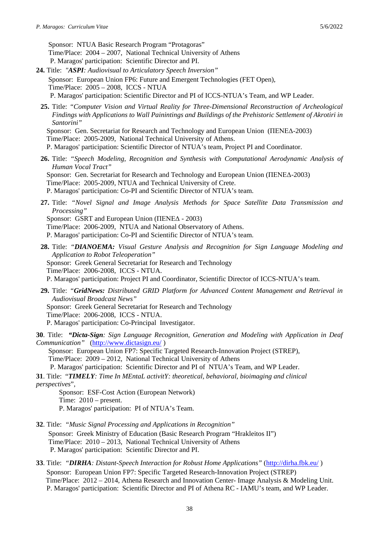Sponsor: NTUA Basic Research Program "Protagoras" Time/Place: 2004 – 2007, National Technical University of Athens P. Maragos' participation: Scientific Director and PI.

- **24.** Title: *"ASPI: Audiovisual to Articulatory Speech Inversion"*  Sponsor: European Union FP6: Future and Emergent Technologies (FET Open), Time/Place: 2005 – 2008, ICCS - NTUA P. Maragos' participation: Scientific Director and PI of ICCS-NTUA's Team, and WP Leader.
	- **25.** Title: *"Computer Vision and Virtual Reality for Three-Dimensional Reconstruction of Archeological Findings with Applications to Wall Painintings and Buildings of the Prehistoric Settlement of Akrotiri in Santorini"* Sponsor: Gen. Secretariat for Research and Technology and European Union (ΠΕΝΕΔ-2003) Time/Place: 2005-2009, National Technical University of Athens.

P. Maragos' participation: Scientific Director of NTUA's team, Project PI and Coordinator.

- **26.** Title: *"Speech Modeling, Recognition and Synthesis with Computational Aerodynamic Analysis of Human Vocal Tract"*  Sponsor: Gen. Secretariat for Research and Technology and European Union (ΠΕΝΕΔ-2003) Time/Place: 2005-2009, NTUA and Technical University of Crete. P. Maragos' participation: Co-PI and Scientific Director of NTUA's team.
- **27.** Title: *"Novel Signal and Image Analysis Methods for Space Satellite Data Transmission and Processing"*

Sponsor: GSRT and European Union (ΠΕΝΕΔ - 2003)

Time/Place: 2006-2009, NTUA and National Observatory of Athens.

P. Maragos' participation: Co-PI and Scientific Director of NTUA's team.

- **28.** Title: *"DIANOEMA: Visual Gesture Analysis and Recognition for Sign Language Modeling and Application to Robot Teleoperation"*  Sponsor: Greek General Secretariat for Research and Technology Time/Place: 2006-2008, ICCS - NTUA. P. Maragos' participation: Project PI and Coordinator, Scientific Director of ICCS-NTUA's team.
- **29.** Title: *"GridNews: Distributed GRID Platform for Advanced Content Management and Retrieval in Audiovisual Broadcast News"*  Sponsor: Greek General Secretariat for Research and Technology Time/Place: 2006-2008, ICCS - NTUA. P. Maragos' participation: Co-Principal Investigator.
- **30**. Title: *"Dicta-Sign: Sign Language Recognition, Generation and Modeling with Application in Deaf Communication"* [\(http://www.dictasign.eu/](http://www.dictasign.eu/) )

 Sponsor: European Union FP7: Specific Targeted Research-Innovation Project (STREP), Time/Place: 2009 – 2012, National Technical University of Athens P. Maragos' participation: Scientific Director and PI of NTUA's Team, and WP Leader.

**31**. Title: "*[TIMELY](http://www.cost.esf.org/domains_actions/isch/Actions/TD0904-Time-In-MEntaL-activitY-theoretical-behavioral-bioimaging-and-clinical-perspectives-TIMELY): Time In MEntaL activitY: theoretical, behavioral, bioimaging and clinical perspectives*",

Sponsor: ESF-Cost Action (European Network) Time: 2010 – present. P. Maragos' participation: PI of NTUA's Team.

- **32**. Title: *"Music Signal Processing and Applications in Recognition"*  Sponsor: Greek Ministry of Education (Basic Research Program "Hrakleitos II") Time/Place: 2010 – 2013, National Technical University of Athens P. Maragos' participation: Scientific Director and PI.
- **33**. Title: *"DIRHA: Distant-Speech Interaction for Robust Home Applications"* [\(http://dirha.fbk.eu/](http://dirha.fbk.eu/) ) Sponsor: European Union FP7: Specific Targeted Research-Innovation Project (STREP) Time/Place: 2012 – 2014, Athena Research and Innovation Center- Image Analysis & Modeling Unit. P. Maragos' participation: Scientific Director and PI of Athena RC - IAMU's team, and WP Leader.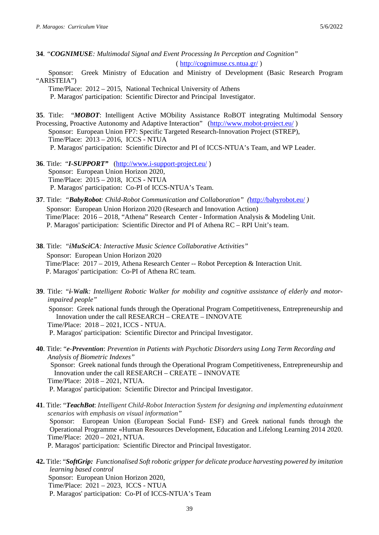**34**. *"COGNIMUSE: Multimodal Signal and Event Processing In Perception and Cognition"*  (<http://cognimuse.cs.ntua.gr/> )

 Sponsor: Greek Ministry of Education and Ministry of Development (Basic Research Program "ARISTEIA")

 Time/Place: 2012 – 2015, National Technical University of Athens P. Maragos' participation: Scientific Director and Principal Investigator.

**35**. Title: "*MOBOT*: Intelligent Active MObility Assistance RoBOT integrating Multimodal Sensory Processing, Proactive Autonomy and Adaptive Interaction" [\(http://www.mobot-project.eu/](http://www.mobot-project.eu/) ) Sponsor: European Union FP7: Specific Targeted Research-Innovation Project (STREP), Time/Place: 2013 – 2016, ICCS - NTUA P. Maragos' participation: Scientific Director and PI of ICCS-NTUA's Team, and WP Leader.

- **36**. Title: "*I-SUPPORT"* [\(http://www.i-support-project.eu/](http://www.i-support-project.eu/) ) Sponsor: European Union Horizon 2020, Time/Place: 2015 – 2018, ICCS - NTUA P. Maragos' participation: Co-PI of ICCS-NTUA's Team.
- **37**. Title: *"BabyRobot: Child-Robot Communication and Collaboration" (*<http://babyrobot.eu/> *)* Sponsor: European Union Horizon 2020 (Research and Innovation Action) Time/Place: 2016 – 2018, "Athena" Research Center - Information Analysis & Modeling Unit. P. Maragos' participation: Scientific Director and PI of Athena RC – RPI Unit's team.

**38**. Title: *"iMuSciCA: Interactive Music Science Collaborative Activities"*  Sponsor: European Union Horizon 2020 Time/Place: 2017 – 2019, Athena Research Center -- Robot Perception & Interaction Unit. P. Maragos' participation: Co-PI of Athena RC team.

**39**. Title: *"i-Walk: Intelligent Robotic Walker for mobility and cognitive assistance of elderly and motorimpaired people"*  Sponsor: Greek national funds through the Operational Program Competitiveness, Entrepreneurship and Innovation under the call RESEARCH – CREATE – INNOVATE Time/Place: 2018 – 2021, ICCS - NTUA.

P. Maragos' participation: Scientific Director and Principal Investigator.

**40**. Title: "*e-Prevention*: *Prevention in Patients with Psychotic Disorders using Long Term Recording and Analysis of Biometric Indexes"* Sponsor: Greek national funds through the Operational Program Competitiveness, Entrepreneurship and Innovation under the call RESEARCH – CREATE – INNOVATE Time/Place: 2018 – 2021, NTUA.

P. Maragos' participation: Scientific Director and Principal Investigator.

- **41**. Title: "*TeachBot*: *Intelligent Child-Robot Interaction System for designing and implementing edutainment scenarios with emphasis on visual information"* Sponsor: European Union (European Social Fund- ESF) and Greek national funds through the Operational Programme «Human Resources Development, Education and Lifelong Learning 2014 2020. Time/Place: 2020 – 2021, NTUA. P. Maragos' participation: Scientific Director and Principal Investigator.
- **42.** Title: "*SoftGrip: Functionalised Soft robotic gripper for delicate produce harvesting powered by imitation learning based control* Sponsor: European Union Horizon 2020, Time/Place: 2021 – 2023, ICCS - NTUA P. Maragos' participation: Co-PI of ICCS-NTUA's Team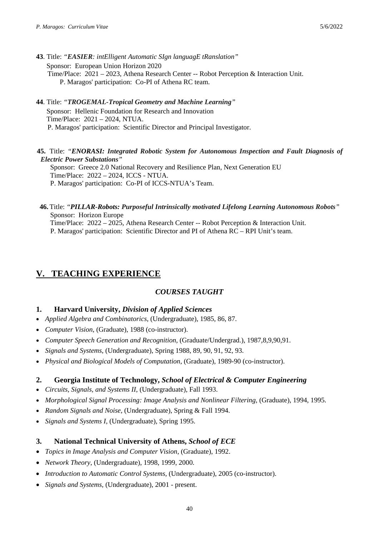- **43**. Title: *"EASIER: intElligent Automatic SIgn languagE tRanslation"*  Sponsor: European Union Horizon 2020 Time/Place: 2021 – 2023, Athena Research Center -- Robot Perception & Interaction Unit. P. Maragos' participation: Co-PI of Athena RC team.
- **44**. Title: *"TROGEMAL-Tropical Geometry and Machine Learning"*  Sponsor: Hellenic Foundation for Research and Innovation Time/Place: 2021 – 2024, NTUA. P. Maragos' participation: Scientific Director and Principal Investigator.

### **45.** Title: *"ENORASI: Integrated Robotic System for Autonomous Inspection and Fault Diagnosis of Electric Power Substations"*

 Sponsor: Greece 2.0 National Recovery and Resilience Plan, Next Generation EU Time/Place: 2022 – 2024, ICCS - NTUA. P. Maragos' participation: Co-PI of ICCS-NTUA's Team.

#### **46.** Title: *"PILLAR-Robots: Purposeful Intrinsically motivated Lifelong Learning Autonomous Robots"*  Sponsor: Horizon Europe Time/Place: 2022 – 2025, Athena Research Center -- Robot Perception & Interaction Unit. P. Maragos' participation: Scientific Director and PI of Athena RC – RPI Unit's team.

# **V. TEACHING EXPERIENCE**

## *COURSES TAUGHT*

## **1. Harvard University,** *Division of Applied Sciences*

- *Applied Algebra and Combinatorics*, (Undergraduate), 1985, 86, 87.
- *Computer Vision*, (Graduate), 1988 (co-instructor).
- *Computer Speech Generation and Recognition*, (Graduate/Undergrad.), 1987,8,9,90,91.
- *Signals and Systems*, (Undergraduate), Spring 1988, 89, 90, 91, 92, 93.
- *Physical and Biological Models of Computation*, (Graduate), 1989-90 (co-instructor).

### **2. Georgia Institute of Technology,** *School of Electrical & Computer Engineering*

- *Circuits, Signals, and Systems II*, (Undergraduate), Fall 1993.
- *Morphological Signal Processing: Image Analysis and Nonlinear Filtering*, (Graduate), 1994, 1995.
- *Random Signals and Noise*, (Undergraduate), Spring & Fall 1994.
- *Signals and Systems I*, (Undergraduate), Spring 1995.

## **3. National Technical University of Athens,** *School of ECE*

- *Topics in Image Analysis and Computer Vision*, (Graduate), 1992.
- *Network Theory*, (Undergraduate), 1998, 1999, 2000.
- *Introduction to Automatic Control Systems,* (Undergraduate), 2005 (co-instructor).
- *Signals and Systems,* (Undergraduate), 2001 present.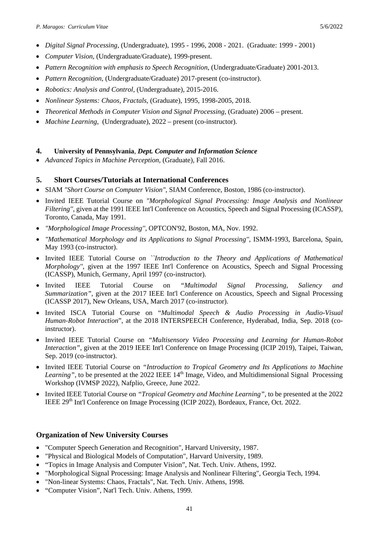- *Digital Signal Processing*, (Undergraduate), 1995 1996, 2008 2021. (Graduate: 1999 2001)
- *Computer Vision*, (Undergraduate/Graduate), 1999-present.
- *Pattern Recognition with emphasis to Speech Recognition*, (Undergraduate/Graduate) 2001-2013.
- *Pattern Recognition*, (Undergraduate/Graduate) 2017-present (co-instructor).
- *Robotics: Analysis and Control,* (Undergraduate), 2015-2016.
- *Nonlinear Systems: Chaos, Fractals*, (Graduate), 1995, 1998-2005, 2018.
- *Theoretical Methods in Computer Vision and Signal Processing,* (Graduate) 2006 present.
- *Machine Learning*, (Undergraduate), 2022 present (co-instructor).

### **4. University of Pennsylvania**, *Dept. Computer and Information Science*

• *Advanced Topics in Machine Perception*, (Graduate), Fall 2016.

### **5. Short Courses/Tutorials at International Conferences**

- SIAM *"Short Course on Computer Vision"*, SIAM Conference, Boston, 1986 (co-instructor).
- Invited IEEE Tutorial Course on *"Morphological Signal Processing: Image Analysis and Nonlinear Filtering''*, given at the 1991 IEEE Int'l Conference on Acoustics, Speech and Signal Processing (ICASSP), Toronto, Canada, May 1991.
- *"Morphological Image Processing''*, OPTCON'92, Boston, MA, Nov. 1992.
- *"Mathematical Morphology and its Applications to Signal Processing''*, ISMM-1993, Barcelona, Spain, May 1993 (co-instructor).
- Invited IEEE Tutorial Course *on ``Introduction to the Theory and Applications of Mathematical Morphology''*, given at the 1997 IEEE Int'l Conference on Acoustics, Speech and Signal Processing (ICASSP), Munich, Germany, April 1997 (co-instructor).
- Invited IEEE Tutorial Course on *"Multimodal Signal Processing, Saliency and Summarization"*, given at the 2017 IEEE Int'l Conference on Acoustics, Speech and Signal Processing (ICASSP 2017), New Orleans, USA, March 2017 (co-instructor).
- Invited ISCA Tutorial Course on "*Multimodal Speech & Audio Processing in Audio-Visual Human-Robot Interaction*", at the 2018 INTERSPEECH Conference, Hyderabad, India, Sep. 2018 (coinstructor).
- Invited IEEE Tutorial Course on *"Multisensory Video Processing and Learning for Human-Robot Interaction"*, given at the 2019 IEEE Int'l Conference on Image Processing (ICIP 2019), Taipei, Taiwan, Sep. 2019 (co-instructor).
- Invited IEEE Tutorial Course on *"Introduction to Tropical Geometry and Its Applications to Machine Learning"*, to be presented at the 2022 IEEE 14<sup>th</sup> Image, Video, and Multidimensional Signal Processing Workshop (IVMSP 2022), Nafplio, Greece, June 2022.
- Invited IEEE Tutorial Course on *"Tropical Geometry and Machine Learning"*, to be presented at the 2022 IEEE 29<sup>th</sup> Int'l Conference on Image Processing (ICIP 2022), Bordeaux, France, Oct. 2022.

### **Organization of New University Courses**

- "Computer Speech Generation and Recognition", Harvard University, 1987.
- "Physical and Biological Models of Computation", Harvard University, 1989.
- "Topics in Image Analysis and Computer Vision", Nat. Tech. Univ. Athens, 1992.
- "Morphological Signal Processing: Image Analysis and Nonlinear Filtering", Georgia Tech, 1994.
- "Non-linear Systems: Chaos, Fractals", Nat. Tech. Univ. Athens, 1998.
- "Computer Vision", Nat'l Tech. Univ. Athens, 1999.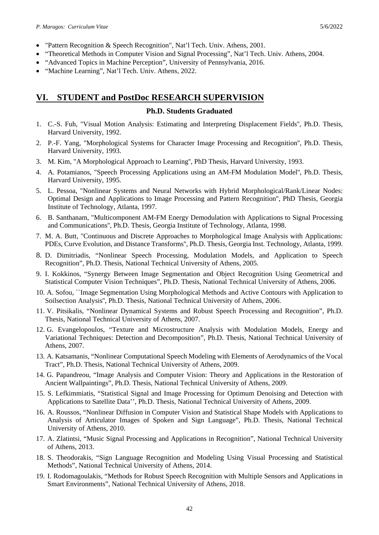- "Pattern Recognition & Speech Recognition", Nat'l Tech. Univ. Athens, 2001.
- "Theoretical Methods in Computer Vision and Signal Processing", Nat'l Tech. Univ. Athens, 2004.
- "Advanced Topics in Machine Perception", University of Pennsylvania, 2016.
- "Machine Learning", Nat'l Tech. Univ. Athens, 2022.

## **VI. STUDENT and PostDoc RESEARCH SUPERVISION**

### **Ph.D. Students Graduated**

- 1. C.-S. Fuh, "Visual Motion Analysis: Estimating and Interpreting Displacement Fields'', Ph.D. Thesis, Harvard University, 1992.
- 2. P.-F. Yang, "Morphological Systems for Character Image Processing and Recognition'', Ph.D. Thesis, Harvard University, 1993.
- 3. M. Kim, "A Morphological Approach to Learning'', PhD Thesis, Harvard University, 1993.
- 4. A. Potamianos, "Speech Processing Applications using an AM-FM Modulation Model'', Ph.D. Thesis, Harvard University, 1995.
- 5. L. Pessoa, "Nonlinear Systems and Neural Networks with Hybrid Morphological/Rank/Linear Nodes: Optimal Design and Applications to Image Processing and Pattern Recognition'', PhD Thesis, Georgia Institute of Technology, Atlanta, 1997.
- 6. B. Santhanam, "Multicomponent AM-FM Energy Demodulation with Applications to Signal Processing and Communications'', Ph.D. Thesis, Georgia Institute of Technology, Atlanta, 1998.
- 7. M. A. Butt, "Continuous and Discrete Approaches to Morphological Image Analysis with Applications: PDEs, Curve Evolution, and Distance Transforms'', Ph.D. Thesis, Georgia Inst. Technology, Atlanta, 1999.
- 8. D. Dimitriadis, "Nonlinear Speech Processing, Modulation Models, and Application to Speech Recognition", Ph.D. Thesis, National Technical University of Athens, 2005.
- 9. I. Kokkinos, "Synergy Between Image Segmentation and Object Recognition Using Geometrical and Statistical Computer Vision Techniques", Ph.D. Thesis, National Technical University of Athens, 2006.
- 10. A. Sofou, ``Image Segmentation Using Morphological Methods and Active Contours with Application to Soilsection Analysis'', Ph.D. Thesis, National Technical University of Athens, 2006.
- 11. V. Pitsikalis, "Nonlinear Dynamical Systems and Robust Speech Processing and Recognition", Ph.D. Thesis, National Technical University of Athens, 2007.
- 12. G. Evangelopoulos, "Texture and Microstructure Analysis with Modulation Models, Energy and Variational Techniques: Detection and Decomposition", Ph.D. Thesis, National Technical University of Athens, 2007.
- 13. A. Katsamanis, "Nonlinear Computational Speech Modeling with Elements of Aerodynamics of the Vocal Tract", Ph.D. Thesis, National Technical University of Athens, 2009.
- 14. G. Papandreou, "Image Analysis and Computer Vision: Theory and Applications in the Restoration of Ancient Wallpaintings", Ph.D. Thesis, National Technical University of Athens, 2009.
- 15. S. Lefkimmiatis, "Statistical Signal and Image Processing for Optimum Denoising and Detection with Applications to Satellite Data'', Ph.D. Thesis, National Technical University of Athens, 2009.
- 16. A. Roussos, "Nonlinear Diffusion in Computer Vision and Statistical Shape Models with Applications to Analysis of Articulator Images of Spoken and Sign Language", Ph.D. Thesis, National Technical University of Athens, 2010.
- 17. A. Zlatintsi, "Music Signal Processing and Applications in Recognition", National Technical University of Athens, 2013.
- 18. S. Theodorakis, "Sign Language Recognition and Modeling Using Visual Processing and Statistical Methods", National Technical University of Athens, 2014.
- 19. I. Rodomagoulakis, "Methods for Robust Speech Recognition with Multiple Sensors and Applications in Smart Environments", National Technical University of Athens, 2018.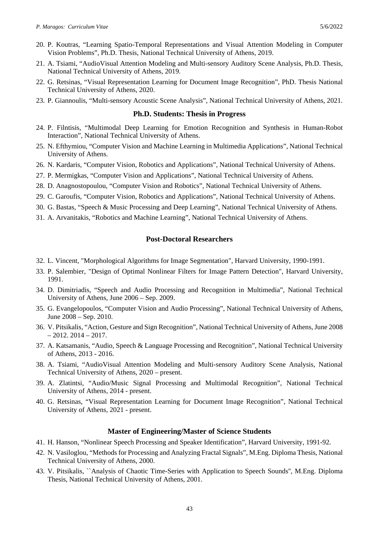- 20. P. Koutras, "Learning Spatio-Temporal Representations and Visual Attention Modeling in Computer Vision Problems", Ph.D. Thesis, National Technical University of Athens, 2019.
- 21. A. Tsiami, "AudioVisual Attention Modeling and Multi-sensory Auditory Scene Analysis, Ph.D. Thesis, National Technical University of Athens, 2019.
- 22. G. Retsinas, "Visual Representation Learning for Document Image Recognition", PhD. Thesis National Technical University of Athens, 2020.
- 23. P. Giannoulis, "Multi-sensory Acoustic Scene Analysis", National Technical University of Athens, 2021.

#### **Ph.D. Students: Thesis in Progress**

- 24. P. Filntisis, "Multimodal Deep Learning for Emotion Recognition and Synthesis in Human-Robot Interaction", National Technical University of Athens.
- 25. N. Efthymiou, "Computer Vision and Machine Learning in Multimedia Applications", National Technical University of Athens.
- 26. N. Kardaris, "Computer Vision, Robotics and Applications", National Technical University of Athens.
- 27. P. Mermigkas, "Computer Vision and Applications", National Technical University of Athens.
- 28. D. Anagnostopoulou, "Computer Vision and Robotics", National Technical University of Athens.
- 29. C. Garoufis, "Computer Vision, Robotics and Applications", National Technical University of Athens.
- 30. G. Bastas, "Speech & Music Processing and Deep Learning", National Technical University of Athens.
- 31. A. Arvanitakis, "Robotics and Machine Learning", National Technical University of Athens.

### **Post-Doctoral Researchers**

- 32. L. Vincent, "Morphological Algorithms for Image Segmentation", Harvard University, 1990-1991.
- 33. P. Salembier, "Design of Optimal Nonlinear Filters for Image Pattern Detection", Harvard University, 1991.
- 34. D. Dimitriadis, "Speech and Audio Processing and Recognition in Multimedia", National Technical University of Athens, June 2006 – Sep. 2009.
- 35. G. Evangelopoulos, "Computer Vision and Audio Processing", National Technical University of Athens, June 2008 – Sep. 2010.
- 36. V. Pitsikalis, "Action, Gesture and Sign Recognition", National Technical University of Athens, June 2008  $-2012.2014 - 2017.$
- 37. A. Katsamanis, "Audio, Speech & Language Processing and Recognition", National Technical University of Athens, 2013 - 2016.
- 38. A. Tsiami, "AudioVisual Attention Modeling and Multi-sensory Auditory Scene Analysis, National Technical University of Athens, 2020 – present.
- 39. A. Zlatintsi, "Audio/Music Signal Processing and Multimodal Recognition", National Technical University of Athens, 2014 - present.
- 40. G. Retsinas, "Visual Representation Learning for Document Image Recognition", National Technical University of Athens, 2021 - present.

#### **Master of Engineering/Master of Science Students**

- 41. H. Hanson, "Nonlinear Speech Processing and Speaker Identification", Harvard University, 1991-92.
- 42. N. Vasiloglou, "Methods for Processing and Analyzing Fractal Signals", M.Eng. Diploma Thesis, National Technical University of Athens, 2000.
- 43. V. Pitsikalis, ``Analysis of Chaotic Time-Series with Application to Speech Sounds'', M.Eng. Diploma Thesis, National Technical University of Athens, 2001.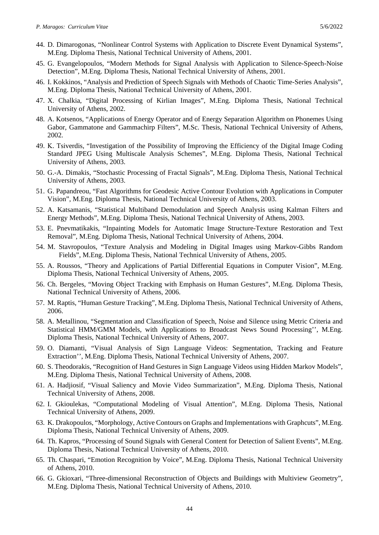- 44. D. Dimarogonas, "Nonlinear Control Systems with Application to Discrete Event Dynamical Systems", M.Eng. Diploma Thesis, National Technical University of Athens, 2001.
- 45. G. Evangelopoulos, "Modern Methods for Signal Analysis with Application to Silence-Speech-Noise Detection", M.Eng. Diploma Thesis, National Technical University of Athens, 2001.
- 46. I. Kokkinos, "Analysis and Prediction of Speech Signals with Methods of Chaotic Time-Series Analysis", M.Eng. Diploma Thesis, National Technical University of Athens, 2001.
- 47. X. Chalkia, "Digital Processing of Kirlian Images", M.Eng. Diploma Thesis, National Technical University of Athens, 2002.
- 48. Α. Κotsenos, "Applications of Energy Operator and of Energy Separation Algorithm on Phonemes Using Gabor, Gammatone and Gammachirp Filters", M.Sc. Thesis, National Technical University of Athens, 2002.
- 49. Κ. Τsiverdis, "Investigation of the Possibility of Improving the Efficiency of the Digital Image Coding Standard JPEG Using Multiscale Analysis Schemes", M.Eng. Diploma Thesis, National Technical University of Athens, 2003.
- 50. G.-A. Dimakis, "Stochastic Processing of Fractal Signals", M.Eng. Diploma Thesis, National Technical University of Athens, 2003.
- 51. G. Papandreou, "Fast Algorithms for Geodesic Active Contour Evolution with Applications in Computer Vision", M.Eng. Diploma Thesis, National Technical University of Athens, 2003.
- 52. A. Katsamanis, "Statistical Multiband Demodulation and Speech Analysis using Kalman Filters and Energy Methods", M.Eng. Diploma Thesis, National Technical University of Athens, 2003.
- 53. E. Pnevmatikakis, "Inpainting Models for Automatic Image Structure-Texture Restoration and Text Removal", M.Eng. Diploma Thesis, National Technical University of Athens, 2004.
- 54. M. Stavropoulos, "Texture Analysis and Modeling in Digital Images using Markov-Gibbs Random Fields", M.Eng. Diploma Thesis, National Technical University of Athens, 2005.
- 55. A. Roussos, "Theory and Applications of Partial Differential Equations in Computer Vision", M.Eng. Diploma Thesis, National Technical University of Athens, 2005.
- 56. Ch. Bergeles, "Moving Object Tracking with Emphasis on Human Gestures", M.Eng. Diploma Thesis, National Technical University of Athens, 2006.
- 57. M. Raptis, "Human Gesture Tracking", M.Eng. Diploma Thesis, National Technical University of Athens, 2006.
- 58. A. Metallinou, "Segmentation and Classification of Speech, Noise and Silence using Metric Criteria and Statistical HMM/GMM Models, with Applications to Broadcast News Sound Processing'', M.Eng. Diploma Thesis, National Technical University of Athens, 2007.
- 59. O. Diamanti, "Visual Analysis of Sign Language Videos: Segmentation, Tracking and Feature Extraction'', M.Eng. Diploma Thesis, National Technical University of Athens, 2007.
- 60. S. Theodorakis, "Recognition of Hand Gestures in Sign Language Videos using Hidden Markov Models", M.Eng. Diploma Thesis, National Technical University of Athens, 2008.
- 61. A. Hadjiosif, "Visual Saliency and Movie Video Summarization", M.Eng. Diploma Thesis, National Technical University of Athens, 2008.
- 62. I. Gkioulekas, "Computational Modeling of Visual Attention", M.Eng. Diploma Thesis, National Technical University of Athens, 2009.
- 63. K. Drakopoulos, "Morphology, Active Contours on Graphs and Implementations with Graphcuts", M.Eng. Diploma Thesis, National Technical University of Athens, 2009.
- 64. Th. Kapros, "Processing of Sound Signals with General Content for Detection of Salient Events", M.Eng. Diploma Thesis, National Technical University of Athens, 2010.
- 65. Th. Chaspari, "Emotion Recognition by Voice", M.Eng. Diploma Thesis, National Technical University of Athens, 2010.
- 66. G. Gkioxari, "Three-dimensional Reconstruction of Objects and Buildings with Multiview Geometry", M.Eng. Diploma Thesis, National Technical University of Athens, 2010.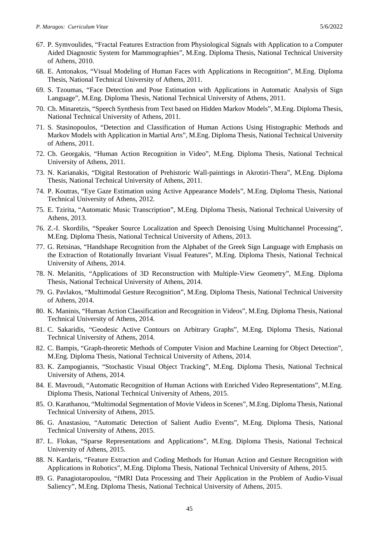- 67. P. Symvoulides, "Fractal Features Extraction from Physiological Signals with Application to a Computer Aided Diagnostic System for Mammographies", M.Eng. Diploma Thesis, National Technical University of Athens, 2010.
- 68. E. Antonakos, "Visual Modeling of Human Faces with Applications in Recognition", M.Eng. Diploma Thesis, National Technical University of Athens, 2011.
- 69. S. Tzoumas, "Face Detection and Pose Estimation with Applications in Automatic Analysis of Sign Language", M.Eng. Diploma Thesis, National Technical University of Athens, 2011.
- 70. Ch. Minaretzis, "Speech Synthesis from Text based on Hidden Markov Models", M.Eng. Diploma Thesis, National Technical University of Athens, 2011.
- 71. S. Stasinopoulos, "Detection and Classification of Human Actions Using Histographic Methods and Markov Models with Application in Martial Arts", M.Eng. Diploma Thesis, National Technical University of Athens, 2011.
- 72. Ch. Georgakis, "Human Action Recognition in Video", M.Eng. Diploma Thesis, National Technical University of Athens, 2011.
- 73. N. Karianakis, "Digital Restoration of Prehistoric Wall-paintings in Akrotiri-Thera", M.Eng. Diploma Thesis, National Technical University of Athens, 2011.
- 74. P. Koutras, "Eye Gaze Estimation using Active Appearance Models", M.Eng. Diploma Thesis, National Technical University of Athens, 2012.
- 75. E. Tzirita, "Automatic Music Transcription", M.Eng. Diploma Thesis, National Technical University of Athens, 2013.
- 76. Z.-I. Skordilis, "Speaker Source Localization and Speech Denoising Using Multichannel Processing", M.Eng. Diploma Thesis, National Technical University of Athens, 2013.
- 77. G. Retsinas, "Handshape Recognition from the Alphabet of the Greek Sign Language with Emphasis on the Extraction of Rotationally Invariant Visual Features", M.Eng. Diploma Thesis, National Technical University of Athens, 2014.
- 78. N. Melanitis, "Applications of 3D Reconstruction with Multiple-View Geometry", M.Eng. Diploma Thesis, National Technical University of Athens, 2014.
- 79. G. Pavlakos, "Multimodal Gesture Recognition", M.Eng. Diploma Thesis, National Technical University of Athens, 2014.
- 80. K. Maninis, "Human Action Classification and Recognition in Videos", M.Eng. Diploma Thesis, National Technical University of Athens, 2014.
- 81. C. Sakaridis, "Geodesic Active Contours on Arbitrary Graphs", M.Eng. Diploma Thesis, National Technical University of Athens, 2014.
- 82. C. Bampis, "Graph-theoretic Methods of Computer Vision and Machine Learning for Object Detection", M.Eng. Diploma Thesis, National Technical University of Athens, 2014.
- 83. K. Zampogiannis, "Stochastic Visual Object Tracking", M.Eng. Diploma Thesis, National Technical University of Athens, 2014.
- 84. E. Mavroudi, "Automatic Recognition of Human Actions with Enriched Video Representations", M.Eng. Diploma Thesis, National Technical University of Athens, 2015.
- 85. O. Karathanou, "Multimodal Segmentation of Movie Videos in Scenes", M.Eng. Diploma Thesis, National Technical University of Athens, 2015.
- 86. G. Anastasiou, "Automatic Detection of Salient Audio Events", M.Eng. Diploma Thesis, National Technical University of Athens, 2015.
- 87. L. Flokas, "Sparse Representations and Applications", M.Eng. Diploma Thesis, National Technical University of Athens, 2015.
- 88. N. Kardaris, "Feature Extraction and Coding Methods for Human Action and Gesture Recognition with Applications in Robotics", M.Eng. Diploma Thesis, National Technical University of Athens, 2015.
- 89. G. Panagiotaropoulou, "fMRI Data Processing and Their Application in the Problem of Audio-Visual Saliency", M.Eng. Diploma Thesis, National Technical University of Athens, 2015.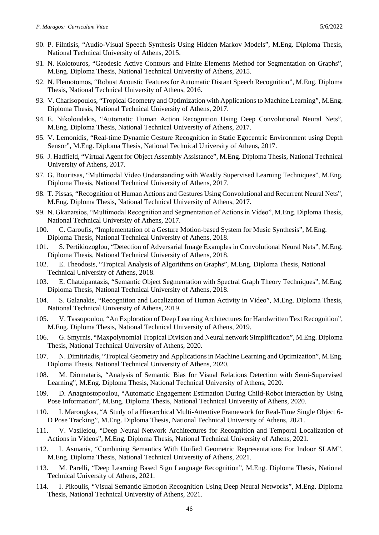- 90. P. Filntisis, "Audio-Visual Speech Synthesis Using Hidden Markov Models", M.Eng. Diploma Thesis, National Technical University of Athens, 2015.
- 91. N. Kolotouros, "Geodesic Active Contours and Finite Elements Method for Segmentation on Graphs", M.Eng. Diploma Thesis, National Technical University of Athens, 2015.
- 92. N. Flemotomos, "Robust Acoustic Features for Automatic Distant Speech Recognition", M.Eng. Diploma Thesis, National Technical University of Athens, 2016.
- 93. V. Charisopoulos, "Tropical Geometry and Optimization with Applications to Machine Learning", M.Eng. Diploma Thesis, National Technical University of Athens, 2017.
- 94. E. Nikoloudakis, "Automatic Human Action Recognition Using Deep Convolutional Neural Nets", M.Eng. Diploma Thesis, National Technical University of Athens, 2017.
- 95. V. Lemonidis, "Real-time Dynamic Gesture Recognition in Static Egocentric Environment using Depth Sensor", M.Eng. Diploma Thesis, National Technical University of Athens, 2017.
- 96. J. Hadfield, "Virtual Agent for Object Assembly Assistance", M.Eng. Diploma Thesis, National Technical University of Athens, 2017.
- 97. G. Bouritsas, "Μultimodal Video Understanding with Weakly Supervised Learning Techniques", M.Eng. Diploma Thesis, National Technical University of Athens, 2017.
- 98. T. Pissas, "Recognition of Human Actions and Gestures Using Convolutional and Recurrent Neural Nets", M.Eng. Diploma Thesis, National Technical University of Athens, 2017.
- 99. N. Gkanatsios, "Μultimodal Recognition and Segmentation of Actions in Video", M.Eng. Diploma Thesis, National Technical University of Athens, 2017.
- 100. C. Garoufis, "Implementation of a Gesture Motion-based System for Music Synthesis", M.Eng. Diploma Thesis, National Technical University of Athens, 2018.
- 101. S. Pertikiozoglou, "Detection of Adversarial Image Examples in Convolutional Neural Nets", M.Eng. Diploma Thesis, National Technical University of Athens, 2018.
- 102. E. Theodosis, "Tropical Analysis of Algorithms on Graphs", M.Eng. Diploma Thesis, National Technical University of Athens, 2018.
- 103. E. Chatzipantazis, "Semantic Object Segmentation with Spectral Graph Theory Techniques", M.Eng. Diploma Thesis, National Technical University of Athens, 2018.
- 104. S. Galanakis, "Recognition and Localization of Human Activity in Video", M.Eng. Diploma Thesis, National Technical University of Athens, 2019.
- 105. V. Tassopoulou, "An Exploration of Deep Learning Architectures for Handwritten Text Recognition", M.Eng. Diploma Thesis, National Technical University of Athens, 2019.
- 106. G. Smyrnis, "Maxpolynomial Tropical Division and Neural network Simplification", M.Eng. Diploma Thesis, National Technical University of Athens, 2020.
- 107. N. Dimitriadis, "Tropical Geometry and Applications in Machine Learning and Optimization", M.Eng. Diploma Thesis, National Technical University of Athens, 2020.
- 108. M. Diomataris, "Analysis of Semantic Bias for Visual Relations Detection with Semi-Supervised Learning", M.Eng. Diploma Thesis, National Technical University of Athens, 2020.
- 109. D. Anagnostopoulou, "Automatic Engagement Estimation During Child-Robot Interaction by Using Pose Information", M.Eng. Diploma Thesis, National Technical University of Athens, 2020.
- 110. I. Marougkas, "A Study of a Hierarchical Multi-Attentive Framework for Real-Time Single Object 6- D Pose Tracking", M.Eng. Diploma Thesis, National Technical University of Athens, 2021.
- 111. V. Vasileiou, "Deep Neural Network Architectures for Recognition and Temporal Localization of Actions in Videos", M.Eng. Diploma Thesis, National Technical University of Athens, 2021.
- 112. I. Asmanis, "Combining Semantics With Unified Geometric Representations For Indoor SLAM", M.Eng. Diploma Thesis, National Technical University of Athens, 2021.
- 113. M. Parelli, "Deep Learning Based Sign Language Recognition", M.Eng. Diploma Thesis, National Technical University of Athens, 2021.
- 114. I. Pikoulis, "Visual Semantic Emotion Recognition Using Deep Neural Networks", M.Eng. Diploma Thesis, National Technical University of Athens, 2021.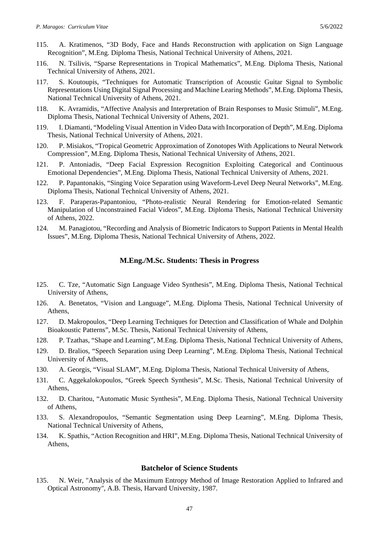- 115. A. Kratimenos, "3D Body, Face and Hands Reconstruction with application on Sign Language Recognition", M.Eng. Diploma Thesis, National Technical University of Athens, 2021.
- 116. N. Tsilivis, "Sparse Representations in Tropical Mathematics", M.Eng. Diploma Thesis, National Technical University of Athens, 2021.
- 117. S. Koutoupis, "Techniques for Automatic Transcription of Acoustic Guitar Signal to Symbolic Representations Using Digital Signal Processing and Machine Learing Methods", M.Eng. Diploma Thesis, National Technical University of Athens, 2021.
- 118. K. Avramidis, "Affective Analysis and Interpretation of Brain Responses to Music Stimuli", M.Eng. Diploma Thesis, National Technical University of Athens, 2021.
- 119. I. Diamanti, "Modeling Visual Attention in Video Data with Incorporation of Depth", M.Eng. Diploma Thesis, National Technical University of Athens, 2021.
- 120. P. Misiakos, "Tropical Geometric Approximation of Zonotopes With Applications to Neural Network Compression", M.Eng. Diploma Thesis, National Technical University of Athens, 2021.
- 121. P. Antoniadis, "Deep Facial Expression Recognition Exploiting Categorical and Continuous Emotional Dependencies", M.Eng. Diploma Thesis, National Technical University of Athens, 2021.
- 122. P. Papantonakis, "Singing Voice Separation using Waveform-Level Deep Neural Networks", M.Eng. Diploma Thesis, National Technical University of Athens, 2021.
- 123. F. Paraperas-Papantoniou, "Photo-realistic Neural Rendering for Emotion-related Semantic Manipulation of Unconstrained Facial Videos", M.Eng. Diploma Thesis, National Technical University of Athens, 2022.
- 124. M. Panagiotou, "Recording and Analysis of Biometric Indicators to Support Patients in Mental Health Issues", M.Eng. Diploma Thesis, National Technical University of Athens, 2022.

#### **M.Eng./M.Sc. Students: Thesis in Progress**

- 125. C. Tze, "Automatic Sign Language Video Synthesis", M.Eng. Diploma Thesis, National Technical University of Athens,
- 126. A. Benetatos, "Vision and Language", M.Eng. Diploma Thesis, National Technical University of Athens,
- 127. D. Makropoulos, "Deep Learning Techniques for Detection and Classification of Whale and Dolphin Bioakoustic Patterns", M.Sc. Thesis, National Technical University of Athens,
- 128. P. Tzathas, "Shape and Learning", M.Eng. Diploma Thesis, National Technical University of Athens,
- 129. D. Bralios, "Speech Separation using Deep Learning", M.Eng. Diploma Thesis, National Technical University of Athens,
- 130. A. Georgis, "Visual SLAM", M.Eng. Diploma Thesis, National Technical University of Athens,
- 131. C. Aggekalokopoulos, "Greek Speech Synthesis", M.Sc. Thesis, National Technical University of Athens,
- 132. D. Charitou, "Automatic Music Synthesis", M.Eng. Diploma Thesis, National Technical University of Athens,
- 133. S. Alexandropoulos, "Semantic Segmentation using Deep Learning", M.Eng. Diploma Thesis, National Technical University of Athens,
- 134. K. Spathis, "Action Recognition and HRI", M.Eng. Diploma Thesis, National Technical University of Athens,

#### **Batchelor of Science Students**

135. N. Weir, "Analysis of the Maximum Entropy Method of Image Restoration Applied to Infrared and Optical Astronomy'', A.B. Thesis, Harvard University, 1987.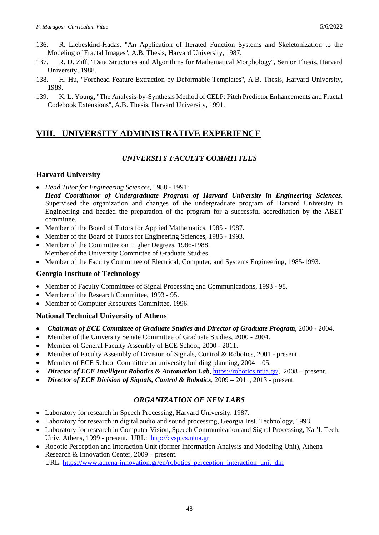- 136. R. Liebeskind-Hadas, "An Application of Iterated Function Systems and Skeletonization to the Modeling of Fractal Images'', A.B. Thesis, Harvard University, 1987.
- 137. R. D. Ziff, "Data Structures and Algorithms for Mathematical Morphology'', Senior Thesis, Harvard University, 1988.
- 138. H. Hu, "Forehead Feature Extraction by Deformable Templates'', A.B. Thesis, Harvard University, 1989.
- 139. K. L. Young, "The Analysis-by-Synthesis Method of CELP: Pitch Predictor Enhancements and Fractal Codebook Extensions'', A.B. Thesis, Harvard University, 1991.

# **VIII. UNIVERSITY ADMINISTRATIVE EXPERIENCE**

## *UNIVERSITY FACULTY COMMITTEES*

## **Harvard University**

- *Head Tutor for Engineering Sciences*, 1988 1991:
- *Head Coordinator of Undergraduate Program of Harvard University in Engineering Sciences*. Supervised the organization and changes of the undergraduate program of Harvard University in Engineering and headed the preparation of the program for a successful accreditation by the ABET committee.
- Member of the Board of Tutors for Applied Mathematics, 1985 1987.
- Member of the Board of Tutors for Engineering Sciences, 1985 1993.
- Member of the Committee on Higher Degrees, 1986-1988. Member of the University Committee of Graduate Studies.
- Member of the Faculty Committee of Electrical, Computer, and Systems Engineering, 1985-1993.

## **Georgia Institute of Technology**

- Member of Faculty Committees of Signal Processing and Communications, 1993 98.
- Member of the Research Committee, 1993 95.
- Member of Computer Resources Committee, 1996.

## **National Technical University of Athens**

- *Chairman of ECE Committee of Graduate Studies and Director of Graduate Program*, 2000 2004.
- Member of the University Senate Committee of Graduate Studies, 2000 2004.
- Member of General Faculty Assembly of ECE School, 2000 2011.
- Member of Faculty Assembly of Division of Signals, Control & Robotics, 2001 present.
- Member of ECE School Committee on university building planning, 2004 05.
- *Director of ECE Intelligent Robotics & Automation Lab*, [https://robotics.ntua.gr/,](https://robotics.ntua.gr/) 2008 present.
- *Director of ECE Division of Signals, Control & Robotics*, 2009 2011, 2013 present.

## *ORGANIZATION OF NEW LABS*

- Laboratory for research in Speech Processing, Harvard University, 1987.
- Laboratory for research in digital audio and sound processing, Georgia Inst. Technology, 1993.
- Laboratory for research in Computer Vision, Speech Communication and Signal Processing, Nat'l. Tech. Univ. Athens, 1999 - present. URL: [http://cvsp.cs.ntua.gr](http://cvsp.cs.ntua.gr/)
- Robotic Perception and Interaction Unit (former Information Analysis and Modeling Unit), Athena Research & Innovation Center, 2009 – present.

URL: [https://www.athena-innovation.gr/en/robotics\\_perception\\_interaction\\_unit\\_dm](https://www.athena-innovation.gr/en/robotics_perception_interaction_unit_dm)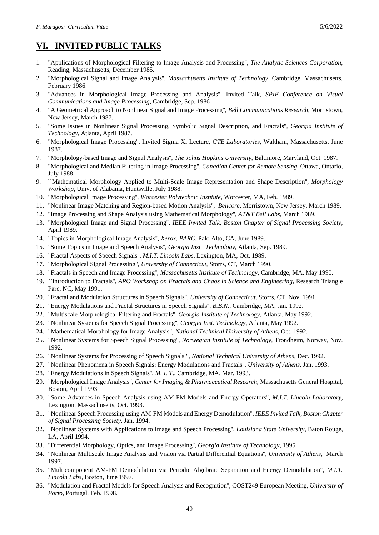# **VI. INVITED PUBLIC TALKS**

- 1. "Applications of Morphological Filtering to Image Analysis and Processing'', *The Analytic Sciences Corporation*, Reading, Massachusetts, December 1985.
- 2. "Morphological Signal and Image Analysis'', *Massachusetts Institute of Technology*, Cambridge, Massachusetts, February 1986.
- 3. "Advances in Morphological Image Processing and Analysis'', Invited Talk, *SPIE Conference on Visual Communications and Image Processing*, Cambridge, Sep. 1986
- 4. "A Geometrical Approach to Nonlinear Signal and Image Processing'', *Bell Communications Research*, Morristown, New Jersey, March 1987.
- 5. "Some Issues in Nonlinear Signal Processing, Symbolic Signal Description, and Fractals''*, Georgia Institute of Technology*, Atlanta, April 1987.
- 6. "Morphological Image Processing'', Invited Sigma Xi Lecture, *GTE Laboratories*, Waltham, Massachusetts, June 1987.
- 7. "Morphology-based Image and Signal Analysis'', *The Johns Hopkins University*, Baltimore, Maryland, Oct. 1987.
- 8. "Morphological and Median Filtering in Image Processing'', *Canadian Center for Remote Sensing*, Ottawa, Ontario, July 1988.
- 9. ``Mathematical Morphology Applied to Multi-Scale Image Representation and Shape Description'', *Morphology Workshop*, Univ. of Alabama, Huntsville, July 1988.
- 10. "Morphological Image Processing'', *Worcester Polytechnic Institute*, Worcester, MA, Feb. 1989.
- 11. "Nonlinear Image Matching and Region-based Motion Analysis'', *Bellcore*, Morristown, New Jersey, March 1989.
- 12. "Image Processing and Shape Analysis using Mathematical Morphology'', *AT&T Bell Labs*, March 1989.
- 13. "Morphological Image and Signal Processing'', *IEEE Invited Talk, Boston Chapter of Signal Processing Society*, April 1989.
- 14. "Topics in Morphological Image Analysis'', *Xerox, PARC*, Palo Alto, CA, June 1989.
- 15. "Some Topics in Image and Speech Analysis'', *Georgia Inst. Technology*, Atlanta, Sep. 1989.
- 16. "Fractal Aspects of Speech Signals'', *M.I.T. Lincoln Labs*, Lexington, MA, Oct. 1989.
- 17. "Morphological Signal Processing'', *University of Connecticut*, Storrs, CT, March 1990.
- 18. "Fractals in Speech and Image Processing'', *Massachusetts Institute of Technology*, Cambridge, MA, May 1990.
- 19. ``Introduction to Fractals'', *ARO Workshop on Fractals and Chaos in Science and Engineering*, Research Triangle Parc, NC, May 1991.
- 20. "Fractal and Modulation Structures in Speech Signals'', *University of Connecticut*, Storrs, CT, Nov. 1991.
- 21. "Energy Modulations and Fractal Structures in Speech Signals'', *B.B.N*., Cambridge, MA, Jan. 1992.
- 22. "Multiscale Morphological Filtering and Fractals'', *Georgia Institute of Technology*, Atlanta, May 1992.
- 23. "Nonlinear Systems for Speech Signal Processing'', *Georgia Inst. Technology*, Atlanta, May 1992.
- 24. "Mathematical Morphology for Image Analysis", *National Technical University of Athens*, Oct. 1992.
- 25. "Nonlinear Systems for Speech Signal Processing'', *Norwegian Institute of Technology*, Trondheim, Norway, Nov. 1992.
- 26. "Nonlinear Systems for Processing of Speech Signals ", *National Technical University of Athens*, Dec. 1992.
- 27. "Nonlinear Phenomena in Speech Signals: Energy Modulations and Fractals'', *University of Athens*, Jan. 1993.
- 28. "Energy Modulations in Speech Signals'', *M. I. T*., Cambridge, MA, Mar. 1993.
- 29. "Morphological Image Analysis'', *Center for Imaging & Pharmaceutical Research*, Massachusetts General Hospital, Boston, April 1993.
- 30. "Some Advances in Speech Analysis using AM-FM Models and Energy Operators'', *M.I.T. Lincoln Laboratory*, Lexington, Massachusetts, Oct. 1993.
- 31. "Nonlinear Speech Processing using AM-FM Models and Energy Demodulation'', *IEEE Invited Talk, Boston Chapter of Signal Processing Society*, Jan. 1994.
- 32. "Nonlinear Systems with Applications to Image and Speech Processing'', *Louisiana State University*, Baton Rouge, LA, April 1994.
- 33. "Differential Morphology, Optics, and Image Processing'', *Georgia Institute of Technology*, 1995.
- 34. "Nonlinear Multiscale Image Analysis and Vision via Partial Differential Equations'', *University of Athens*, March 1997.
- 35. "Multicomponent AM-FM Demodulation via Periodic Algebraic Separation and Energy Demodulation", *M.I.T. Lincoln Labs*, Boston, June 1997.
- 36. "Modulation and Fractal Models for Speech Analysis and Recognition'', COST249 European Meeting, *University of Porto*, Portugal, Feb. 1998.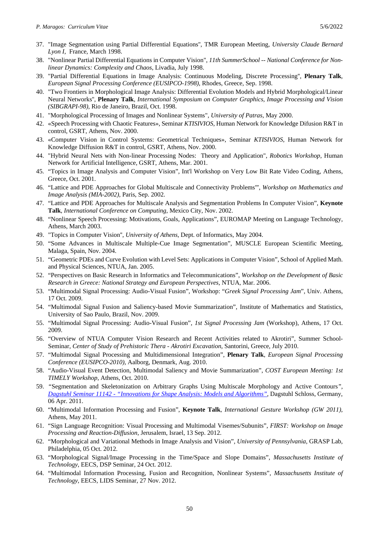- 37. "Image Segmentation using Partial Differential Equations'', TMR European Meeting, *University Claude Bernard Lyon I*, France, March 1998.
- 38. "Nonlinear Partial Differential Equations in Computer Vision", *11th SummerSchool -- National Conference for Nonlinear Dynamics: Complexity and Chaos*, Livadia, July 1998.
- 39. "Partial Differential Equations in Image Analysis: Continuous Modeling, Discrete Processing'', **Plenary Talk**, *European Signal Processing Conference (EUSIPCO-1998)*, Rhodes, Greece, Sep. 1998.
- 40. "Two Frontiers in Morphological Image Analysis: Differential Evolution Models and Hybrid Morphological/Linear Neural Networks'', **Plenary Talk**, *International Symposium on Computer Graphics, Image Processing and Vision (SIBGRAPI-98)*, Rio de Janeiro, Brazil, Oct. 1998.
- 41. "Morphological Processing of Images and Nonlinear Systems", *University of Patras*, May 2000.
- 42. «Speech Processing with Chaotic Features», Seminar *KTISIVIOS*, Human Network for Knowledge Difusion R&T in control, GSRT, Athens, Nov. 2000.
- 43. «Computer Vision in Control Systems: Geometrical Techniques», Seminar *KTISIVIOS*, Human Network for Knowledge Diffusion R&T in control, GSRT, Athens, Nov. 2000.
- 44. "Hybrid Neural Nets with Non-linear Processing Nodes: Theory and Application", *Robotics Workshop*, Human Network for Artificial Intelligence, GSRT, Athens, Mar. 2001.
- 45. "Topics in Image Analysis and Computer Vision", Int'l Workshop on Very Low Bit Rate Video Coding, Athens, Greece, Oct. 2001.
- 46. "Lattice and PDE Approaches for Global Multiscale and Connectivity Problems'", *Workshop on Mathematics and Image Analysis (MIA-2002),* Paris, Sep. 2002.
- 47. "Lattice and PDE Approaches for Multiscale Analysis and Segmentation Problems In Computer Vision", **Keynote Talk**, *International Conference on Computing*, Mexico City, Nov. 2002.
- 48. "Nonlinear Speech Processing: Motivations, Goals, Applications", EUROMAP Meeting on Language Technology, Athens, March 2003.
- 49. "Topics in Computer Vision'', *University of Athens*, Dept. of Informatics, May 2004.
- 50. "Some Advances in Multiscale Multiple-Cue Image Segmentation", MUSCLE European Scientific Meeting, Malaga, Spain, Nov. 2004.
- 51. "Geometric PDEs and Curve Evolution with Level Sets: Applications in Computer Vision", School of Applied Math. and Physical Sciences, NTUA, Jan. 2005.
- 52. "Perspectives on Basic Research in Informatics and Telecommunications", *Workshop on the Development of Basic Research in Greece: National Strategy and European Perspectives*, NTUA, Mar. 2006.
- 53. "Multimodal Signal Processing: Audio-Visual Fusion", Workshop: "*Greek Signal Processing Jam*", Univ. Athens, 17 Oct. 2009.
- 54. "Multimodal Signal Fusion and Saliency-based Movie Summarization", Institute of Mathematics and Statistics, University of Sao Paulo, Brazil, Nov. 2009.
- 55. "Multimodal Signal Processing: Audio-Visual Fusion", *1st Signal Processing Jam* (Workshop), Athens, 17 Oct. 2009.
- 56. "Overview of NTUA Computer Vision Research and Recent Activities related to Akrotiri", Summer School-Seminar, *Center of Study of Prehistoric Thera - Akrotiri Excavation*, Santorini, Greece, July 2010.
- 57. "Multimodal Signal Processing and Multidimensional Integration", **Plenary Talk**, *European Signal Processing Conference (EUSIPCO-2010)*, Aalborg, Denmark, Aug. 2010.
- 58. "Audio-Visual Event Detection, Multimodal Saliency and Movie Summarization", *COST European Meeting: 1st TIMELY Workshop*, Athens, Oct. 2010.
- 59. *"*Segmentation and Skeletonization on Arbitrary Graphs Using Multiscale Morphology and Active Contours*", Dagstuhl Seminar 11142 - ["Innovations for Shape Analysis: Models and Algorithms"](https://www.dagstuhl.de/en/program/calendar/semhp/?semnr=11142)*, Dagstuhl Schloss, Germany, 06 Apr. 2011.
- 60. "Multimodal Information Processing and Fusion", **Keynote Talk**, *International Gesture Workshop (GW 2011),*  Athens, May 2011.
- 61. "Sign Language Recognition: Visual Processing and Multimodal Visemes/Subunits", *FIRST: Workshop on Image Processing and Reaction-Diffusion*, Jerusalem, Israel, 13 Sep. 2012.
- 62. "Morphological and Variational Methods in Image Analysis and Vision", *University of Pennsylvania*, GRASP Lab, Philadelphia, 05 Oct. 2012.
- 63. "Morphological Signal/Image Processing in the Time/Space and Slope Domains", *Massachusetts Institute of Technology*, EECS, DSP Seminar, 24 Oct. 2012.
- 64. "Multimodal Information Processing, Fusion and Recognition, Nonlinear Systems", *Massachusetts Institute of Technology*, EECS, LIDS Seminar, 27 Nov. 2012.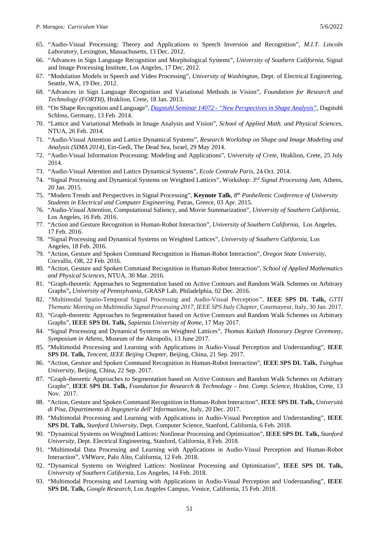- 65. "Audio-Visual Processing: Theory and Applications to Speech Inversion and Recognition", *M.I.T. Lincoln Laboratory*, Lexington, Massachusetts, 13 Dec. 2012.
- 66. "Advances in Sign Language Recognition and Morphological Systems", *University of Southern California*, Signal and Image Processing Institute, Los Angeles, 17 Dec. 2012.
- 67. "Modulation Models in Speech and Video Processing", *University of Washington*, Dept. of Electrical Engineering, Seattle, WA, 19 Dec. 2012.
- 68. "Advances in Sign Language Recognition and Variational Methods in Vision", *Foundation for Research and Technology (FORTH)*, Hraklion, Crete, 18 Jan. 2013.
- 69. "On Shape Recognition and Language", *Dagstuhl Seminar 14072 - ["New Perspectives in Shape Analysis"](https://www.dagstuhl.de/en/program/calendar/semhp/?semnr=14072)*, Dagstuhl Schloss, Germany, 13 Feb. 2014.
- 70. "Lattice and Variational Methods in Image Analysis and Vision", *School of Applied Math. and Physical Sciences*, NTUA, 26 Feb. 2014.
- 71. "Audio-Visual Attention and Lattice Dynamical Systems", *Research Workshop on Shape and Image Modeling and Analysis (SIMA 2014),* Ein-Gedi, The Dead Sea, Israel, 29 May 2014.
- 72. "Audio-Visual Information Processing: Modeling and Applications", *University of Crete*, Hraklion, Crete, 25 July 2014.
- 73. "Audio-Visual Attention and Lattice Dynamical Systems", *Ecole Centrale Paris*, 24 Oct. 2014.
- 74. "Signal Processing and Dynamical Systems on Weighted Lattices", Workshop: *3rd Signal Processing Jam*, Athens, 20 Jan. 2015.
- 75. "Modern Trends and Perspectives in Signal Processing", **Keynote Talk**, *8th Panhellenic Conference of University Students in Electrical and Computer Engineering,* Patras, Greece, 03 Apr. 2015.
- 76. "Audio-Visual Attention, Computational Saliency, and Movie Summarization", *University of Southern California*, Los Angeles, 16 Feb. 2016.
- 77. "Action and Gesture Recognition in Human-Robot Interaction", *University of Southern California*, Los Angeles, 17 Feb. 2016.
- 78. "Signal Processing and Dynamical Systems on Weighted Lattices", *University of Southern California*, Los Angeles, 18 Feb. 2016.
- 79. "Action, Gesture and Spoken Command Recognition in Human-Robot Interaction", *Oregon State University*, Corvallis, OR, 22 Feb. 2016.
- 80. "Action, Gesture and Spoken Command Recognition in Human-Robot Interaction", *School of Applied Mathematics and Physical Sciences*, NTUA, 30 Mar. 2016.
- 81. "Graph-theoretic Approaches to Segmentation based on Active Contours and Random Walk Schemes on Arbitrary Graphs"**,** *University of Pennsylvania*, GRASP Lab, Philadelphia, 02 Dec. 2016.
- 82. *"*Multimodal Spatio-Temporal Signal Processing and Audio-Visual Perception*",* **IEEE SPS DL Talk,** *GTTI Thematic Meeting on Multimedia Signal Processing 2017, IEEE SPS Italy Chapter,* Courmayeur, Italy, 30 Jan. 2017.
- 83. "Graph-theoretic Approaches to Segmentation based on Active Contours and Random Walk Schemes on Arbitrary Graphs", **IEEE SPS DL Talk,** *Sapienza University of Rome*, 17 May 2017.
- 84. "Signal Processing and Dynamical Systems on Weighted Lattices", *Thomas Kailath Honorary Degree Ceremony, Symposium in Athens*, Museum of the Akropolis, 13 June 2017.
- 85. "Multimodal Processing and Learning with Applications in Audio-Visual Perception and Understanding", **IEEE SPS DL Talk,** *Tencent, IEEE Beijing Chapter*, Beijing, China, 21 Sep. 2017.
- 86. "Action, Gesture and Spoken Command Recognition in Human-Robot Interaction", **IEEE SPS DL Talk,** *Tsinghua University,* Beijing, China, 22 Sep. 2017.
- 87. "Graph-theoretic Approaches to Segmentation based on Active Contours and Random Walk Schemes on Arbitrary Graphs", **IEEE SPS DL Talk,** *Foundation for Research & Technology – Inst. Comp. Science*, Hraklion, Crete, 13 Nov. 2017.
- 88. "Action, Gesture and Spoken Command Recognition in Human-Robot Interaction", **IEEE SPS DL Talk,** *Università di Pisa, Dipartimento di Ingegneria dell' Informazione,* Italy, 20 Dec. 2017.
- 89. "Multimodal Processing and Learning with Applications in Audio-Visual Perception and Understanding", **IEEE SPS DL Talk,** *Stanford University*, Dept. Computer Science, Stanford, California, 6 Feb. 2018.
- 90. "Dynamical Systems on Weighted Lattices: Nonlinear Processing and Optimization", **IEEE SPS DL Talk,** *Stanford University*, Dept. Electrical Engineering, Stanford, California, 8 Feb. 2018.
- 91. "Multimodal Data Processing and Learning with Applications in Audio-Visual Perception and Human-Robot Interaction", *VMWare*, Palo Alto, California, 12 Feb. 2018.
- 92. "Dynamical Systems on Weighted Lattices: Nonlinear Processing and Optimization", **IEEE SPS DL Talk,** *University of Southern California*, Los Angeles, 14 Feb. 2018.
- 93. "Multimodal Processing and Learning with Applications in Audio-Visual Perception and Understanding", **IEEE SPS DL Talk,** *Google Research*, Los Angeles Campus, Venice, California, 15 Feb. 2018.